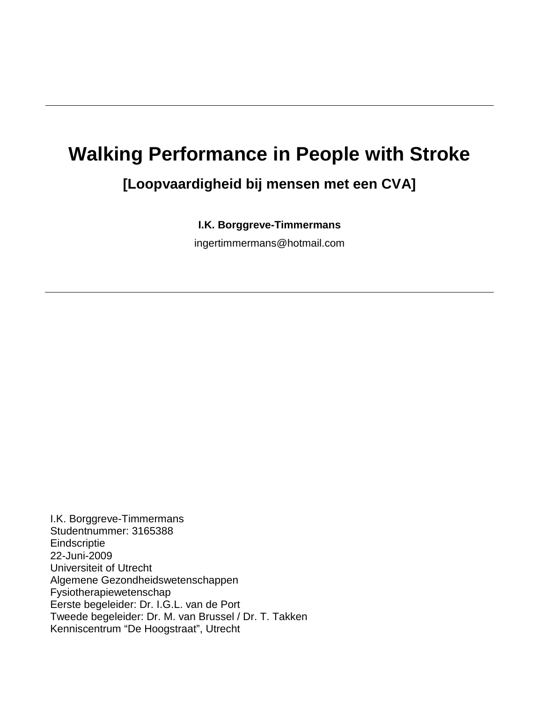# **Walking Performance in People with Stroke**

# **[Loopvaardigheid bij mensen met een CVA]**

**I.K. Borggreve-Timmermans**

[ingertimmermans@hotmail.com](mailto:ingertimmermans@hotmail.com)

I.K. Borggreve-Timmermans Studentnummer: 3165388 **Eindscriptie** 22-Juni-2009 Universiteit of Utrecht Algemene Gezondheidswetenschappen Fysiotherapiewetenschap Eerste begeleider: Dr. I.G.L. van de Port Tweede begeleider: Dr. M. van Brussel / Dr. T. Takken Kenniscentrum "De Hoogstraat", Utrecht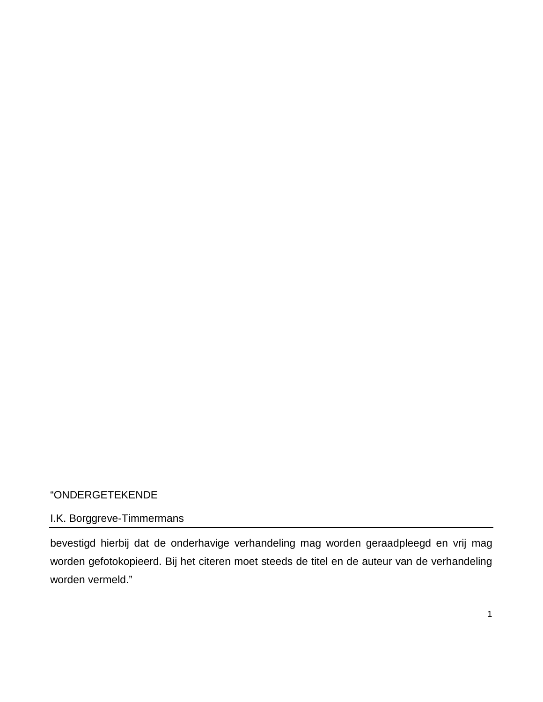# "ONDERGETEKENDE

# I.K. Borggreve-Timmermans

bevestigd hierbij dat de onderhavige verhandeling mag worden geraadpleegd en vrij mag worden gefotokopieerd. Bij het citeren moet steeds de titel en de auteur van de verhandeling worden vermeld."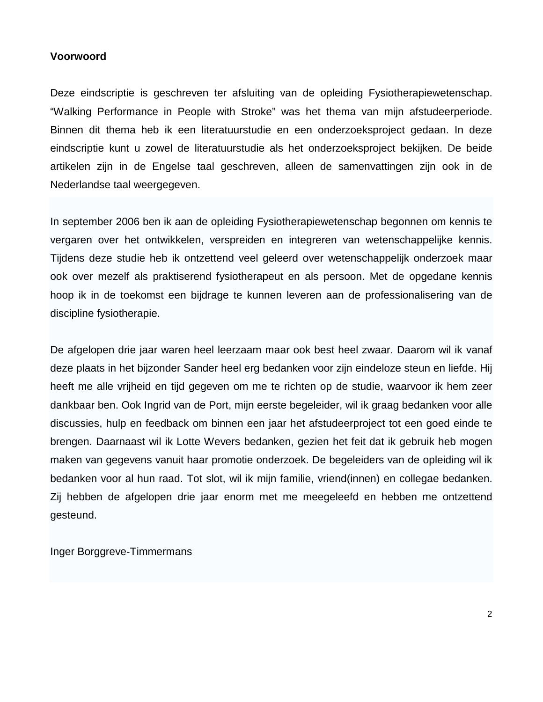# **Voorwoord**

Deze eindscriptie is geschreven ter afsluiting van de opleiding Fysiotherapiewetenschap. "Walking Performance in People with Stroke" was het thema van mijn afstudeerperiode. Binnen dit thema heb ik een literatuurstudie en een onderzoeksproject gedaan. In deze eindscriptie kunt u zowel de literatuurstudie als het onderzoeksproject bekijken. De beide artikelen zijn in de Engelse taal geschreven, alleen de samenvattingen zijn ook in de Nederlandse taal weergegeven.

In september 2006 ben ik aan de opleiding Fysiotherapiewetenschap begonnen om kennis te vergaren over het ontwikkelen, verspreiden en integreren van wetenschappelijke kennis. Tijdens deze studie heb ik ontzettend veel geleerd over wetenschappelijk onderzoek maar ook over mezelf als praktiserend fysiotherapeut en als persoon. Met de opgedane kennis hoop ik in de toekomst een bijdrage te kunnen leveren aan de professionalisering van de discipline fysiotherapie.

De afgelopen drie jaar waren heel leerzaam maar ook best heel zwaar. Daarom wil ik vanaf deze plaats in het bijzonder Sander heel erg bedanken voor zijn eindeloze steun en liefde. Hij heeft me alle vrijheid en tijd gegeven om me te richten op de studie, waarvoor ik hem zeer dankbaar ben. Ook Ingrid van de Port, mijn eerste begeleider, wil ik graag bedanken voor alle discussies, hulp en feedback om binnen een jaar het afstudeerproject tot een goed einde te brengen. Daarnaast wil ik Lotte Wevers bedanken, gezien het feit dat ik gebruik heb mogen maken van gegevens vanuit haar promotie onderzoek. De begeleiders van de opleiding wil ik bedanken voor al hun raad. Tot slot, wil ik mijn familie, vriend(innen) en collegae bedanken. Zij hebben de afgelopen drie jaar enorm met me meegeleefd en hebben me ontzettend gesteund.

Inger Borggreve-Timmermans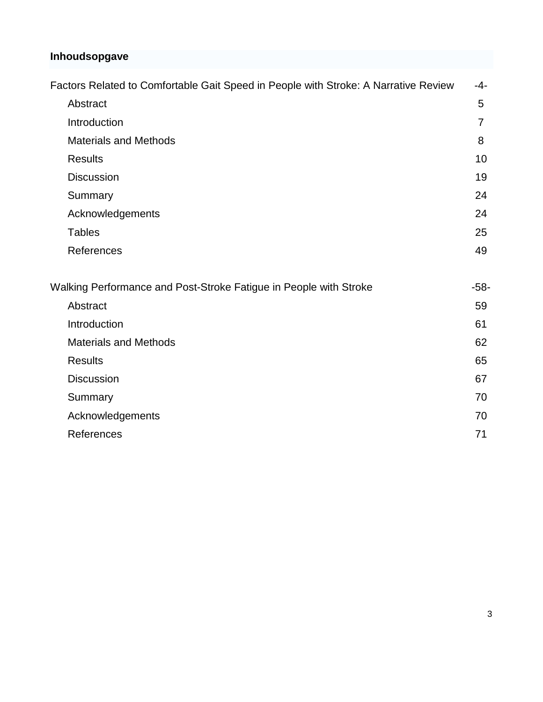# **Inhoudsopgave**

| Factors Related to Comfortable Gait Speed in People with Stroke: A Narrative Review | $-4-$          |
|-------------------------------------------------------------------------------------|----------------|
| Abstract                                                                            | 5              |
| Introduction                                                                        | $\overline{7}$ |
| <b>Materials and Methods</b>                                                        | 8              |
| <b>Results</b>                                                                      | 10             |
| <b>Discussion</b>                                                                   | 19             |
| Summary                                                                             | 24             |
| Acknowledgements                                                                    | 24             |
| <b>Tables</b>                                                                       | 25             |
| References                                                                          | 49             |
| Walking Performance and Post-Stroke Fatigue in People with Stroke                   | $-58-$         |
| Abstract                                                                            | 59             |
| Introduction                                                                        | 61             |
| <b>Materials and Methods</b>                                                        | 62             |
| <b>Results</b>                                                                      | 65             |
| <b>Discussion</b>                                                                   | 67             |
| Summary                                                                             | 70             |
| Acknowledgements                                                                    | 70             |
| References                                                                          | 71             |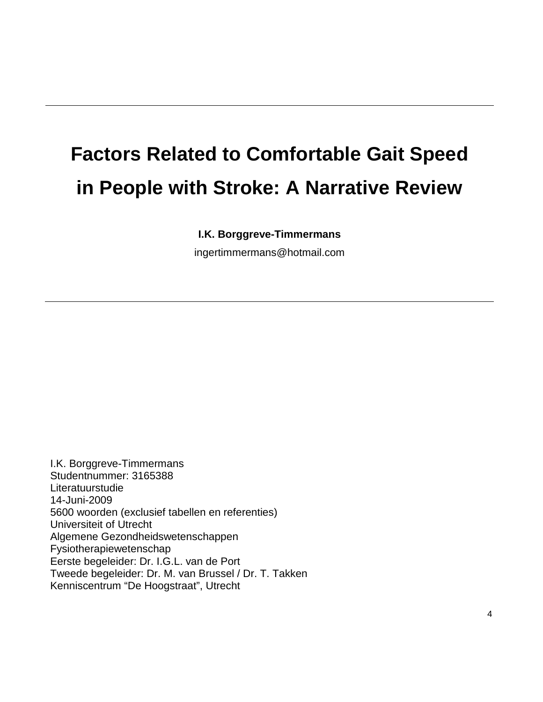# **Factors Related to Comfortable Gait Speed in People with Stroke: A Narrative Review**

# **I.K. Borggreve-Timmermans**

[ingertimmermans@hotmail.com](mailto:ingertimmermans@hotmail.com)

I.K. Borggreve-Timmermans Studentnummer: 3165388 Literatuurstudie 14-Juni-2009 5600 woorden (exclusief tabellen en referenties) Universiteit of Utrecht Algemene Gezondheidswetenschappen Fysiotherapiewetenschap Eerste begeleider: Dr. I.G.L. van de Port Tweede begeleider: Dr. M. van Brussel / Dr. T. Takken Kenniscentrum "De Hoogstraat", Utrecht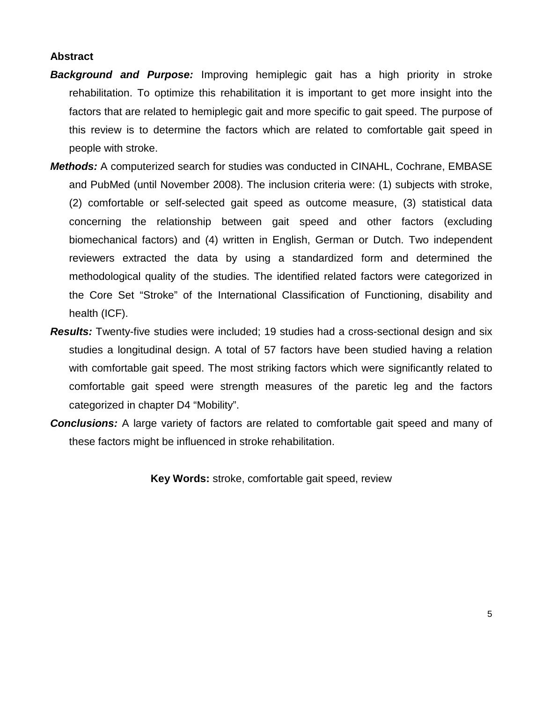# **Abstract**

- *Background and Purpose:* Improving hemiplegic gait has a high priority in stroke rehabilitation. To optimize this rehabilitation it is important to get more insight into the factors that are related to hemiplegic gait and more specific to gait speed. The purpose of this review is to determine the factors which are related to comfortable gait speed in people with stroke.
- *Methods:* A computerized search for studies was conducted in CINAHL, Cochrane, EMBASE and PubMed (until November 2008). The inclusion criteria were: (1) subjects with stroke, (2) comfortable or self-selected gait speed as outcome measure, (3) statistical data concerning the relationship between gait speed and other factors (excluding biomechanical factors) and (4) written in English, German or Dutch. Two independent reviewers extracted the data by using a standardized form and determined the methodological quality of the studies. The identified related factors were categorized in the Core Set "Stroke" of the International Classification of Functioning, disability and health (ICF).
- **Results:** Twenty-five studies were included; 19 studies had a cross-sectional design and six studies a longitudinal design. A total of 57 factors have been studied having a relation with comfortable gait speed. The most striking factors which were significantly related to comfortable gait speed were strength measures of the paretic leg and the factors categorized in chapter D4 "Mobility".
- *Conclusions:* A large variety of factors are related to comfortable gait speed and many of these factors might be influenced in stroke rehabilitation.

**Key Words:** stroke, comfortable gait speed, review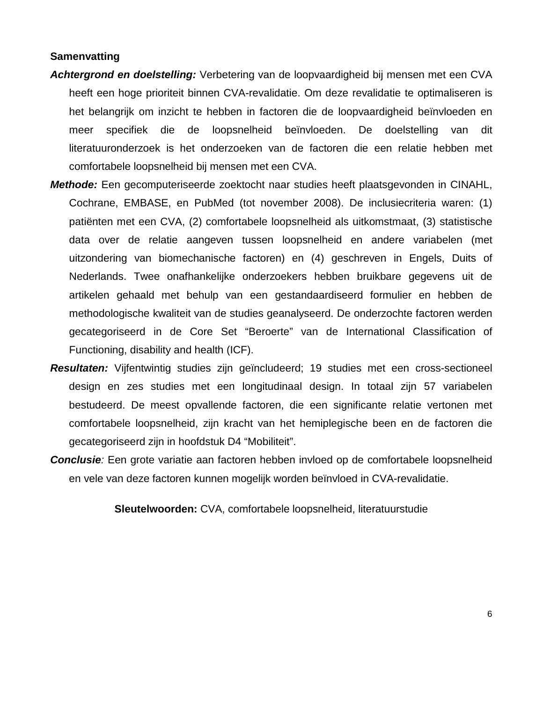#### **Samenvatting**

- *Achtergrond en doelstelling:* Verbetering van de loopvaardigheid bij mensen met een CVA heeft een hoge prioriteit binnen CVA-revalidatie. Om deze revalidatie te optimaliseren is het belangrijk om inzicht te hebben in factoren die de loopvaardigheid beïnvloeden en meer specifiek die de loopsnelheid beïnvloeden. De doelstelling van dit literatuuronderzoek is het onderzoeken van de factoren die een relatie hebben met comfortabele loopsnelheid bij mensen met een CVA.
- *Methode:* Een gecomputeriseerde zoektocht naar studies heeft plaatsgevonden in CINAHL, Cochrane, EMBASE, en PubMed (tot november 2008). De inclusiecriteria waren: (1) patiënten met een CVA, (2) comfortabele loopsnelheid als uitkomstmaat, (3) statistische data over de relatie aangeven tussen loopsnelheid en andere variabelen (met uitzondering van biomechanische factoren) en (4) geschreven in Engels, Duits of Nederlands. Twee onafhankelijke onderzoekers hebben bruikbare gegevens uit de artikelen gehaald met behulp van een gestandaardiseerd formulier en hebben de methodologische kwaliteit van de studies geanalyseerd. De onderzochte factoren werden gecategoriseerd in de Core Set "Beroerte" van de International Classification of Functioning, disability and health (ICF).
- *Resultaten:* Vijfentwintig studies zijn geïncludeerd; 19 studies met een cross-sectioneel design en zes studies met een longitudinaal design. In totaal zijn 57 variabelen bestudeerd. De meest opvallende factoren, die een significante relatie vertonen met comfortabele loopsnelheid, zijn kracht van het hemiplegische been en de factoren die gecategoriseerd zijn in hoofdstuk D4 "Mobiliteit".
- *Conclusie:* Een grote variatie aan factoren hebben invloed op de comfortabele loopsnelheid en vele van deze factoren kunnen mogelijk worden beïnvloed in CVA-revalidatie.

**Sleutelwoorden:** CVA, comfortabele loopsnelheid, literatuurstudie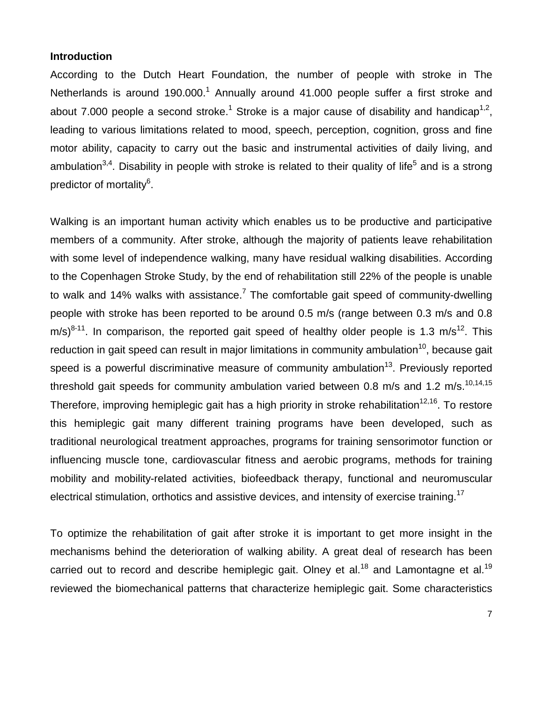#### **Introduction**

According to the Dutch Heart Foundation, the number of people with stroke in The Netherlands is around 190.000.<sup>1</sup> Annually around 41.000 people suffer a first stroke and about 7.000 people a second stroke.<sup>1</sup> Stroke is a major cause of disability and handicap<sup>1,2</sup>. leading to various limitations related to mood, speech, perception, cognition, gross and fine motor ability, capacity to carry out the basic and instrumental activities of daily living, and ambulation<sup>3,4</sup>. Disability in people with stroke is related to their quality of life<sup>5</sup> and is a strong predictor of mortality<sup>6</sup>.

Walking is an important human activity which enables us to be productive and participative members of a community. After stroke, although the majority of patients leave rehabilitation with some level of independence walking, many have residual walking disabilities. According to the Copenhagen Stroke Study, by the end of rehabilitation still 22% of the people is unable to walk and 14% walks with assistance.<sup>7</sup> The comfortable gait speed of community-dwelling people with stroke has been reported to be around 0.5 m/s (range between 0.3 m/s and 0.8  $m/s$ <sup>8-11</sup>. In comparison, the reported gait speed of healthy older people is 1.3 m/s<sup>12</sup>. This reduction in gait speed can result in major limitations in community ambulation<sup>10</sup>, because gait speed is a powerful discriminative measure of community ambulation<sup>13</sup>. Previously reported threshold gait speeds for community ambulation varied between 0.8 m/s and 1.2 m/s.<sup>10,14,15</sup> Therefore, improving hemiplegic gait has a high priority in stroke rehabilitation<sup>12,16</sup>. To restore this hemiplegic gait many different training programs have been developed, such as traditional neurological treatment approaches, programs for training sensorimotor function or influencing muscle tone, cardiovascular fitness and aerobic programs, methods for training mobility and mobility-related activities, biofeedback therapy, functional and neuromuscular electrical stimulation, orthotics and assistive devices, and intensity of exercise training.<sup>17</sup>

To optimize the rehabilitation of gait after stroke it is important to get more insight in the mechanisms behind the deterioration of walking ability. A great deal of research has been carried out to record and describe hemiplegic gait. Olney et al.<sup>18</sup> and Lamontagne et al.<sup>19</sup> reviewed the biomechanical patterns that characterize hemiplegic gait. Some characteristics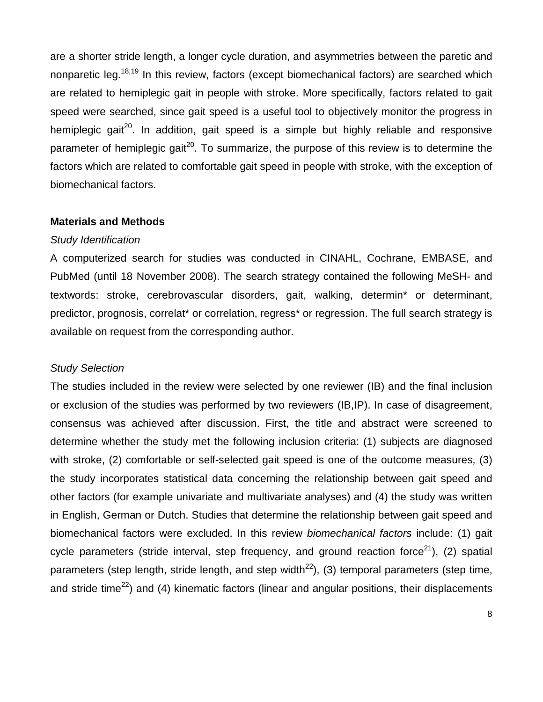are a shorter stride length, a longer cycle duration, and asymmetries between the paretic and nonparetic leg.<sup>18,19</sup> In this review, factors (except biomechanical factors) are searched which are related to hemiplegic gait in people with stroke. More specifically, factors related to gait speed were searched, since gait speed is a useful tool to objectively monitor the progress in hemiplegic gait<sup>20</sup>. In addition, gait speed is a simple but highly reliable and responsive parameter of hemiplegic gait<sup>20</sup>. To summarize, the purpose of this review is to determine the factors which are related to comfortable gait speed in people with stroke, with the exception of biomechanical factors.

#### **Materials and Methods**

#### *Study Identification*

A computerized search for studies was conducted in CINAHL, Cochrane, EMBASE, and PubMed (until 18 November 2008). The search strategy contained the following MeSH- and textwords: stroke, cerebrovascular disorders, gait, walking, determin\* or determinant, predictor, prognosis, correlat<sup>\*</sup> or correlation, regress<sup>\*</sup> or regression. The full search strategy is available on request from the corresponding author.

#### *Study Selection*

The studies included in the review were selected by one reviewer (IB) and the final inclusion or exclusion of the studies was performed by two reviewers (IB,IP). In case of disagreement, consensus was achieved after discussion. First, the title and abstract were screened to determine whether the study met the following inclusion criteria: (1) subjects are diagnosed with stroke, (2) comfortable or self-selected gait speed is one of the outcome measures, (3) the study incorporates statistical data concerning the relationship between gait speed and other factors (for example univariate and multivariate analyses) and (4) the study was written in English, German or Dutch. Studies that determine the relationship between gait speed and biomechanical factors were excluded. In this review *biomechanical factors* include: (1) gait cycle parameters (stride interval, step frequency, and ground reaction force<sup>21</sup>), (2) spatial parameters (step length, stride length, and step width<sup>22</sup>), (3) temporal parameters (step time, and stride time<sup>22</sup>) and (4) kinematic factors (linear and angular positions, their displacements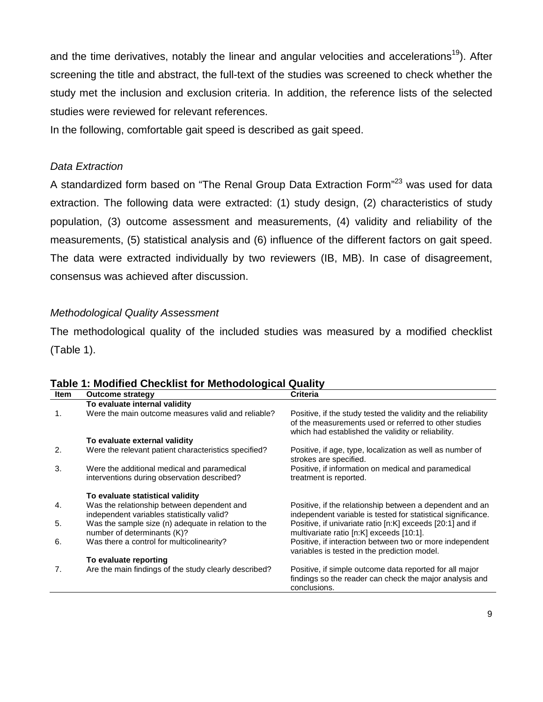and the time derivatives, notably the linear and angular velocities and accelerations<sup>19</sup>). After screening the title and abstract, the full-text of the studies was screened to check whether the study met the inclusion and exclusion criteria. In addition, the reference lists of the selected studies were reviewed for relevant references.

In the following, comfortable gait speed is described as gait speed.

# *Data Extraction*

A standardized form based on "The Renal Group Data Extraction Form"<sup>23</sup> was used for data extraction. The following data were extracted: (1) study design, (2) characteristics of study population, (3) outcome assessment and measurements, (4) validity and reliability of the measurements, (5) statistical analysis and (6) influence of the different factors on gait speed. The data were extracted individually by two reviewers (IB, MB). In case of disagreement, consensus was achieved after discussion.

# *Methodological Quality Assessment*

The methodological quality of the included studies was measured by a modified checklist (Table 1).

| Item | <b>Outcome strategy</b>                                                                    | <b>Criteria</b>                                                                                                                                                               |
|------|--------------------------------------------------------------------------------------------|-------------------------------------------------------------------------------------------------------------------------------------------------------------------------------|
|      | To evaluate internal validity                                                              |                                                                                                                                                                               |
| 1.   | Were the main outcome measures valid and reliable?                                         | Positive, if the study tested the validity and the reliability<br>of the measurements used or referred to other studies<br>which had established the validity or reliability. |
|      | To evaluate external validity                                                              |                                                                                                                                                                               |
| 2.   | Were the relevant patient characteristics specified?                                       | Positive, if age, type, localization as well as number of<br>strokes are specified.                                                                                           |
| 3.   | Were the additional medical and paramedical<br>interventions during observation described? | Positive, if information on medical and paramedical<br>treatment is reported.                                                                                                 |
|      | To evaluate statistical validity                                                           |                                                                                                                                                                               |
| 4.   | Was the relationship between dependent and<br>independent variables statistically valid?   | Positive, if the relationship between a dependent and an<br>independent variable is tested for statistical significance.                                                      |
| 5.   | Was the sample size (n) adequate in relation to the<br>number of determinants (K)?         | Positive, if univariate ratio [n:K] exceeds [20:1] and if<br>multivariate ratio [n:K] exceeds [10:1].                                                                         |
| 6.   | Was there a control for multicolinearity?                                                  | Positive, if interaction between two or more independent<br>variables is tested in the prediction model.                                                                      |
|      | To evaluate reporting                                                                      |                                                                                                                                                                               |
| 7.   | Are the main findings of the study clearly described?                                      | Positive, if simple outcome data reported for all major<br>findings so the reader can check the major analysis and<br>conclusions.                                            |

# **Table 1: Modified Checklist for Methodological Quality**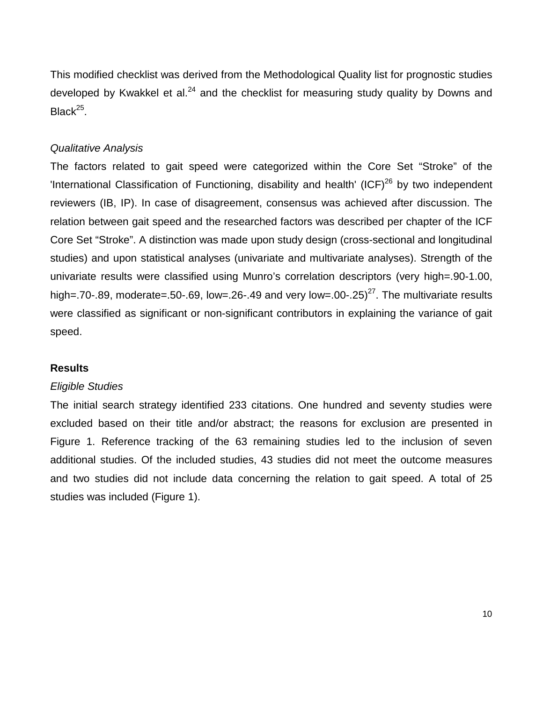This modified checklist was derived from the Methodological Quality list for prognostic studies developed by Kwakkel et al. $^{24}$  and the checklist for measuring study quality by Downs and  $Black<sup>25</sup>$ .

# *Qualitative Analysis*

The factors related to gait speed were categorized within the Core Set "Stroke" of the 'International Classification of Functioning, disability and health' (ICF) $^{26}$  by two independent reviewers (IB, IP). In case of disagreement, consensus was achieved after discussion. The relation between gait speed and the researched factors was described per chapter of the ICF Core Set "Stroke". A distinction was made upon study design (cross-sectional and longitudinal studies) and upon statistical analyses (univariate and multivariate analyses). Strength of the univariate results were classified using Munro's correlation descriptors (very high=.90-1.00, high=.70-.89, moderate=.50-.69, low=.26-.49 and very low=.00-.25)<sup>27</sup>. The multivariate results were classified as significant or non-significant contributors in explaining the variance of gait speed.

#### **Results**

#### *Eligible Studies*

The initial search strategy identified 233 citations. One hundred and seventy studies were excluded based on their title and/or abstract; the reasons for exclusion are presented in Figure 1. Reference tracking of the 63 remaining studies led to the inclusion of seven additional studies. Of the included studies, 43 studies did not meet the outcome measures and two studies did not include data concerning the relation to gait speed. A total of 25 studies was included (Figure 1).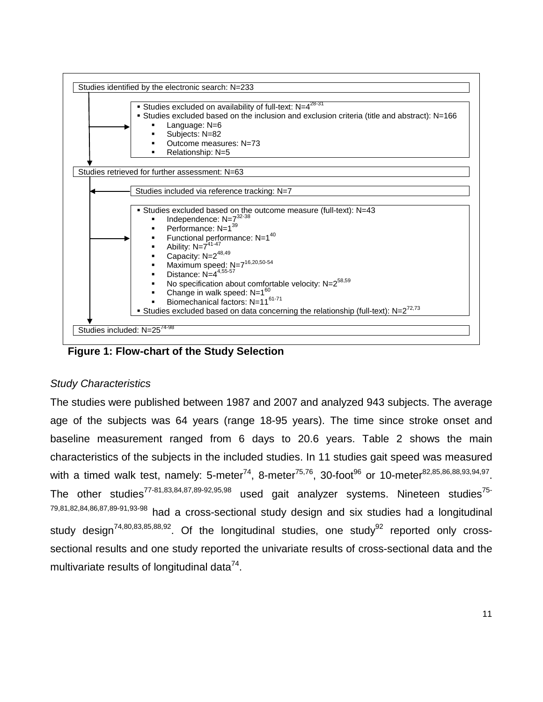

**Figure 1: Flow-chart of the Study Selection**

# *Study Characteristics*

The studies were published between 1987 and 2007 and analyzed 943 subjects. The average age of the subjects was 64 years (range 18-95 years). The time since stroke onset and baseline measurement ranged from 6 days to 20.6 years. Table 2 shows the main characteristics of the subjects in the included studies. In 11 studies gait speed was measured with a timed walk test, namely: 5-meter<sup>74</sup>, 8-meter<sup>75,76</sup>, 30-foot<sup>96</sup> or 10-meter<sup>82,85,86,88,93,94,97</sup>. The other studies<sup>77-81,83,84,87,89-92,95,98</sup> used gait analyzer systems. Nineteen studies<sup>75-</sup> 79,81,82,84,86,87,89-91,93-98 had a cross-sectional study design and six studies had a longitudinal study design<sup>74,80,83,85,88,92</sup>. Of the longitudinal studies, one study<sup>92</sup> reported only crosssectional results and one study reported the univariate results of cross-sectional data and the multivariate results of longitudinal data $^{74}$ .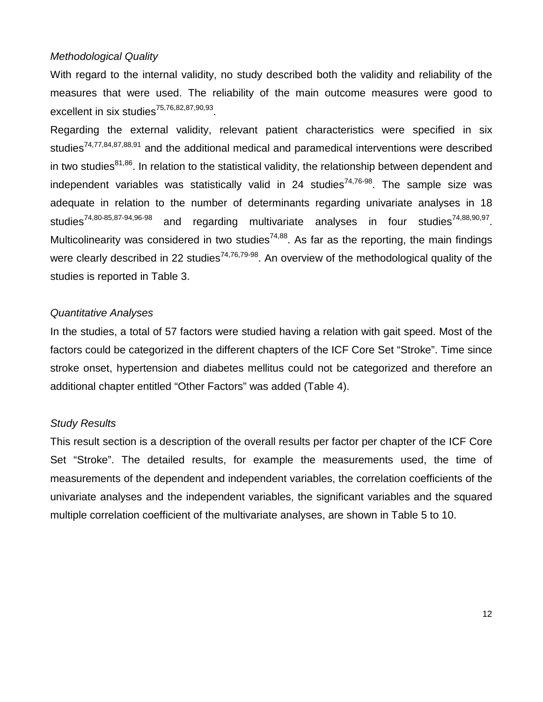# *Methodological Quality*

With regard to the internal validity, no study described both the validity and reliability of the measures that were used. The reliability of the main outcome measures were good to excellent in six studies $75,76,82,87,90,93$ .

Regarding the external validity, relevant patient characteristics were specified in six studies<sup>74,77,84,87,88,91</sup> and the additional medical and paramedical interventions were described in two studies $81,86$ . In relation to the statistical validity, the relationship between dependent and independent variables was statistically valid in 24 studies<sup>74,76-98</sup>. The sample size was adequate in relation to the number of determinants regarding univariate analyses in 18 studies<sup>74,80-85,87-94,96-98</sup> and regarding multivariate analyses in four studies<sup>74,88,90,97</sup>. Multicolinearity was considered in two studies<sup>74,88</sup>. As far as the reporting, the main findings were clearly described in 22 studies<sup>74,76,79-98</sup>. An overview of the methodological quality of the studies is reported in Table 3.

#### *Quantitative Analyses*

In the studies, a total of 57 factors were studied having a relation with gait speed. Most of the factors could be categorized in the different chapters of the ICF Core Set "Stroke". Time since stroke onset, hypertension and diabetes mellitus could not be categorized and therefore an additional chapter entitled "Other Factors" was added (Table 4).

#### *Study Results*

This result section is a description of the overall results per factor per chapter of the ICF Core Set "Stroke". The detailed results, for example the measurements used, the time of measurements of the dependent and independent variables, the correlation coefficients of the univariate analyses and the independent variables, the significant variables and the squared multiple correlation coefficient of the multivariate analyses, are shown in Table 5 to 10.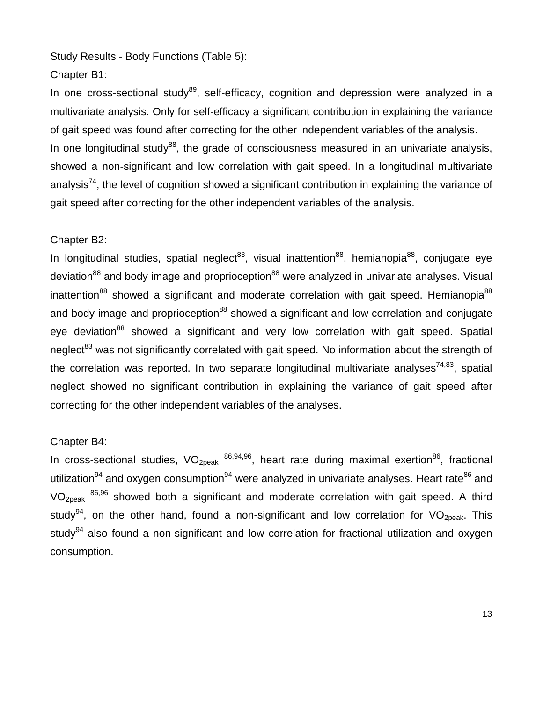Study Results - Body Functions (Table 5):

# Chapter B1:

In one cross-sectional study<sup>89</sup>, self-efficacy, cognition and depression were analyzed in a multivariate analysis. Only for self-efficacy a significant contribution in explaining the variance of gait speed was found after correcting for the other independent variables of the analysis. In one longitudinal study<sup>88</sup>, the grade of consciousness measured in an univariate analysis, showed a non-significant and low correlation with gait speed. In a longitudinal multivariate analysis<sup>74</sup>, the level of cognition showed a significant contribution in explaining the variance of gait speed after correcting for the other independent variables of the analysis.

# Chapter B2:

In longitudinal studies, spatial neglect<sup>83</sup>, visual inattention<sup>88</sup>, hemianopia<sup>88</sup>, conjugate eye deviation<sup>88</sup> and body image and proprioception<sup>88</sup> were analyzed in univariate analyses. Visual inattention<sup>88</sup> showed a significant and moderate correlation with gait speed. Hemianopia<sup>88</sup> and body image and proprioception<sup>88</sup> showed a significant and low correlation and conjugate eye deviation<sup>88</sup> showed a significant and very low correlation with gait speed. Spatial neglect<sup>83</sup> was not significantly correlated with gait speed. No information about the strength of the correlation was reported. In two separate longitudinal multivariate analyses<sup>74,83</sup>, spatial neglect showed no significant contribution in explaining the variance of gait speed after correcting for the other independent variables of the analyses.

# Chapter B4:

In cross-sectional studies,  $VO<sub>2peak</sub>$ <sup>86,94,96</sup>, heart rate during maximal exertion<sup>86</sup>, fractional utilization<sup>94</sup> and oxygen consumption<sup>94</sup> were analyzed in univariate analyses. Heart rate<sup>86</sup> and  $VO<sub>2peak</sub>$   $86,96$  showed both a significant and moderate correlation with gait speed. A third study<sup>94</sup>, on the other hand, found a non-significant and low correlation for VO<sub>2peak</sub>. This studv<sup>94</sup> also found a non-significant and low correlation for fractional utilization and oxygen consumption.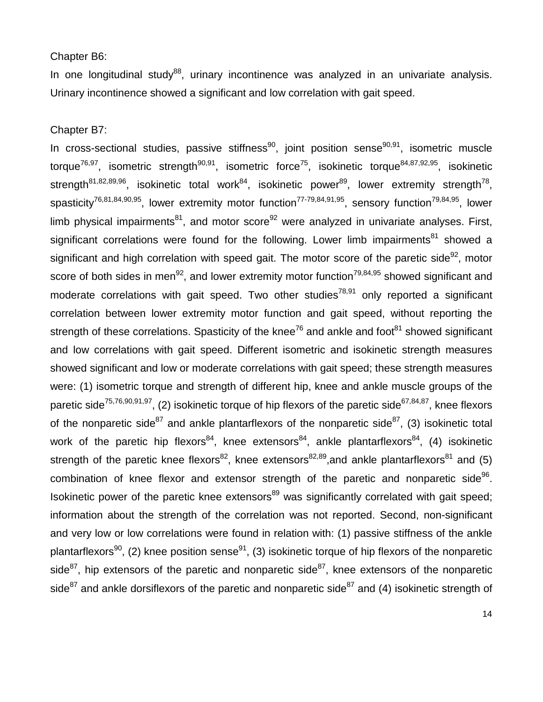#### Chapter B6:

In one longitudinal study<sup>88</sup>, urinary incontinence was analyzed in an univariate analysis. Urinary incontinence showed a significant and low correlation with gait speed.

Chapter B7:

In cross-sectional studies, passive stiffness<sup>90</sup>, joint position sense<sup>90,91</sup>, isometric muscle torque<sup>76,97</sup>, isometric strength<sup>90,91</sup>, isometric force<sup>75</sup>, isokinetic torque<sup>84,87,92,95</sup>, isokinetic strength<sup>81,82,89,96</sup>, isokinetic total work<sup>84</sup>, isokinetic power<sup>89</sup>, lower extremity strength<sup>78</sup>, spasticity<sup>76,81,84,90,95</sup>, lower extremity motor function<sup>77-79,84,91,95</sup>, sensory function<sup>79,84,95</sup>, lower limb physical impairments<sup>81</sup>, and motor score<sup>92</sup> were analyzed in univariate analyses. First, significant correlations were found for the following. Lower limb impairments $^{81}$  showed a significant and high correlation with speed gait. The motor score of the paretic side<sup>92</sup>, motor score of both sides in men<sup>92</sup>, and lower extremity motor function<sup>79,84,95</sup> showed significant and moderate correlations with gait speed. Two other studies<sup>78,91</sup> only reported a significant correlation between lower extremity motor function and gait speed, without reporting the strength of these correlations. Spasticity of the knee<sup>76</sup> and ankle and foot<sup>81</sup> showed significant and low correlations with gait speed. Different isometric and isokinetic strength measures showed significant and low or moderate correlations with gait speed; these strength measures were: (1) isometric torque and strength of different hip, knee and ankle muscle groups of the paretic side<sup>75,76,90,91,97</sup>, (2) isokinetic torque of hip flexors of the paretic side<sup>67,84,87</sup>, knee flexors of the nonparetic side<sup>87</sup> and ankle plantarflexors of the nonparetic side<sup>87</sup>, (3) isokinetic total work of the paretic hip flexors<sup>84</sup>, knee extensors<sup>84</sup>, ankle plantarflexors<sup>84</sup>, (4) isokinetic strength of the paretic knee flexors<sup>82</sup>, knee extensors<sup>82,89</sup>, and ankle plantarflexors<sup>81</sup> and (5) combination of knee flexor and extensor strength of the paretic and nonparetic side<sup>96</sup>. Isokinetic power of the paretic knee extensors<sup>89</sup> was significantly correlated with gait speed; information about the strength of the correlation was not reported. Second, non-significant and very low or low correlations were found in relation with: (1) passive stiffness of the ankle plantarflexors<sup>90</sup>, (2) knee position sense<sup>91</sup>, (3) isokinetic torque of hip flexors of the nonparetic side $^{87}$ , hip extensors of the paretic and nonparetic side $^{87}$ , knee extensors of the nonparetic side<sup>87</sup> and ankle dorsiflexors of the paretic and nonparetic side<sup>87</sup> and (4) isokinetic strength of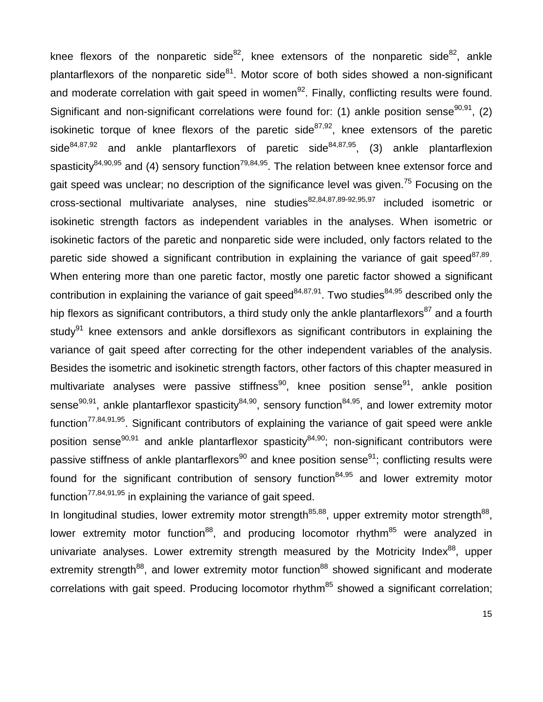knee flexors of the nonparetic side<sup>82</sup>, knee extensors of the nonparetic side<sup>82</sup>, ankle plantarflexors of the nonparetic side<sup>81</sup>. Motor score of both sides showed a non-significant and moderate correlation with gait speed in women<sup>92</sup>. Finally, conflicting results were found. Significant and non-significant correlations were found for: (1) ankle position sense  $90,91$ , (2) isokinetic torque of knee flexors of the paretic side<sup>87,92</sup>, knee extensors of the paretic side<sup>84,87,92</sup> and ankle plantarflexors of paretic side<sup>84,87,95</sup>, (3) ankle plantarflexion spasticity<sup>84,90,95</sup> and (4) sensory function<sup>79,84,95</sup>. The relation between knee extensor force and gait speed was unclear; no description of the significance level was given.<sup>75</sup> Focusing on the  $cross-sectional$  multivariate analyses, nine studies $82,84,87,89-92,95,97$  included isometric or isokinetic strength factors as independent variables in the analyses. When isometric or isokinetic factors of the paretic and nonparetic side were included, only factors related to the paretic side showed a significant contribution in explaining the variance of gait speed $87,89$ . When entering more than one paretic factor, mostly one paretic factor showed a significant contribution in explaining the variance of gait speed  $84,87,91$ . Two studies  $84,95$  described only the hip flexors as significant contributors, a third study only the ankle plantarflexors<sup>87</sup> and a fourth study<sup>91</sup> knee extensors and ankle dorsiflexors as significant contributors in explaining the variance of gait speed after correcting for the other independent variables of the analysis. Besides the isometric and isokinetic strength factors, other factors of this chapter measured in multivariate analyses were passive stiffness<sup>90</sup>, knee position sense<sup>91</sup>, ankle position sense<sup>90,91</sup>, ankle plantarflexor spasticity<sup>84,90</sup>, sensory function<sup>84,95</sup>, and lower extremity motor function<sup>77,84,91,95</sup>. Significant contributors of explaining the variance of gait speed were ankle position sense<sup>90,91</sup> and ankle plantarflexor spasticity<sup>84,90</sup>; non-significant contributors were passive stiffness of ankle plantarflexors<sup>90</sup> and knee position sense<sup>91</sup>; conflicting results were found for the significant contribution of sensory function<sup>84,95</sup> and lower extremity motor function<sup>77,84,91,95</sup> in explaining the variance of gait speed.

In longitudinal studies, lower extremity motor strength<sup>85,88</sup>, upper extremity motor strength<sup>88</sup>, lower extremity motor function<sup>88</sup>, and producing locomotor rhythm<sup>85</sup> were analyzed in univariate analyses. Lower extremity strength measured by the Motricity Index $^{88}$ , upper extremity strength<sup>88</sup>, and lower extremity motor function<sup>88</sup> showed significant and moderate correlations with gait speed. Producing locomotor rhythm<sup>85</sup> showed a significant correlation;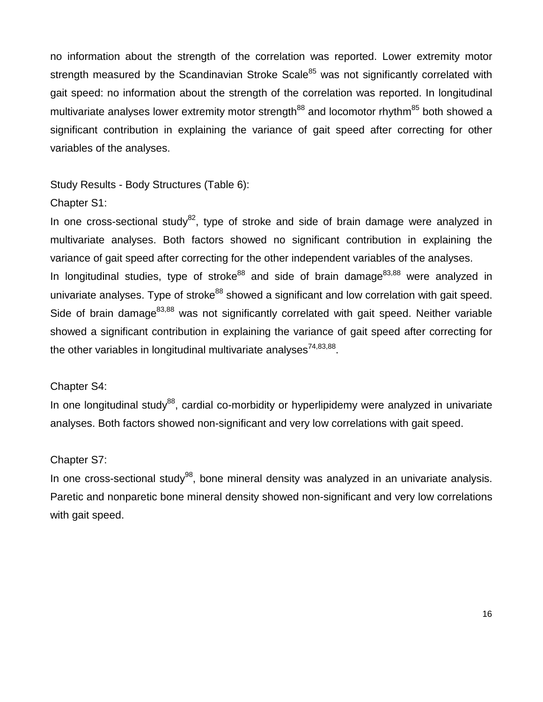no information about the strength of the correlation was reported. Lower extremity motor strength measured by the Scandinavian Stroke Scale<sup>85</sup> was not significantly correlated with gait speed: no information about the strength of the correlation was reported. In longitudinal multivariate analyses lower extremity motor strength<sup>88</sup> and locomotor rhythm<sup>85</sup> both showed a significant contribution in explaining the variance of gait speed after correcting for other variables of the analyses.

Study Results - Body Structures (Table 6):

# Chapter S1:

In one cross-sectional study<sup>82</sup>, type of stroke and side of brain damage were analyzed in multivariate analyses. Both factors showed no significant contribution in explaining the variance of gait speed after correcting for the other independent variables of the analyses. In longitudinal studies, type of stroke<sup>88</sup> and side of brain damage<sup>83,88</sup> were analyzed in univariate analyses. Type of stroke<sup>88</sup> showed a significant and low correlation with gait speed. Side of brain damage<sup>83,88</sup> was not significantly correlated with gait speed. Neither variable showed a significant contribution in explaining the variance of gait speed after correcting for the other variables in longitudinal multivariate analyses<sup>74,83,88</sup>.

# Chapter S4:

In one longitudinal study<sup>88</sup>, cardial co-morbidity or hyperlipidemy were analyzed in univariate analyses. Both factors showed non-significant and very low correlations with gait speed.

# Chapter S7:

In one cross-sectional study<sup>98</sup>, bone mineral density was analyzed in an univariate analysis. Paretic and nonparetic bone mineral density showed non-significant and very low correlations with gait speed.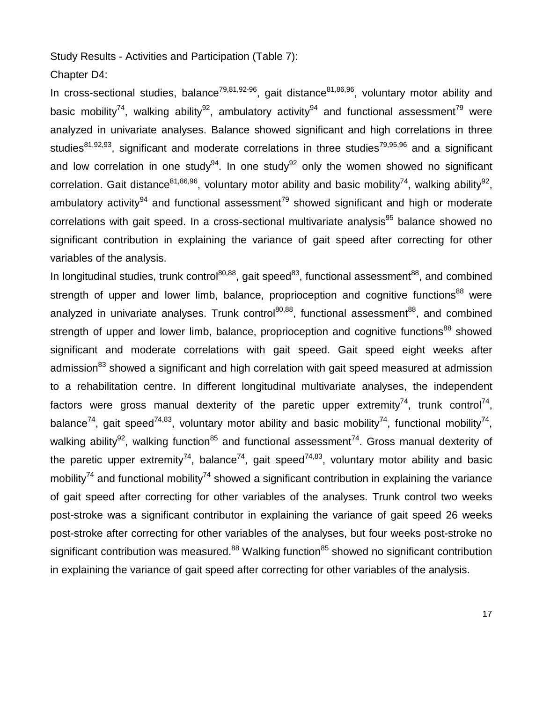Study Results - Activities and Participation (Table 7):

Chapter D4:

In cross-sectional studies, balance<sup>79,81,92-96</sup>, gait distance<sup>81,86,96</sup>, voluntary motor ability and basic mobility<sup>74</sup>, walking ability<sup>92</sup>, ambulatory activity<sup>94</sup> and functional assessment<sup>79</sup> were analyzed in univariate analyses. Balance showed significant and high correlations in three studies<sup>81,92,93</sup>, significant and moderate correlations in three studies<sup>79,95,96</sup> and a significant and low correlation in one study<sup>94</sup>. In one study<sup>92</sup> only the women showed no significant correlation. Gait distance<sup>81,86,96</sup>, voluntary motor ability and basic mobility<sup>74</sup>, walking ability<sup>92</sup>, ambulatory activity<sup>94</sup> and functional assessment<sup>79</sup> showed significant and high or moderate correlations with gait speed. In a cross-sectional multivariate analysis<sup>95</sup> balance showed no significant contribution in explaining the variance of gait speed after correcting for other variables of the analysis.

In longitudinal studies, trunk control<sup>80,88</sup>, gait speed<sup>83</sup>, functional assessment<sup>88</sup>, and combined strength of upper and lower limb, balance, proprioception and cognitive functions<sup>88</sup> were analyzed in univariate analyses. Trunk control<sup>80,88</sup>, functional assessment<sup>88</sup>, and combined strength of upper and lower limb, balance, proprioception and cognitive functions<sup>88</sup> showed significant and moderate correlations with gait speed. Gait speed eight weeks after admission<sup>83</sup> showed a significant and high correlation with gait speed measured at admission to a rehabilitation centre. In different longitudinal multivariate analyses, the independent factors were gross manual dexterity of the paretic upper extremity<sup>74</sup>, trunk control<sup>74</sup>, balance<sup>74</sup>, gait speed<sup>74,83</sup>, voluntary motor ability and basic mobility<sup>74</sup>, functional mobility<sup>74</sup>, walking ability<sup>92</sup>, walking function<sup>85</sup> and functional assessment<sup>74</sup>. Gross manual dexterity of the paretic upper extremity<sup>74</sup>, balance<sup>74</sup>, gait speed<sup>74,83</sup>, voluntary motor ability and basic mobility<sup>74</sup> and functional mobility<sup>74</sup> showed a significant contribution in explaining the variance of gait speed after correcting for other variables of the analyses. Trunk control two weeks post-stroke was a significant contributor in explaining the variance of gait speed 26 weeks post-stroke after correcting for other variables of the analyses, but four weeks post-stroke no significant contribution was measured.<sup>88</sup> Walking function<sup>85</sup> showed no significant contribution in explaining the variance of gait speed after correcting for other variables of the analysis.

17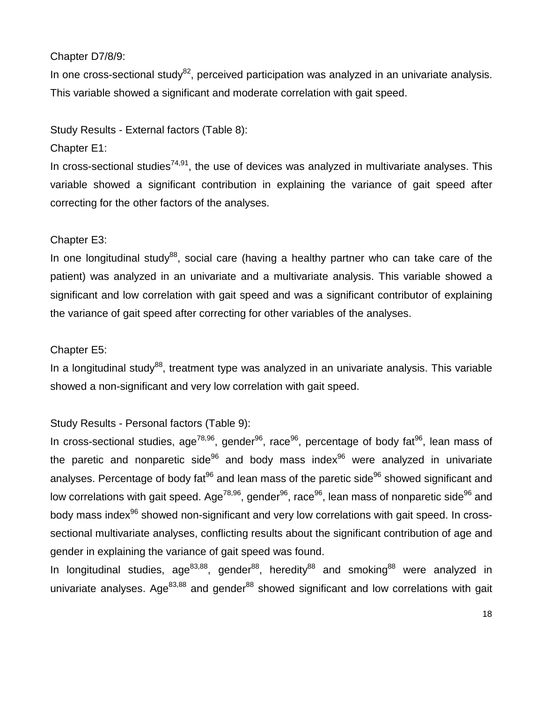# Chapter D7/8/9:

In one cross-sectional study $^{82}$ , perceived participation was analyzed in an univariate analysis. This variable showed a significant and moderate correlation with gait speed.

Study Results - External factors (Table 8):

Chapter E1:

In cross-sectional studies<sup>74,91</sup>, the use of devices was analyzed in multivariate analyses. This variable showed a significant contribution in explaining the variance of gait speed after correcting for the other factors of the analyses.

# Chapter E3:

In one longitudinal study $88$ , social care (having a healthy partner who can take care of the patient) was analyzed in an univariate and a multivariate analysis. This variable showed a significant and low correlation with gait speed and was a significant contributor of explaining the variance of gait speed after correcting for other variables of the analyses.

# Chapter E5:

In a longitudinal study<sup>88</sup>, treatment type was analyzed in an univariate analysis. This variable showed a non-significant and very low correlation with gait speed.

# Study Results - Personal factors (Table 9):

In cross-sectional studies, age<sup>78,96</sup>, gender<sup>96</sup>, race<sup>96</sup>, percentage of body fat<sup>96</sup>, lean mass of the paretic and nonparetic side<sup>96</sup> and body mass index<sup>96</sup> were analyzed in univariate analyses. Percentage of body fat<sup>96</sup> and lean mass of the paretic side<sup>96</sup> showed significant and low correlations with gait speed. Age<sup>78,96</sup>, gender<sup>96</sup>, race<sup>96</sup>, lean mass of nonparetic side<sup>96</sup> and body mass index<sup>96</sup> showed non-significant and very low correlations with gait speed. In crosssectional multivariate analyses, conflicting results about the significant contribution of age and gender in explaining the variance of gait speed was found.

In longitudinal studies, age<sup>83,88</sup>, gender<sup>88</sup>, heredity<sup>88</sup> and smoking<sup>88</sup> were analyzed in univariate analyses. Age<sup>83,88</sup> and gender<sup>88</sup> showed significant and low correlations with gait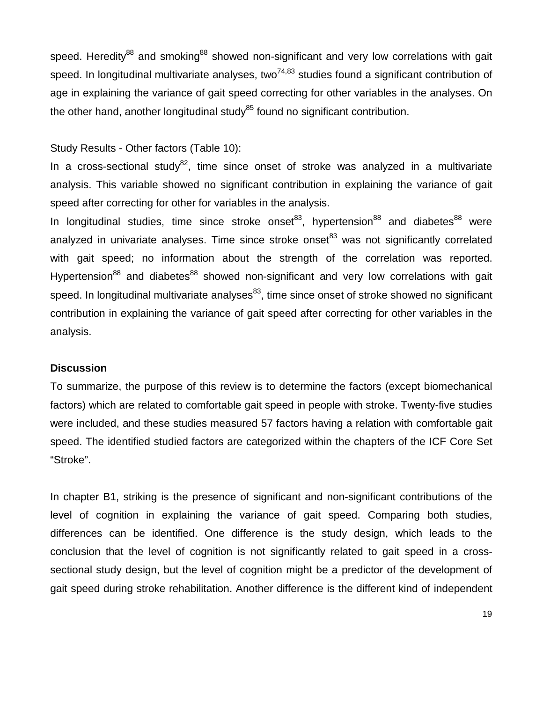speed. Heredity<sup>88</sup> and smoking<sup>88</sup> showed non-significant and very low correlations with gait speed. In longitudinal multivariate analyses, two<sup>74,83</sup> studies found a significant contribution of age in explaining the variance of gait speed correcting for other variables in the analyses. On the other hand, another longitudinal study<sup>85</sup> found no significant contribution.

# Study Results - Other factors (Table 10):

In a cross-sectional study<sup>82</sup>, time since onset of stroke was analyzed in a multivariate analysis. This variable showed no significant contribution in explaining the variance of gait speed after correcting for other for variables in the analysis.

In longitudinal studies, time since stroke onset<sup>83</sup>, hypertension<sup>88</sup> and diabetes<sup>88</sup> were analyzed in univariate analyses. Time since stroke onset $^{83}$  was not significantly correlated with gait speed; no information about the strength of the correlation was reported. Hypertension<sup>88</sup> and diabetes<sup>88</sup> showed non-significant and very low correlations with gait speed. In longitudinal multivariate analyses<sup>83</sup>, time since onset of stroke showed no significant contribution in explaining the variance of gait speed after correcting for other variables in the analysis.

#### **Discussion**

To summarize, the purpose of this review is to determine the factors (except biomechanical factors) which are related to comfortable gait speed in people with stroke. Twenty-five studies were included, and these studies measured 57 factors having a relation with comfortable gait speed. The identified studied factors are categorized within the chapters of the ICF Core Set "Stroke".

In chapter B1, striking is the presence of significant and non-significant contributions of the level of cognition in explaining the variance of gait speed. Comparing both studies, differences can be identified. One difference is the study design, which leads to the conclusion that the level of cognition is not significantly related to gait speed in a crosssectional study design, but the level of cognition might be a predictor of the development of gait speed during stroke rehabilitation. Another difference is the different kind of independent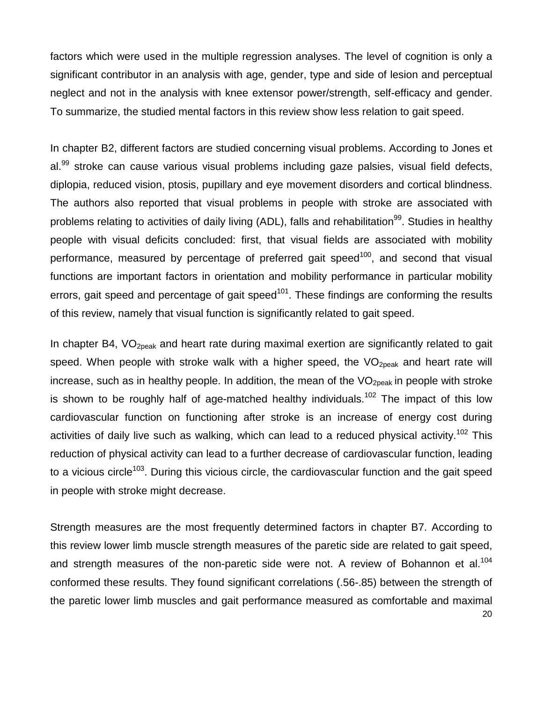factors which were used in the multiple regression analyses. The level of cognition is only a significant contributor in an analysis with age, gender, type and side of lesion and perceptual neglect and not in the analysis with knee extensor power/strength, self-efficacy and gender. To summarize, the studied mental factors in this review show less relation to gait speed.

In chapter B2, different factors are studied concerning visual problems. According to Jones et al.<sup>99</sup> stroke can cause various visual problems including gaze palsies, visual field defects, diplopia, reduced vision, ptosis, pupillary and eye movement disorders and cortical blindness. The authors also reported that visual problems in people with stroke are associated with problems relating to activities of daily living (ADL), falls and rehabilitation<sup>99</sup>. Studies in healthy people with visual deficits concluded: first, that visual fields are associated with mobility performance, measured by percentage of preferred gait speed<sup>100</sup>, and second that visual functions are important factors in orientation and mobility performance in particular mobility errors, gait speed and percentage of gait speed<sup>101</sup>. These findings are conforming the results of this review, namely that visual function is significantly related to gait speed.

In chapter B4,  $VO<sub>2peak</sub>$  and heart rate during maximal exertion are significantly related to gait speed. When people with stroke walk with a higher speed, the  $VO_{2\text{peak}}$  and heart rate will increase, such as in healthy people. In addition, the mean of the  $VO<sub>2peak</sub>$  in people with stroke is shown to be roughly half of age-matched healthy individuals.<sup>102</sup> The impact of this low cardiovascular function on functioning after stroke is an increase of energy cost during activities of daily live such as walking, which can lead to a reduced physical activity.<sup>102</sup> This reduction of physical activity can lead to a further decrease of cardiovascular function, leading to a vicious circle<sup>103</sup>. During this vicious circle, the cardiovascular function and the gait speed in people with stroke might decrease.

20 Strength measures are the most frequently determined factors in chapter B7. According to this review lower limb muscle strength measures of the paretic side are related to gait speed, and strength measures of the non-paretic side were not. A review of Bohannon et al.<sup>104</sup> conformed these results. They found significant correlations (.56-.85) between the strength of the paretic lower limb muscles and gait performance measured as comfortable and maximal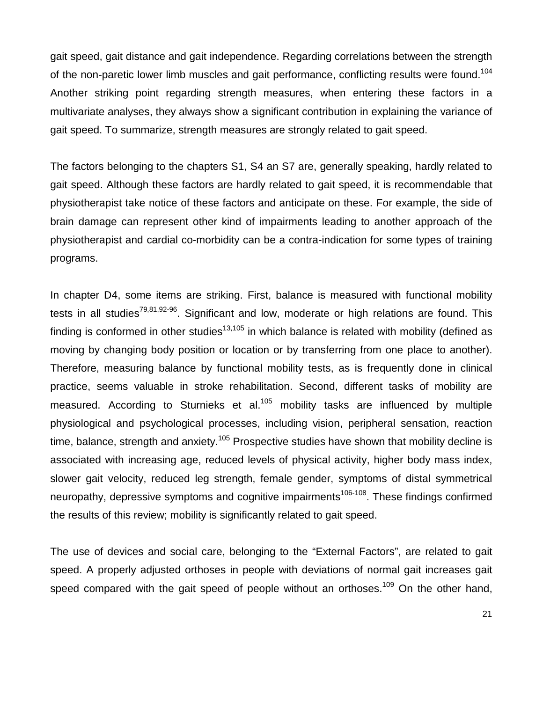gait speed, gait distance and gait independence. Regarding correlations between the strength of the non-paretic lower limb muscles and gait performance, conflicting results were found.<sup>104</sup> Another striking point regarding strength measures, when entering these factors in a multivariate analyses, they always show a significant contribution in explaining the variance of gait speed. To summarize, strength measures are strongly related to gait speed.

The factors belonging to the chapters S1, S4 an S7 are, generally speaking, hardly related to gait speed. Although these factors are hardly related to gait speed, it is recommendable that physiotherapist take notice of these factors and anticipate on these. For example, the side of brain damage can represent other kind of impairments leading to another approach of the physiotherapist and cardial co-morbidity can be a contra-indication for some types of training programs.

In chapter D4, some items are striking. First, balance is measured with functional mobility tests in all studies<sup>79,81,92-96</sup>. Significant and low, moderate or high relations are found. This finding is conformed in other studies<sup>13,105</sup> in which balance is related with mobility (defined as moving by changing body position or location or by transferring from one place to another). Therefore, measuring balance by functional mobility tests, as is frequently done in clinical practice, seems valuable in stroke rehabilitation. Second, different tasks of mobility are measured. According to Sturnieks et al.<sup>105</sup> mobility tasks are influenced by multiple physiological and psychological processes, including vision, peripheral sensation, reaction time, balance, strength and anxiety.<sup>105</sup> Prospective studies have shown that mobility decline is associated with increasing age, reduced levels of physical activity, higher body mass index, slower gait velocity, reduced leg strength, female gender, symptoms of distal symmetrical neuropathy, depressive symptoms and cognitive impairments<sup>106-108</sup>. These findings confirmed the results of this review; mobility is significantly related to gait speed.

The use of devices and social care, belonging to the "External Factors", are related to gait speed. A properly adjusted orthoses in people with deviations of normal gait increases gait speed compared with the gait speed of people without an orthoses.<sup>109</sup> On the other hand,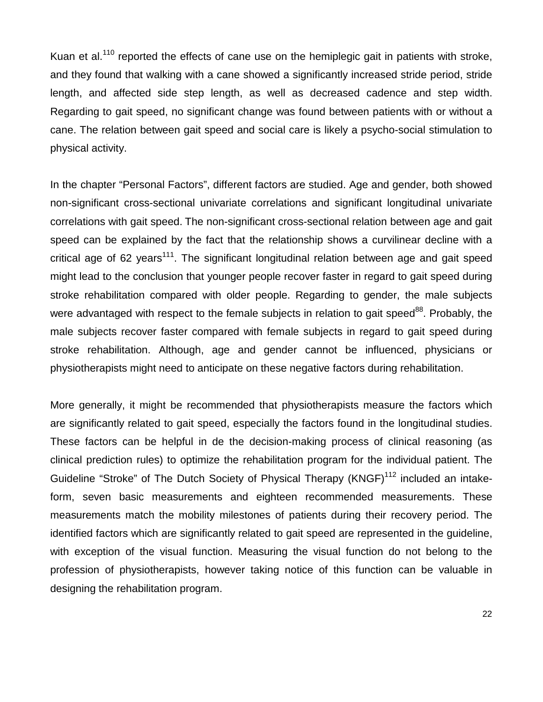Kuan et al.<sup>110</sup> reported the effects of cane use on the hemiplegic gait in patients with stroke, and they found that walking with a cane showed a significantly increased stride period, stride length, and affected side step length, as well as decreased cadence and step width. Regarding to gait speed, no significant change was found between patients with or without a cane. The relation between gait speed and social care is likely a psycho-social stimulation to physical activity.

In the chapter "Personal Factors", different factors are studied. Age and gender, both showed non-significant cross-sectional univariate correlations and significant longitudinal univariate correlations with gait speed. The non-significant cross-sectional relation between age and gait speed can be explained by the fact that the relationship shows a curvilinear decline with a critical age of 62 years<sup>111</sup>. The significant longitudinal relation between age and gait speed might lead to the conclusion that younger people recover faster in regard to gait speed during stroke rehabilitation compared with older people. Regarding to gender, the male subjects were advantaged with respect to the female subjects in relation to gait speed<sup>88</sup>. Probably, the male subjects recover faster compared with female subjects in regard to gait speed during stroke rehabilitation. Although, age and gender cannot be influenced, physicians or physiotherapists might need to anticipate on these negative factors during rehabilitation.

More generally, it might be recommended that physiotherapists measure the factors which are significantly related to gait speed, especially the factors found in the longitudinal studies. These factors can be helpful in de the decision-making process of clinical reasoning (as clinical prediction rules) to optimize the rehabilitation program for the individual patient. The Guideline "Stroke" of The Dutch Society of Physical Therapy (KNGF)<sup>112</sup> included an intakeform, seven basic measurements and eighteen recommended measurements. These measurements match the mobility milestones of patients during their recovery period. The identified factors which are significantly related to gait speed are represented in the guideline, with exception of the visual function. Measuring the visual function do not belong to the profession of physiotherapists, however taking notice of this function can be valuable in designing the rehabilitation program.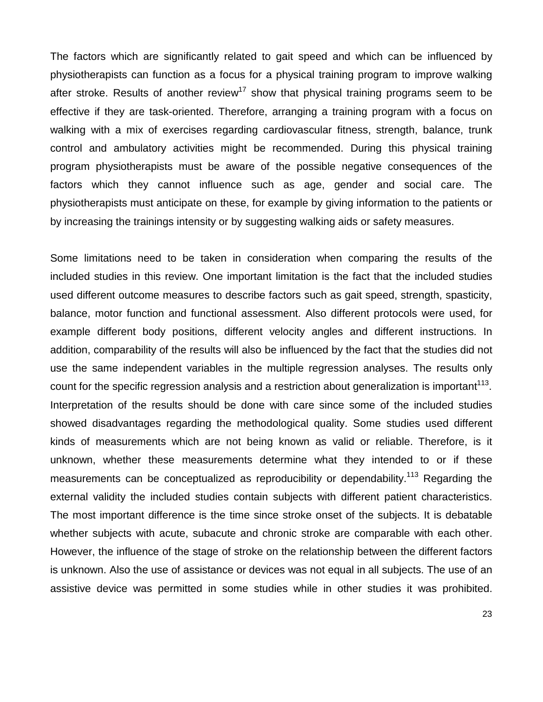The factors which are significantly related to gait speed and which can be influenced by physiotherapists can function as a focus for a physical training program to improve walking after stroke. Results of another review<sup>17</sup> show that physical training programs seem to be effective if they are task-oriented. Therefore, arranging a training program with a focus on walking with a mix of exercises regarding cardiovascular fitness, strength, balance, trunk control and ambulatory activities might be recommended. During this physical training program physiotherapists must be aware of the possible negative consequences of the factors which they cannot influence such as age, gender and social care. The physiotherapists must anticipate on these, for example by giving information to the patients or by increasing the trainings intensity or by suggesting walking aids or safety measures.

Some limitations need to be taken in consideration when comparing the results of the included studies in this review. One important limitation is the fact that the included studies used different outcome measures to describe factors such as gait speed, strength, spasticity, balance, motor function and functional assessment. Also different protocols were used, for example different body positions, different velocity angles and different instructions. In addition, comparability of the results will also be influenced by the fact that the studies did not use the same independent variables in the multiple regression analyses. The results only count for the specific regression analysis and a restriction about generalization is important<sup>113</sup>. Interpretation of the results should be done with care since some of the included studies showed disadvantages regarding the methodological quality. Some studies used different kinds of measurements which are not being known as valid or reliable. Therefore, is it unknown, whether these measurements determine what they intended to or if these measurements can be conceptualized as reproducibility or dependability.<sup>113</sup> Regarding the external validity the included studies contain subjects with different patient characteristics. The most important difference is the time since stroke onset of the subjects. It is debatable whether subjects with acute, subacute and chronic stroke are comparable with each other. However, the influence of the stage of stroke on the relationship between the different factors is unknown. Also the use of assistance or devices was not equal in all subjects. The use of an assistive device was permitted in some studies while in other studies it was prohibited.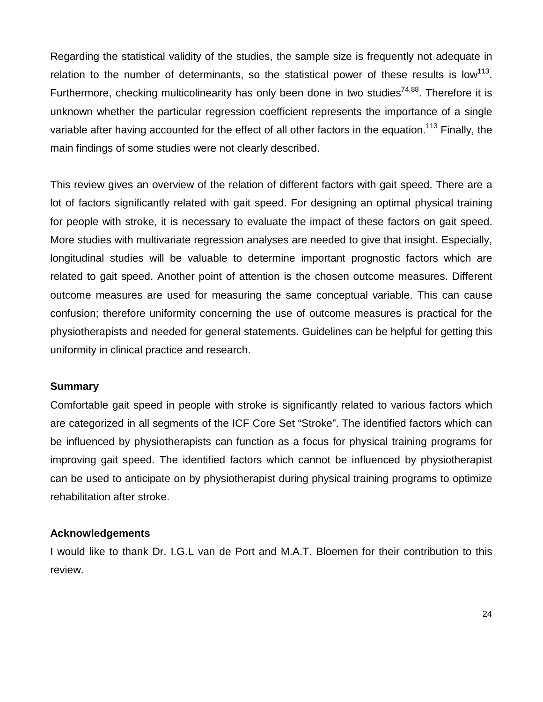Regarding the statistical validity of the studies, the sample size is frequently not adequate in relation to the number of determinants, so the statistical power of these results is low<sup>113</sup>. Furthermore, checking multicolinearity has only been done in two studies<sup>74,88</sup>. Therefore it is unknown whether the particular regression coefficient represents the importance of a single variable after having accounted for the effect of all other factors in the equation.<sup>113</sup> Finally, the main findings of some studies were not clearly described.

This review gives an overview of the relation of different factors with gait speed. There are a lot of factors significantly related with gait speed. For designing an optimal physical training for people with stroke, it is necessary to evaluate the impact of these factors on gait speed. More studies with multivariate regression analyses are needed to give that insight. Especially, longitudinal studies will be valuable to determine important prognostic factors which are related to gait speed. Another point of attention is the chosen outcome measures. Different outcome measures are used for measuring the same conceptual variable. This can cause confusion; therefore uniformity concerning the use of outcome measures is practical for the physiotherapists and needed for general statements. Guidelines can be helpful for getting this uniformity in clinical practice and research.

#### **Summary**

Comfortable gait speed in people with stroke is significantly related to various factors which are categorized in all segments of the ICF Core Set "Stroke". The identified factors which can be influenced by physiotherapists can function as a focus for physical training programs for improving gait speed. The identified factors which cannot be influenced by physiotherapist can be used to anticipate on by physiotherapist during physical training programs to optimize rehabilitation after stroke.

#### **Acknowledgements**

I would like to thank Dr. I.G.L van de Port and M.A.T. Bloemen for their contribution to this review.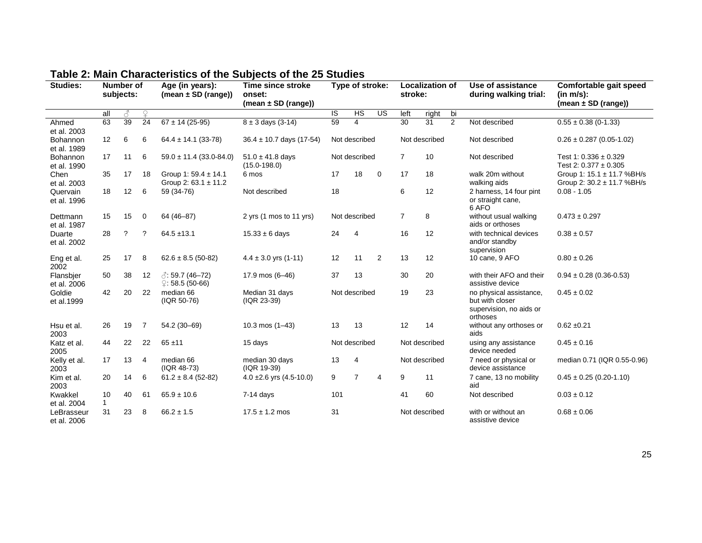| <b>Studies:</b>           |                    | Number of<br>subjects: |                 | Age (in years):<br>(mean $\pm$ SD (range))            | Time since stroke<br>onset:<br>(mean $\pm$ SD (range)) | Type of stroke: |                | <b>Localization of</b><br>stroke: |                | Use of assistance<br>during walking trial: | Comfortable gait speed<br>(in m/s):<br>(mean $\pm$ SD (range)) |                                                                                   |                                                          |
|---------------------------|--------------------|------------------------|-----------------|-------------------------------------------------------|--------------------------------------------------------|-----------------|----------------|-----------------------------------|----------------|--------------------------------------------|----------------------------------------------------------------|-----------------------------------------------------------------------------------|----------------------------------------------------------|
|                           | all                | 8                      | $\mathcal{Q}$   |                                                       |                                                        | IS              | HS             | US                                | left           | right                                      | bi                                                             |                                                                                   |                                                          |
| Ahmed<br>et al. 2003      | 63                 | 39                     | $\overline{24}$ | $67 \pm 14$ (25-95)                                   | $8 \pm 3$ days (3-14)                                  | 59              | 4              |                                   | 30             | $\overline{31}$                            | 2                                                              | Not described                                                                     | $0.55 \pm 0.38$ (0-1.33)                                 |
| Bohannon<br>et al. 1989   | 12                 | 6                      | 6               | $64.4 \pm 14.1$ (33-78)                               | $36.4 \pm 10.7$ days (17-54)                           |                 | Not described  |                                   |                | Not described                              |                                                                | Not described                                                                     | $0.26 \pm 0.287$ (0.05-1.02)                             |
| Bohannon<br>et al. 1990   | 17                 | 11                     | 6               | $59.0 \pm 11.4$ (33.0-84.0)                           | $51.0 \pm 41.8$ days<br>$(15.0 - 198.0)$               |                 | Not described  |                                   | $\overline{7}$ | 10                                         |                                                                | Not described                                                                     | Test 1: $0.336 \pm 0.329$<br>Test 2: $0.377 \pm 0.305$   |
| Chen<br>et al. 2003       | 35                 | 17                     | 18              | Group 1: $59.4 \pm 14.1$<br>Group 2: $63.1 \pm 11.2$  | 6 mos                                                  | 17              | 18             | $\mathbf 0$                       | 17             | 18                                         |                                                                | walk 20m without<br>walking aids                                                  | Group 1: 15.1 ± 11.7 %BH/s<br>Group 2: 30.2 ± 11.7 %BH/s |
| Quervain<br>et al. 1996   | 18                 | 12                     | 6               | 59 (34-76)                                            | Not described                                          | 18              |                |                                   | 6              | 12                                         |                                                                | 2 harness, 14 four pint<br>or straight cane,<br>6 AFO                             | $0.08 - 1.05$                                            |
| Dettmann<br>et al. 1987   | 15                 | 15                     | 0               | 64 (46-87)                                            | 2 yrs (1 mos to 11 yrs)                                |                 | Not described  |                                   | $\overline{7}$ | 8                                          |                                                                | without usual walking<br>aids or orthoses                                         | $0.473 \pm 0.297$                                        |
| Duarte<br>et al. 2002     | 28                 | ?                      | ?               | $64.5 + 13.1$                                         | $15.33 \pm 6$ days                                     | 24              | $\overline{4}$ |                                   | 16             | 12                                         |                                                                | with technical devices<br>and/or standby<br>supervision                           | $0.38 \pm 0.57$                                          |
| Eng et al.<br>2002        | 25                 | 17                     | 8               | $62.6 \pm 8.5$ (50-82)                                | $4.4 \pm 3.0$ yrs (1-11)                               | 12              | 11             | 2                                 | 13             | 12                                         |                                                                | 10 cane, 9 AFO                                                                    | $0.80 \pm 0.26$                                          |
| Flansbjer<br>et al. 2006  | 50                 | 38                     | 12              | $\sqrt{3}$ : 59.7 (46–72)<br>$\degree$ : 58.5 (50-66) | 17.9 mos (6-46)                                        | 37              | 13             |                                   | 30             | 20                                         |                                                                | with their AFO and their<br>assistive device                                      | $0.94 \pm 0.28$ (0.36-0.53)                              |
| Goldie<br>et al.1999      | 42                 | 20                     | 22              | median 66<br>(IQR 50-76)                              | Median 31 days<br>(IQR 23-39)                          |                 | Not described  |                                   | 19             | 23                                         |                                                                | no physical assistance,<br>but with closer<br>supervision, no aids or<br>orthoses | $0.45 \pm 0.02$                                          |
| Hsu et al.<br>2003        | 26                 | 19                     | $\overline{7}$  | 54.2 (30-69)                                          | 10.3 mos $(1-43)$                                      | 13              | 13             |                                   | 12             | 14                                         |                                                                | without any orthoses or<br>aids                                                   | $0.62 + 0.21$                                            |
| Katz et al.<br>2005       | 44                 | 22                     | 22              | $65 + 11$                                             | 15 days                                                |                 | Not described  |                                   |                | Not described                              |                                                                | using any assistance<br>device needed                                             | $0.45 \pm 0.16$                                          |
| Kelly et al.<br>2003      | 17                 | 13                     | $\overline{4}$  | median 66<br>(IQR 48-73)                              | median 30 days<br>(IQR 19-39)                          | 13              | $\overline{4}$ |                                   |                | Not described                              |                                                                | 7 need or physical or<br>device assistance                                        | median 0.71 (IQR 0.55-0.96)                              |
| Kim et al.<br>2003        | 20                 | 14                     | 6               | $61.2 \pm 8.4$ (52-82)                                | 4.0 $\pm$ 2.6 yrs (4.5-10.0)                           | 9               | $\overline{7}$ | 4                                 | 9              | 11                                         |                                                                | 7 cane, 13 no mobility<br>aid                                                     | $0.45 \pm 0.25$ (0.20-1.10)                              |
| Kwakkel<br>et al. 2004    | 10<br>$\mathbf{1}$ | 40                     | 61              | $65.9 \pm 10.6$                                       | $7-14$ days                                            | 101             |                |                                   | 41             | 60                                         |                                                                | Not described                                                                     | $0.03 \pm 0.12$                                          |
| LeBrasseur<br>et al. 2006 | 31                 | 23                     | 8               | $66.2 \pm 1.5$                                        | $17.5 \pm 1.2 \text{ mos}$                             | 31              |                |                                   |                | Not described                              |                                                                | with or without an<br>assistive device                                            | $0.68 \pm 0.06$                                          |

# **Table 2: Main Characteristics of the Subjects of the 25 Studies**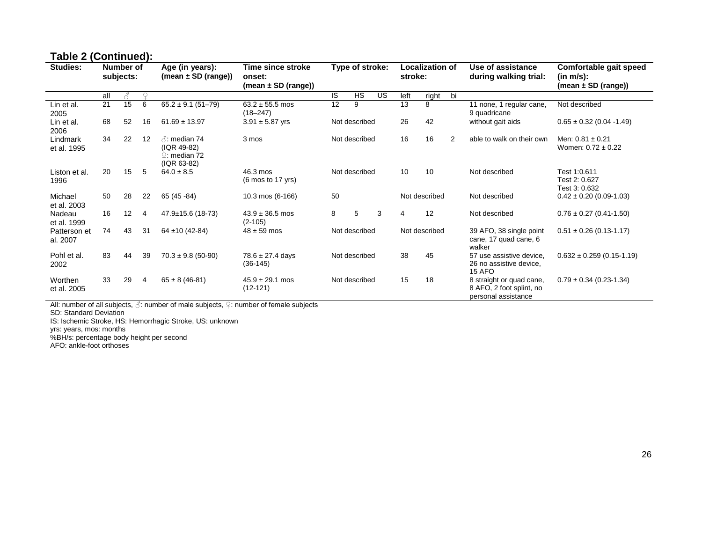# **Table 2 (Continued):**

| <b>Studies:</b>          |     | Number of<br>subjects: |          | Age (in years):<br>(mean $\pm$ SD (range))                                    | Time since stroke<br>onset:<br>$(mean \pm SD (range))$ | Type of stroke: |               | Localization of<br>stroke: |      |               | Use of assistance<br>during walking trial: | Comfortable gait speed<br>(in m/s):<br>$(mean \pm SD (range))$              |                                                |
|--------------------------|-----|------------------------|----------|-------------------------------------------------------------------------------|--------------------------------------------------------|-----------------|---------------|----------------------------|------|---------------|--------------------------------------------|-----------------------------------------------------------------------------|------------------------------------------------|
|                          | all | В                      | $\Omega$ |                                                                               |                                                        | IS              | HS            | US                         | left | right         | bi                                         |                                                                             |                                                |
| Lin et al.<br>2005       | 21  | 15                     | 6        | $65.2 \pm 9.1 (51 - 79)$                                                      | $63.2 \pm 55.5$ mos<br>$(18 - 247)$                    | 12              | 9             |                            | 13   | 8             |                                            | 11 none, 1 regular cane,<br>9 quadricane                                    | Not described                                  |
| Lin et al.<br>2006       | 68  | 52                     | 16       | $61.69 \pm 13.97$                                                             | $3.91 \pm 5.87$ yrs                                    |                 | Not described |                            | 26   | 42            |                                            | without gait aids                                                           | $0.65 \pm 0.32$ (0.04 -1.49)                   |
| Lindmark<br>et al. 1995  | 34  | 22                     | 12       | $\land$ : median 74<br>(IQR 49-82)<br>$\Omega$ : median 72.<br>$( IQR 63-82)$ | 3 mos                                                  |                 | Not described |                            | 16   | 16            | $\overline{2}$                             | able to walk on their own                                                   | Men: $0.81 \pm 0.21$<br>Women: $0.72 \pm 0.22$ |
| Liston et al.<br>1996    | 20  | 15                     | 5        | $64.0 \pm 8.5$                                                                | 46.3 mos<br>$(6 \text{ mos to } 17 \text{ yrs})$       |                 | Not described |                            | 10   | 10            |                                            | Not described                                                               | Test 1:0.611<br>Test 2: 0.627<br>Test 3: 0.632 |
| Michael<br>et al. 2003   | 50  | 28                     | 22       | 65 (45 - 84)                                                                  | 10.3 mos (6-166)                                       | 50              |               |                            |      | Not described |                                            | Not described                                                               | $0.42 \pm 0.20$ (0.09-1.03)                    |
| Nadeau<br>et al. 1999    | 16  | 12                     | -4       | $47.9 \pm 15.6$ (18-73)                                                       | $43.9 \pm 36.5$ mos<br>$(2-105)$                       | 8               | 5             | 3                          | 4    | 12            |                                            | Not described                                                               | $0.76 \pm 0.27$ (0.41-1.50)                    |
| Patterson et<br>al. 2007 | 74  | 43                     | 31       | $64 \pm 10 (42 - 84)$                                                         | $48 \pm 59$ mos                                        |                 | Not described |                            |      | Not described |                                            | 39 AFO, 38 single point<br>cane, 17 quad cane, 6<br>walker                  | $0.51 \pm 0.26$ (0.13-1.17)                    |
| Pohl et al.<br>2002      | 83  | 44                     | 39       | $70.3 \pm 9.8$ (50-90)                                                        | $78.6 \pm 27.4$ days<br>$(36-145)$                     |                 | Not described |                            | 38   | 45            |                                            | 57 use assistive device.<br>26 no assistive device,<br>15 AFO               | $0.632 \pm 0.259$ (0.15-1.19)                  |
| Worthen<br>et al. 2005   | 33  | 29                     | 4        | $65 \pm 8 (46 - 81)$                                                          | $45.9 \pm 29.1$ mos<br>$(12-121)$                      |                 | Not described |                            | 15   | 18            |                                            | 8 straight or quad cane,<br>8 AFO, 2 foot splint, no<br>personal assistance | $0.79 \pm 0.34$ (0.23-1.34)                    |

All: number of all subjects,  $\beta$ : number of male subjects,  $\c \mathop{?}:$  number of female subjects

SD: Standard Deviation

IS: Ischemic Stroke, HS: Hemorrhagic Stroke, US: unknown

yrs: years, mos: months

%BH/s: percentage body height per second

AFO: ankle-foot orthoses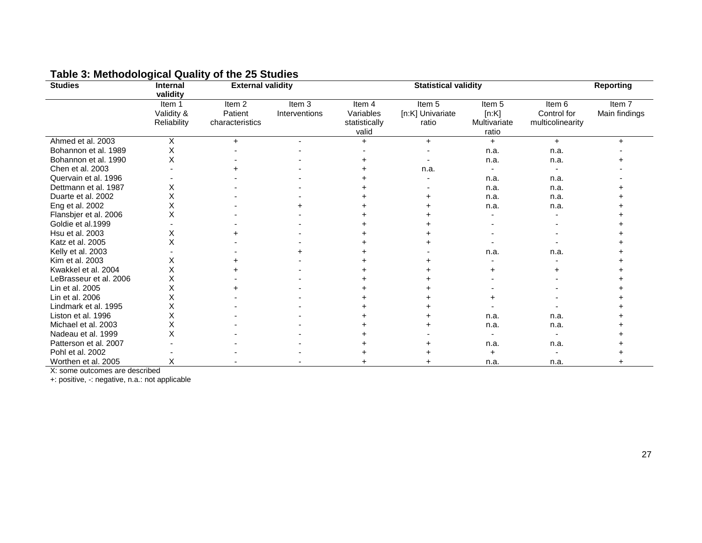| <b>Studies</b>         | <b>Internal</b><br>validity         | <b>External validity</b>                        |                         |                                               | <b>Statistical validity</b>         |                                                     |                                           | <b>Reporting</b>        |
|------------------------|-------------------------------------|-------------------------------------------------|-------------------------|-----------------------------------------------|-------------------------------------|-----------------------------------------------------|-------------------------------------------|-------------------------|
|                        | Item 1<br>Validity &<br>Reliability | Item <sub>2</sub><br>Patient<br>characteristics | Item 3<br>Interventions | Item 4<br>Variables<br>statistically<br>valid | Item 5<br>[n:K] Univariate<br>ratio | Item <sub>5</sub><br>[n:K]<br>Multivariate<br>ratio | Item 6<br>Control for<br>multicolinearity | Item 7<br>Main findings |
| Ahmed et al. 2003      | х                                   | $+$                                             | $\blacksquare$          | $+$                                           | $+$                                 | $+$                                                 | $+$                                       | $\ddot{}$               |
| Bohannon et al. 1989   | X                                   |                                                 |                         |                                               |                                     | n.a.                                                | n.a.                                      |                         |
| Bohannon et al. 1990   | х                                   |                                                 |                         |                                               |                                     | n.a.                                                | n.a.                                      |                         |
| Chen et al. 2003       |                                     |                                                 |                         |                                               | n.a.                                |                                                     |                                           |                         |
| Quervain et al. 1996   |                                     |                                                 |                         |                                               |                                     | n.a.                                                | n.a.                                      |                         |
| Dettmann et al. 1987   | Х                                   |                                                 |                         |                                               |                                     | n.a.                                                | n.a.                                      |                         |
| Duarte et al. 2002     | X                                   |                                                 |                         |                                               |                                     | n.a.                                                | n.a.                                      |                         |
| Eng et al. 2002        | X                                   |                                                 |                         |                                               |                                     | n.a.                                                | n.a.                                      |                         |
| Flansbjer et al. 2006  | X                                   |                                                 |                         |                                               |                                     |                                                     |                                           |                         |
| Goldie et al.1999      |                                     |                                                 |                         |                                               |                                     |                                                     |                                           |                         |
| Hsu et al. 2003        | Х                                   |                                                 |                         |                                               |                                     |                                                     |                                           |                         |
| Katz et al. 2005       | Х                                   |                                                 |                         |                                               |                                     |                                                     |                                           |                         |
| Kelly et al. 2003      |                                     |                                                 |                         |                                               |                                     | n.a.                                                | n.a.                                      |                         |
| Kim et al. 2003        | Χ                                   |                                                 |                         |                                               |                                     |                                                     |                                           |                         |
| Kwakkel et al. 2004    | Χ                                   |                                                 |                         |                                               |                                     |                                                     |                                           |                         |
| LeBrasseur et al. 2006 | х                                   |                                                 |                         |                                               |                                     |                                                     |                                           |                         |
| Lin et al. 2005        |                                     |                                                 |                         |                                               |                                     |                                                     |                                           |                         |
| Lin et al. 2006        | Χ                                   |                                                 |                         |                                               |                                     |                                                     |                                           |                         |
| Lindmark et al. 1995   | Χ                                   |                                                 |                         |                                               |                                     |                                                     |                                           |                         |
| Liston et al. 1996     | X                                   |                                                 |                         |                                               |                                     | n.a.                                                | n.a.                                      |                         |
| Michael et al. 2003    | X                                   |                                                 |                         |                                               |                                     | n.a.                                                | n.a.                                      |                         |
| Nadeau et al. 1999     | Χ                                   |                                                 |                         |                                               |                                     |                                                     |                                           |                         |
| Patterson et al. 2007  |                                     |                                                 |                         |                                               |                                     | n.a.                                                | n.a.                                      |                         |
| Pohl et al. 2002       |                                     |                                                 |                         |                                               |                                     |                                                     |                                           |                         |
| Worthen et al. 2005    | х                                   |                                                 |                         |                                               |                                     | n.a.                                                | n.a.                                      |                         |

# **Table 3: Methodological Quality of the 25 Studies**

X: some outcomes are described

+: positive, -: negative, n.a.: not applicable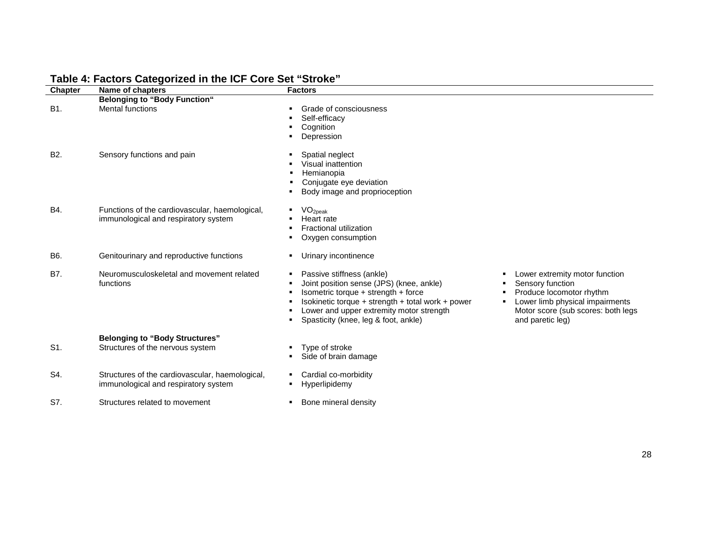| <b>Chapter</b>   | Name of chapters                                                                        | <b>Factors</b>                                                                                                                                                                                                                                                                                                                                                                                                                       |
|------------------|-----------------------------------------------------------------------------------------|--------------------------------------------------------------------------------------------------------------------------------------------------------------------------------------------------------------------------------------------------------------------------------------------------------------------------------------------------------------------------------------------------------------------------------------|
|                  | <b>Belonging to "Body Function"</b>                                                     |                                                                                                                                                                                                                                                                                                                                                                                                                                      |
| B1.              | <b>Mental functions</b>                                                                 | Grade of consciousness<br>Self-efficacy<br>Cognition<br>Depression                                                                                                                                                                                                                                                                                                                                                                   |
| B <sub>2</sub> . | Sensory functions and pain                                                              | Spatial neglect<br>Visual inattention<br>Hemianopia<br>Conjugate eye deviation<br>Body image and proprioception                                                                                                                                                                                                                                                                                                                      |
| B4.              | Functions of the cardiovascular, haemological,<br>immunological and respiratory system  | VO <sub>2peak</sub><br>Heart rate<br><b>Fractional utilization</b><br>Oxygen consumption                                                                                                                                                                                                                                                                                                                                             |
| B6.              | Genitourinary and reproductive functions                                                | Urinary incontinence                                                                                                                                                                                                                                                                                                                                                                                                                 |
| <b>B7.</b>       | Neuromusculoskeletal and movement related<br>functions                                  | Passive stiffness (ankle)<br>Lower extremity motor function<br>Joint position sense (JPS) (knee, ankle)<br>Sensory function<br>Produce locomotor rhythm<br>Isometric torque + strength + force<br>Isokinetic torque + strength + total work + power<br>Lower limb physical impairments<br>Lower and upper extremity motor strength<br>Motor score (sub scores: both legs<br>Spasticity (knee, leg & foot, ankle)<br>and paretic leg) |
| S1.              | <b>Belonging to "Body Structures"</b><br>Structures of the nervous system               | Type of stroke<br>Side of brain damage                                                                                                                                                                                                                                                                                                                                                                                               |
| S4.              | Structures of the cardiovascular, haemological,<br>immunological and respiratory system | Cardial co-morbidity<br>Hyperlipidemy                                                                                                                                                                                                                                                                                                                                                                                                |
| S7.              | Structures related to movement                                                          | Bone mineral density                                                                                                                                                                                                                                                                                                                                                                                                                 |

# **Table 4: Factors Categorized in the ICF Core Set "Stroke"**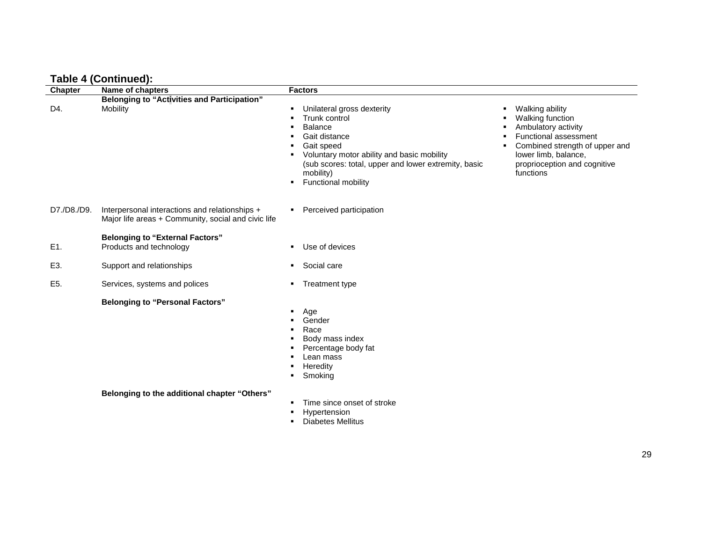|  | <b>Table 4 (Continued):</b> |  |
|--|-----------------------------|--|
|--|-----------------------------|--|

| <b>Chapter</b> | $1.4010 + 1.50111111000111$<br>Name of chapters                                                       | <b>Factors</b>                                                                                                                                                                                                                                                                                                                                                                                                                                  |
|----------------|-------------------------------------------------------------------------------------------------------|-------------------------------------------------------------------------------------------------------------------------------------------------------------------------------------------------------------------------------------------------------------------------------------------------------------------------------------------------------------------------------------------------------------------------------------------------|
| D4.            | <b>Belonging to "Activities and Participation"</b><br>Mobility                                        | Unilateral gross dexterity<br>Walking ability<br>٠.<br>Trunk control<br>Walking function<br>Ambulatory activity<br><b>Balance</b><br>Functional assessment<br>Gait distance<br>Combined strength of upper and<br>Gait speed<br>Voluntary motor ability and basic mobility<br>lower limb, balance,<br>proprioception and cognitive<br>(sub scores: total, upper and lower extremity, basic<br>mobility)<br>functions<br>Functional mobility<br>٠ |
| D7./D8./D9.    | Interpersonal interactions and relationships +<br>Major life areas + Community, social and civic life | Perceived participation<br>٠                                                                                                                                                                                                                                                                                                                                                                                                                    |
| E1.            | <b>Belonging to "External Factors"</b><br>Products and technology                                     | Use of devices<br>$\blacksquare$                                                                                                                                                                                                                                                                                                                                                                                                                |
| E3.            | Support and relationships                                                                             | Social care<br>л.                                                                                                                                                                                                                                                                                                                                                                                                                               |
| E5.            | Services, systems and polices                                                                         | Treatment type<br>٠                                                                                                                                                                                                                                                                                                                                                                                                                             |
|                | <b>Belonging to "Personal Factors"</b>                                                                | Age<br>٠<br>Gender<br>Race<br>Body mass index<br>Percentage body fat<br>Lean mass<br>Heredity<br>Smoking<br>٠.                                                                                                                                                                                                                                                                                                                                  |
|                | Belonging to the additional chapter "Others"                                                          | Time since onset of stroke<br>Hypertension<br>٠                                                                                                                                                                                                                                                                                                                                                                                                 |

**Diabetes Mellitus**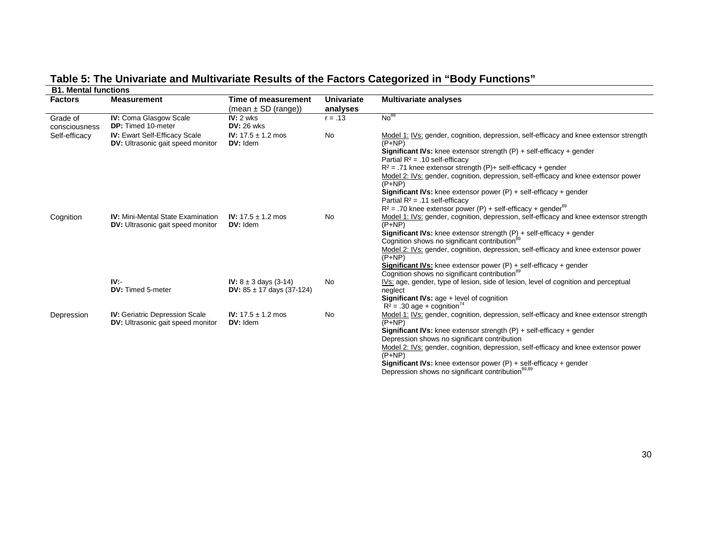# **Table 5: The Univariate and Multivariate Results of the Factors Categorized in "Body Functions"**

| <b>B1. Mental functions</b> |                                                                                      |                                                |                               |                                                                                                                                                      |  |  |  |
|-----------------------------|--------------------------------------------------------------------------------------|------------------------------------------------|-------------------------------|------------------------------------------------------------------------------------------------------------------------------------------------------|--|--|--|
| <b>Factors</b>              | <b>Measurement</b>                                                                   | Time of measurement<br>$(mean \pm SD (range))$ | <b>Univariate</b><br>analyses | <b>Multivariate analyses</b>                                                                                                                         |  |  |  |
| Grade of<br>consciousness   | IV: Coma Glasgow Scale<br><b>DP:</b> Timed 10-meter                                  | $IV: 2$ wks<br><b>DV: 26 wks</b>               | $r = .13$                     | No <sup>88</sup>                                                                                                                                     |  |  |  |
| Self-efficacy               | <b>IV: Ewart Self-Efficacy Scale</b><br><b>DV:</b> Ultrasonic gait speed monitor     | <b>IV:</b> $17.5 \pm 1.2$ mos<br>DV: Idem      | <b>No</b>                     | Model 1: IVs: gender, cognition, depression, self-efficacy and knee extensor strength<br>$(P + NP)$                                                  |  |  |  |
|                             |                                                                                      |                                                |                               | <b>Significant IVs:</b> knee extensor strength $(P)$ + self-efficacy + gender<br>Partial $R^2$ = .10 self-efficacy                                   |  |  |  |
|                             |                                                                                      |                                                |                               | $R^2$ = .71 knee extensor strength (P)+ self-efficacy + gender<br>Model 2: IVs: gender, cognition, depression, self-efficacy and knee extensor power |  |  |  |
|                             |                                                                                      |                                                |                               | $(P+NP)$                                                                                                                                             |  |  |  |
|                             |                                                                                      |                                                |                               | <b>Significant IVs:</b> knee extensor power $(P)$ + self-efficacy + gender<br>Partial $R^2$ = .11 self-efficacy                                      |  |  |  |
|                             |                                                                                      |                                                |                               | $R^2$ = .70 knee extensor power (P) + self-efficacy + gender <sup>89</sup>                                                                           |  |  |  |
| Cognition                   | <b>IV:</b> Mini-Mental State Examination<br><b>DV:</b> Ultrasonic gait speed monitor | <b>IV:</b> $17.5 \pm 1.2$ mos<br>DV: Idem      | <b>No</b>                     | Model 1: IVs: gender, cognition, depression, self-efficacy and knee extensor strength<br>$(P+NP)$                                                    |  |  |  |
|                             |                                                                                      |                                                |                               | <b>Significant IVs:</b> knee extensor strength $(P)$ + self-efficacy + gender<br>Cognition shows no significant contribution <sup>89</sup>           |  |  |  |
|                             |                                                                                      |                                                |                               | Model 2: IVs: gender, cognition, depression, self-efficacy and knee extensor power<br>$(P+NP)$                                                       |  |  |  |
|                             |                                                                                      |                                                |                               | <b>Significant IVs:</b> knee extensor power $(P)$ + self-efficacy + gender<br>Cognition shows no significant contribution <sup>89</sup>              |  |  |  |
|                             | IV:                                                                                  | <b>IV:</b> $8 \pm 3$ days (3-14)               | No                            | IVs: age, gender, type of lesion, side of lesion, level of cognition and perceptual                                                                  |  |  |  |
|                             | <b>DV:</b> Timed 5-meter                                                             | DV: $85 \pm 17$ days (37-124)                  |                               | neglect<br>Significant IVs: age + level of cognition                                                                                                 |  |  |  |
|                             |                                                                                      |                                                |                               | $R^2$ = .30 age + cognition <sup>74</sup>                                                                                                            |  |  |  |
| Depression                  | <b>IV: Geriatric Depression Scale</b><br><b>DV:</b> Ultrasonic gait speed monitor    | <b>IV:</b> $17.5 \pm 1.2$ mos<br>DV: Idem      | No                            | Model 1: IVs: gender, cognition, depression, self-efficacy and knee extensor strength<br>$(P+NP)$                                                    |  |  |  |
|                             |                                                                                      |                                                |                               | <b>Significant IVs:</b> knee extensor strength $(P)$ + self-efficacy + gender                                                                        |  |  |  |
|                             |                                                                                      |                                                |                               | Depression shows no significant contribution                                                                                                         |  |  |  |
|                             |                                                                                      |                                                |                               | Model 2: IVs: gender, cognition, depression, self-efficacy and knee extensor power<br>$(P+NP)$                                                       |  |  |  |
|                             |                                                                                      |                                                |                               | <b>Significant IVs:</b> knee extensor power $(P)$ + self-efficacy + gender                                                                           |  |  |  |
|                             |                                                                                      |                                                |                               | Depression shows no significant contribution <sup>89,89</sup>                                                                                        |  |  |  |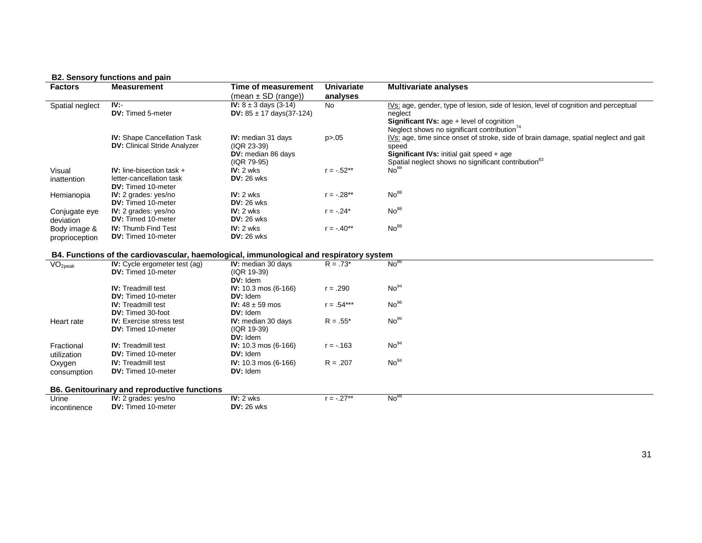#### **B2. Sensory functions and pain**

| <b>Factors</b>          | <b>Measurement</b>                                                                      | <b>Time of measurement</b>        | <b>Univariate</b> | <b>Multivariate analyses</b>                                                         |
|-------------------------|-----------------------------------------------------------------------------------------|-----------------------------------|-------------------|--------------------------------------------------------------------------------------|
|                         |                                                                                         | $(mean \pm SD (range))$           | analyses          |                                                                                      |
| Spatial neglect         | $\overline{IV}$ .                                                                       | <b>IV:</b> $8 \pm 3$ days (3-14)  | <b>No</b>         | IVs: age, gender, type of lesion, side of lesion, level of cognition and perceptual  |
|                         | DV: Timed 5-meter                                                                       | DV: $85 \pm 17$ days(37-124)      |                   | neglect                                                                              |
|                         |                                                                                         |                                   |                   | <b>Significant IVs: age + level of cognition</b>                                     |
|                         |                                                                                         |                                   |                   | Neglect shows no significant contribution <sup>74</sup>                              |
|                         | <b>IV:</b> Shape Cancellation Task                                                      | IV: median 31 days                | p > 0.05          | IVs: age, time since onset of stroke, side of brain damage, spatial neglect and gait |
|                         | <b>DV:</b> Clinical Stride Analyzer                                                     | (IQR 23-39)                       |                   | speed                                                                                |
|                         |                                                                                         | DV: median 86 days<br>(IQR 79-95) |                   | Significant IVs: initial gait speed + age                                            |
| Visual                  | IV: line-bisection task $+$                                                             | $IV: 2$ wks                       | $r = -.52**$      | Spatial neglect shows no significant contribution <sup>83</sup><br>No <sup>88</sup>  |
| inattention             | letter-cancellation task                                                                | <b>DV: 26 wks</b>                 |                   |                                                                                      |
|                         | <b>DV:</b> Timed 10-meter                                                               |                                   |                   |                                                                                      |
| Hemianopia              | <b>IV:</b> 2 grades: yes/no                                                             | $IV: 2$ wks                       | $r = -.28**$      | No <sup>88</sup>                                                                     |
|                         | DV: Timed 10-meter                                                                      | $DV: 26$ wks                      |                   |                                                                                      |
| Conjugate eye           | IV: 2 grades: yes/no                                                                    | $IV: 2$ wks                       | $r = -.24*$       | No <sup>88</sup>                                                                     |
| deviation               | <b>DV:</b> Timed 10-meter                                                               | $DV: 26$ wks                      |                   |                                                                                      |
| Body image &            | <b>IV: Thumb Find Test</b>                                                              | $IV: 2$ wks                       | $r = -0.40**$     | No <sup>88</sup>                                                                     |
| proprioception          | DV: Timed 10-meter                                                                      | <b>DV: 26 wks</b>                 |                   |                                                                                      |
|                         |                                                                                         |                                   |                   |                                                                                      |
|                         | B4. Functions of the cardiovascular, haemological, immunological and respiratory system |                                   |                   |                                                                                      |
| $\overline{VO}_{2peak}$ | IV: Cycle ergometer test (ag)                                                           | <b>IV:</b> median 30 days         | $R = .73*$        | No <sup>86</sup>                                                                     |
|                         | DV: Timed 10-meter                                                                      | (IQR 19-39)                       |                   |                                                                                      |
|                         |                                                                                         | DV: Idem                          |                   |                                                                                      |
|                         | <b>IV:</b> Treadmill test                                                               | IV: 10.3 mos (6-166)              | $r = .290$        | No <sup>94</sup>                                                                     |
|                         | <b>DV:</b> Timed 10-meter                                                               | DV: Idem                          |                   |                                                                                      |
|                         | <b>IV:</b> Treadmill test                                                               | <b>IV:</b> $48 \pm 59$ mos        | $r = .54***$      | No <sup>96</sup>                                                                     |
|                         | <b>DV:</b> Timed 30-foot                                                                | DV: Idem                          |                   |                                                                                      |
| Heart rate              | <b>IV:</b> Exercise stress test                                                         | <b>IV:</b> median 30 days         | $R = .55*$        | No <sup>86</sup>                                                                     |
|                         | <b>DV:</b> Timed 10-meter                                                               | (IQR 19-39)                       |                   |                                                                                      |
| Fractional              | <b>IV:</b> Treadmill test                                                               | DV: Idem<br>IV: 10.3 mos (6-166)  | $r = -0.163$      | No <sup>94</sup>                                                                     |
|                         | DV: Timed 10-meter                                                                      | DV: Idem                          |                   |                                                                                      |
| utilization             | <b>IV:</b> Treadmill test                                                               | IV: 10.3 mos (6-166)              | $R = .207$        | No <sup>94</sup>                                                                     |
| Oxygen                  | DV: Timed 10-meter                                                                      | DV: Idem                          |                   |                                                                                      |
| consumption             |                                                                                         |                                   |                   |                                                                                      |
|                         | <b>B6. Genitourinary and reproductive functions</b>                                     |                                   |                   |                                                                                      |
| Urine                   | IV: 2 grades: yes/no                                                                    | $IV: 2$ wks                       | $r = -.27**$      | No <sup>88</sup>                                                                     |
| incontinence            | DV: Timed 10-meter                                                                      | $DV: 26$ wks                      |                   |                                                                                      |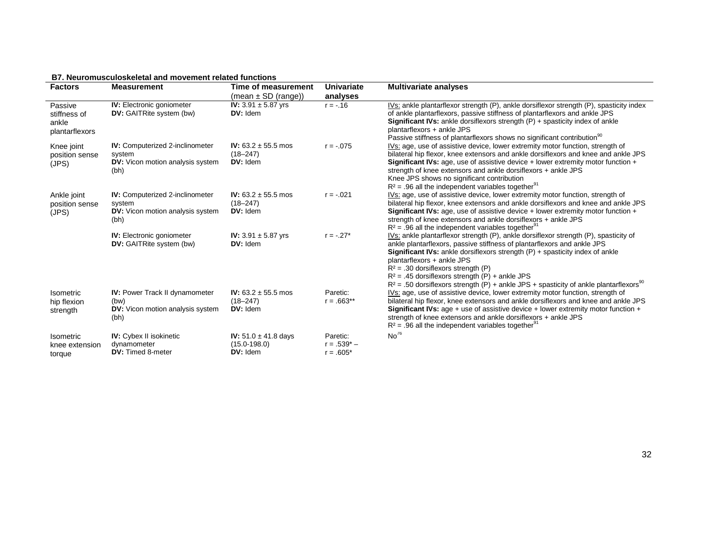#### **B7. Neuromusculoskeletal and movement related functions**

| <b>Factors</b>                                     | <b>Measurement</b>                                                                                  | Time of measurement<br>$(mean \pm SD (range))$                  | Univariate<br>analyses                    | <b>Multivariate analyses</b>                                                                                                                                                                                                                                                                                                                                                                                                                                                                 |
|----------------------------------------------------|-----------------------------------------------------------------------------------------------------|-----------------------------------------------------------------|-------------------------------------------|----------------------------------------------------------------------------------------------------------------------------------------------------------------------------------------------------------------------------------------------------------------------------------------------------------------------------------------------------------------------------------------------------------------------------------------------------------------------------------------------|
| Passive<br>stiffness of<br>ankle<br>plantarflexors | <b>IV:</b> Electronic goniometer<br><b>DV:</b> GAITRite system (bw)                                 | <b>IV:</b> 3.91 $\pm$ 5.87 yrs<br>$DV:$ Idem                    | $r = -.16$                                | IVs: ankle plantarflexor strength (P), ankle dorsiflexor strength (P), spasticity index<br>of ankle plantarflexors, passive stiffness of plantarflexors and ankle JPS<br><b>Significant IVs:</b> ankle dorsiflexors strength $(P)$ + spasticity index of ankle<br>plantarflexors + ankle JPS<br>Passive stiffness of plantarflexors shows no significant contribution <sup>90</sup>                                                                                                          |
| Knee joint<br>position sense<br>(JPS)              | <b>IV:</b> Computerized 2-inclinometer<br>system<br><b>DV:</b> Vicon motion analysis system<br>(bh) | <b>IV:</b> 63.2 $\pm$ 55.5 mos<br>$(18 - 247)$<br>$DV:$ Idem    | $r = -075$                                | IVs: age, use of assistive device, lower extremity motor function, strength of<br>bilateral hip flexor, knee extensors and ankle dorsiflexors and knee and ankle JPS<br><b>Significant IVs:</b> age, use of assistive device + lower extremity motor function +<br>strength of knee extensors and ankle dorsiflexors + ankle JPS<br>Knee JPS shows no significant contribution<br>$R^2$ = .96 all the independent variables together <sup>91</sup>                                           |
| Ankle joint<br>position sense<br>(JPS)             | <b>IV:</b> Computerized 2-inclinometer<br>system<br><b>DV:</b> Vicon motion analysis system<br>(bh) | <b>IV:</b> 63.2 $\pm$ 55.5 mos<br>$(18 - 247)$<br>DV: Idem      | $r = -.021$                               | IVs: age, use of assistive device, lower extremity motor function, strength of<br>bilateral hip flexor, knee extensors and ankle dorsiflexors and knee and ankle JPS<br><b>Significant IVs:</b> age, use of assistive device $+$ lower extremity motor function $+$<br>strength of knee extensors and ankle dorsiflexors + ankle JPS<br>$R^2$ = .96 all the independent variables together <sup>91</sup>                                                                                     |
|                                                    | <b>IV:</b> Electronic goniometer<br><b>DV:</b> GAITRite system (bw)                                 | <b>IV:</b> 3.91 $\pm$ 5.87 yrs<br>$DV:$ Idem                    | $r = -.27*$                               | IVs: ankle plantarflexor strength (P), ankle dorsiflexor strength (P), spasticity of<br>ankle plantarflexors, passive stiffness of plantarflexors and ankle JPS<br><b>Significant IVs:</b> ankle dorsiflexors strength $(P)$ + spasticity index of ankle<br>plantarflexors + ankle JPS<br>$R^2$ = .30 dorsiflexors strength (P)<br>$R^2$ = .45 dorsifiexors strength (P) + ankle JPS<br>$R^2$ = .50 dorsiflexors strength (P) + ankle JPS + spasticity of ankle plantarflexors <sup>90</sup> |
| Isometric<br>hip flexion<br>strength               | <b>IV:</b> Power Track II dynamometer<br>(bw)<br><b>DV:</b> Vicon motion analysis system<br>(bh)    | IV: $63.2 \pm 55.5$ mos<br>$(18 - 247)$<br>$DV:$ Idem           | Paretic:<br>$r = .663**$                  | IVs: age, use of assistive device, lower extremity motor function, strength of<br>bilateral hip flexor, knee extensors and ankle dorsiflexors and knee and ankle JPS<br><b>Significant IVs:</b> age + use of assistive device + lower extremity motor function +<br>strength of knee extensors and ankle dorsiflexors + ankle JPS<br>$R^2$ = .96 all the independent variables together <sup>91</sup>                                                                                        |
| Isometric<br>knee extension<br>torque              | <b>IV:</b> Cybex II isokinetic<br>dynamometer<br><b>DV:</b> Timed 8-meter                           | <b>IV:</b> $51.0 \pm 41.8$ days<br>$(15.0 - 198.0)$<br>DV: Idem | Paretic:<br>$r = .539^* -$<br>$r = .605*$ | No <sup>76</sup>                                                                                                                                                                                                                                                                                                                                                                                                                                                                             |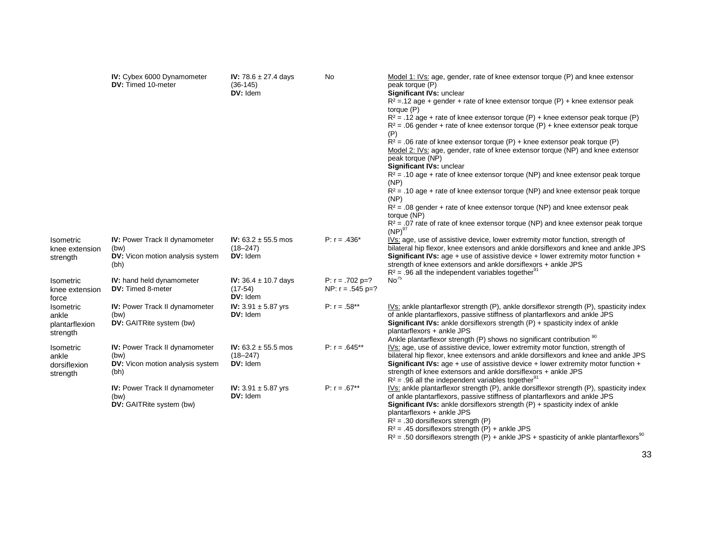|                                                         | IV: Cybex 6000 Dynamometer<br>DV: Timed 10-meter                                                 | IV: $78.6 \pm 27.4$ days<br>$(36-145)$<br>DV: Idem       | <b>No</b>                                   | Model 1: IVs: age, gender, rate of knee extensor torque (P) and knee extensor<br>peak torque (P)<br>Significant IVs: unclear<br>$R^2$ = 12 age + gender + rate of knee extensor torque (P) + knee extensor peak<br>torque (P)<br>$R^2$ = .12 age + rate of knee extensor torque (P) + knee extensor peak torque (P)<br>$R^2$ = .06 gender + rate of knee extensor torque (P) + knee extensor peak torque<br>(P)<br>$R^2$ = .06 rate of knee extensor torque (P) + knee extensor peak torque (P)<br>Model 2: IVs: age, gender, rate of knee extensor torque (NP) and knee extensor<br>peak torque (NP)<br>Significant IVs: unclear<br>$R^2$ = .10 age + rate of knee extensor torque (NP) and knee extensor peak torque<br>(NP)<br>$R^2$ = .10 age + rate of knee extensor torque (NP) and knee extensor peak torque<br>(NP)<br>$R^2$ = .08 gender + rate of knee extensor torque (NP) and knee extensor peak<br>torque (NP)<br>$R^2$ = .07 rate of rate of knee extensor torque (NP) and knee extensor peak torque<br>$(NP)^{97}$ |
|---------------------------------------------------------|--------------------------------------------------------------------------------------------------|----------------------------------------------------------|---------------------------------------------|-----------------------------------------------------------------------------------------------------------------------------------------------------------------------------------------------------------------------------------------------------------------------------------------------------------------------------------------------------------------------------------------------------------------------------------------------------------------------------------------------------------------------------------------------------------------------------------------------------------------------------------------------------------------------------------------------------------------------------------------------------------------------------------------------------------------------------------------------------------------------------------------------------------------------------------------------------------------------------------------------------------------------------------|
| Isometric<br>knee extension<br>strength                 | IV: Power Track II dynamometer<br>(bw)<br><b>DV:</b> Vicon motion analysis system<br>(bh)        | IV: $63.2 \pm 55.5$ mos<br>$(18 - 247)$<br>DV: Idem      | $P: r = .436*$                              | IVs: age, use of assistive device, lower extremity motor function, strength of<br>bilateral hip flexor, knee extensors and ankle dorsiflexors and knee and ankle JPS<br><b>Significant IVs:</b> age + use of assistive device + lower extremity motor function +<br>strength of knee extensors and ankle dorsiflexors + ankle JPS<br>$R^2$ = .96 all the independent variables together <sup>91</sup>                                                                                                                                                                                                                                                                                                                                                                                                                                                                                                                                                                                                                             |
| <b>Isometric</b><br>knee extension<br>force             | <b>IV:</b> hand held dynamometer<br>DV: Timed 8-meter                                            | <b>IV:</b> $36.4 \pm 10.7$ days<br>$(17-54)$<br>DV: Idem | $P: r = .702 p = ?$<br>NP: $r = .545 p = ?$ | No <sup>75</sup>                                                                                                                                                                                                                                                                                                                                                                                                                                                                                                                                                                                                                                                                                                                                                                                                                                                                                                                                                                                                                  |
| <b>Isometric</b><br>ankle<br>plantarflexion<br>strength | IV: Power Track II dynamometer<br>(bw)<br><b>DV:</b> GAITRite system (bw)                        | <b>IV:</b> 3.91 $\pm$ 5.87 yrs<br>DV: Idem               | $P: r = .58**$                              | IVs: ankle plantarflexor strength (P), ankle dorsiflexor strength (P), spasticity index<br>of ankle plantarflexors, passive stiffness of plantarflexors and ankle JPS<br>Significant IVs: ankle dorsiflexors strength (P) + spasticity index of ankle<br>plantarflexors + ankle JPS<br>Ankle plantarflexor strength (P) shows no significant contribution <sup>90</sup>                                                                                                                                                                                                                                                                                                                                                                                                                                                                                                                                                                                                                                                           |
| Isometric<br>ankle<br>dorsiflexion<br>strength          | <b>IV:</b> Power Track II dynamometer<br>(bw)<br><b>DV:</b> Vicon motion analysis system<br>(bh) | IV: $63.2 \pm 55.5$ mos<br>$(18 - 247)$<br>DV: Idem      | $P: r = .645**$                             | IVs: age, use of assistive device, lower extremity motor function, strength of<br>bilateral hip flexor, knee extensors and ankle dorsiflexors and knee and ankle JPS<br><b>Significant IVs:</b> age + use of assistive device + lower extremity motor function +<br>strength of knee extensors and ankle dorsiflexors + ankle JPS<br>$R^2$ = .96 all the independent variables together <sup>91</sup>                                                                                                                                                                                                                                                                                                                                                                                                                                                                                                                                                                                                                             |
|                                                         | IV: Power Track II dynamometer<br>(bw)<br>DV: GAITRite system (bw)                               | <b>IV:</b> 3.91 $\pm$ 5.87 yrs<br>$DV:$ Idem             | $P: r = .67**$                              | IVs: ankle plantarflexor strength (P), ankle dorsiflexor strength (P), spasticity index<br>of ankle plantarflexors, passive stiffness of plantarflexors and ankle JPS<br><b>Significant IVs:</b> ankle dorsiflexors strength $(P)$ + spasticity index of ankle<br>plantarflexors + ankle JPS<br>$R^2$ = .30 dorsiflexors strength (P)<br>$R^2$ = .45 dorsiflexors strength (P) + ankle JPS                                                                                                                                                                                                                                                                                                                                                                                                                                                                                                                                                                                                                                        |

R² = .45 dorsiflexors strength (P) + ankle JPS<br>R² = .50 dorsiflexors strength (P) + ankle JPS + spasticity of ankle plantarflexors<sup>90</sup>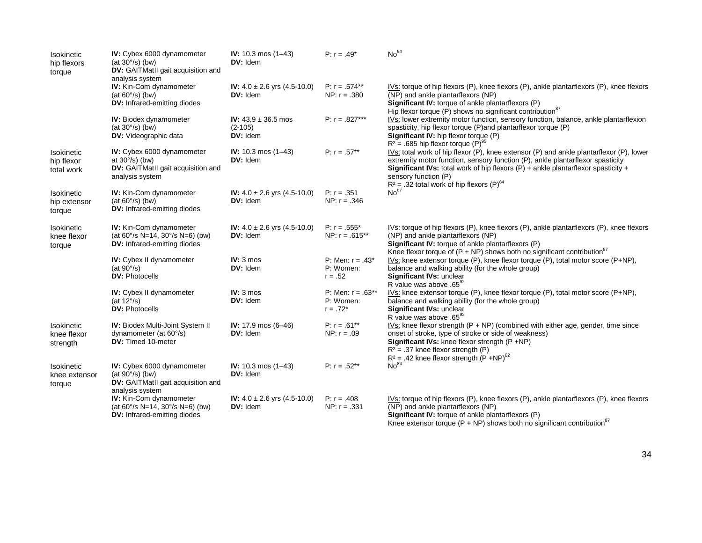| Isokinetic<br>hip flexors<br>torque    | IV: Cybex 6000 dynamometer<br>(at $30^{\circ}/s$ ) (bw)<br>DV: GAITMatII gait acquisition and<br>analysis system        | IV: $10.3 \text{ mos } (1-43)$<br>DV: Idem                | P: $r = .49*$                                   | No <sup>84</sup>                                                                                                                                                                                                                                                                                                                                                                  |
|----------------------------------------|-------------------------------------------------------------------------------------------------------------------------|-----------------------------------------------------------|-------------------------------------------------|-----------------------------------------------------------------------------------------------------------------------------------------------------------------------------------------------------------------------------------------------------------------------------------------------------------------------------------------------------------------------------------|
|                                        | <b>IV:</b> Kin-Com dynamometer<br>(at $60^{\circ}/s$ ) (bw)<br>DV: Infrared-emitting diodes                             | IV: $4.0 \pm 2.6$ yrs $(4.5 - 10.0)$<br><b>DV:</b> Idem   | $P: r = .574***$<br>NP: $r = .380$              | IVs: torque of hip flexors (P), knee flexors (P), ankle plantarflexors (P), knee flexors<br>(NP) and ankle plantarflexors (NP)<br>Significant IV: torque of ankle plantarflexors (P)<br>Hip flexor torque (P) shows no significant contribution <sup>87</sup>                                                                                                                     |
|                                        | <b>IV:</b> Biodex dynamometer<br>$(at 30°/s)$ (bw)<br>DV: Videographic data                                             | IV: $43.9 \pm 36.5$ mos<br>$(2 - 105)$<br>DV: Idem        | P: $r = .827***$                                | IVs: lower extremity motor function, sensory function, balance, ankle plantarflexion<br>spasticity, hip flexor torque (P) and plantarflexor torque (P)<br>Significant IV: hip flexor torque (P)<br>$R^2$ = .685 hip flexor torque (P) <sup>95</sup>                                                                                                                               |
| Isokinetic<br>hip flexor<br>total work | IV: Cybex 6000 dynamometer<br>at $30^{\circ}/s$ ) (bw)<br>DV: GAITMatII gait acquisition and<br>analysis system         | IV: $10.3 \text{ mos } (1-43)$<br>DV: Idem                | $P: r = .57**$                                  | $IVs$ : total work of hip flexor (P), knee extensor (P) and ankle plantarflexor (P), lower<br>extremity motor function, sensory function (P), ankle plantarflexor spasticity<br><b>Significant IVs:</b> total work of hip flexors $(P)$ + ankle plantarflexor spasticity +<br>sensory function (P)<br>$R^2$ = .32 total work of hip flexors (P) <sup>84</sup><br>No <sup>87</sup> |
| Isokinetic<br>hip extensor<br>torque   | IV: Kin-Com dynamometer<br>(at $60^{\circ}/s$ ) (bw)<br>DV: Infrared-emitting diodes                                    | IV: $4.0 \pm 2.6$ yrs $(4.5 - 10.0)$<br>DV: Idem          | $P: r = .351$<br>NP: $r = .346$                 |                                                                                                                                                                                                                                                                                                                                                                                   |
| Isokinetic<br>knee flexor<br>torque    | <b>IV:</b> Kin-Com dynamometer<br>(at $60^{\circ}/s$ N=14, $30^{\circ}/s$ N=6) (bw)<br>DV: Infrared-emitting diodes     | <b>IV:</b> $4.0 \pm 2.6$ yrs $(4.5 - 10.0)$<br>DV: Idem   | $P: r = .555*$<br>NP: $r = .615**$              | IVs: torque of hip flexors (P), knee flexors (P), ankle plantarflexors (P), knee flexors<br>(NP) and ankle plantarflexors (NP)<br>Significant IV: torque of ankle plantarflexors (P)<br>Knee flexor torque of $(P + NP)$ shows both no significant contribution <sup>87</sup>                                                                                                     |
|                                        | IV: Cybex II dynamometer<br>(at $90^{\circ}/s$ )<br><b>DV: Photocells</b>                                               | $IV: 3 m$ os<br>DV: Idem                                  | P: Men: $r = .43^*$<br>P: Women:<br>$r = .52$   | $IVs$ : knee extensor torque (P), knee flexor torque (P), total motor score (P+NP),<br>balance and walking ability (for the whole group)<br>Significant IVs: unclear<br>R value was above .65 <sup>92</sup>                                                                                                                                                                       |
|                                        | <b>IV:</b> Cybex II dynamometer<br>(at $12^{\circ}/s$ )<br><b>DV: Photocells</b>                                        | $IV: 3 m$ os<br>DV: Idem                                  | P: Men: $r = .63***$<br>P: Women:<br>$r = .72*$ | IVs: knee extensor torque $(P)$ , knee flexor torque $(P)$ , total motor score $(P+NP)$ ,<br>balance and walking ability (for the whole group)<br>Significant IVs: unclear<br>R value was above .65 <sup>92</sup>                                                                                                                                                                 |
| Isokinetic<br>knee flexor<br>strength  | <b>IV: Biodex Multi-Joint System II</b><br>dynamometer (at 60°/s)<br><b>DV:</b> Timed 10-meter                          | IV: $17.9 \text{ mos } (6 - 46)$<br>DV: Idem              | $P: r = .61***$<br>NP: $r = .09$                | $IVs$ : knee flexor strength ( $P + NP$ ) (combined with either age, gender, time since<br>onset of stroke, type of stroke or side of weakness)<br>Significant IVs: knee flexor strength (P +NP)<br>$R^2$ = .37 knee flexor strength (P)<br>$R^2$ = .42 knee flexor strength $(P + NP)^{82}$                                                                                      |
| Isokinetic<br>knee extensor<br>torque  | <b>IV:</b> Cybex 6000 dynamometer<br>(at $90^{\circ}/s$ ) (bw)<br>DV: GAITMatII gait acquisition and<br>analysis system | IV: $10.3 \text{ mos } (1-43)$<br>DV: Idem                | $P: r = .52**$                                  | No <sup>84</sup>                                                                                                                                                                                                                                                                                                                                                                  |
|                                        | <b>IV:</b> Kin-Com dynamometer<br>(at 60°/s N=14, 30°/s N=6) (bw)<br><b>DV:</b> Infrared-emitting diodes                | <b>IV:</b> $4.0 \pm 2.6$ yrs $(4.5 - 10.0)$<br>$DV:$ Idem | $P: r = .408$<br>NP: $r = .331$                 | $IVs$ : torque of hip flexors (P), knee flexors (P), ankle plantarflexors (P), knee flexors<br>(NP) and ankle plantarflexors (NP)<br>Significant IV: torque of ankle plantarflexors (P)<br>Knee extensor torque (P + NP) shows both no significant contribution <sup>87</sup>                                                                                                     |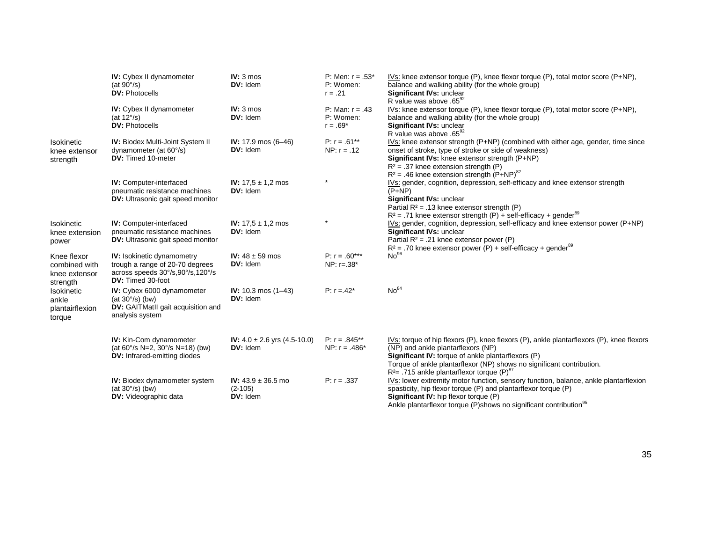|                                                           | <b>IV:</b> Cybex II dynamometer<br>(at $90^{\circ}/s$ )<br><b>DV: Photocells</b>                                              | $IV: 3 m$ os<br>DV: Idem                                | P: Men: $r = .53*$<br>P: Women:<br>$r = .21$ | IVs: knee extensor torque (P), knee flexor torque (P), total motor score (P+NP),<br>balance and walking ability (for the whole group)<br>Significant IVs: unclear<br>R value was above .6592                                                                                                                               |
|-----------------------------------------------------------|-------------------------------------------------------------------------------------------------------------------------------|---------------------------------------------------------|----------------------------------------------|----------------------------------------------------------------------------------------------------------------------------------------------------------------------------------------------------------------------------------------------------------------------------------------------------------------------------|
|                                                           | IV: Cybex II dynamometer<br>(at $12^{\circ}/s$ )<br><b>DV: Photocells</b>                                                     | $IV: 3 m$ os<br>DV: Idem                                | P: Man: $r = .43$<br>P: Women:<br>$r = .69*$ | IVs: knee extensor torque $(P)$ , knee flexor torque $(P)$ , total motor score $(P+NP)$ ,<br>balance and walking ability (for the whole group)<br>Significant IVs: unclear<br>R value was above .65 <sup>92</sup>                                                                                                          |
| <b>Isokinetic</b><br>knee extensor<br>strength            | <b>IV: Biodex Multi-Joint System II</b><br>dynamometer (at 60°/s)<br>DV: Timed 10-meter                                       | IV: $17.9 \text{ mos } (6 - 46)$<br>DV: Idem            | $P: r = .61***$<br>$NP: r = .12$             | IVs: knee extensor strength (P+NP) (combined with either age, gender, time since<br>onset of stroke, type of stroke or side of weakness)<br>Significant IVs: knee extensor strength (P+NP)<br>$R^2$ = .37 knee extension strength (P)<br>$R^2$ = .46 knee extension strength $(P+NP)^{82}$                                 |
|                                                           | <b>IV:</b> Computer-interfaced<br>pneumatic resistance machines<br><b>DV:</b> Ultrasonic gait speed monitor                   | <b>IV:</b> $17.5 \pm 1.2$ mos<br>DV: Idem               |                                              | IVs: gender, cognition, depression, self-efficacy and knee extensor strength<br>$(P+NP)$<br>Significant IVs: unclear<br>Partial $R^2$ = .13 knee extensor strength (P)<br>$R^2$ = .71 knee extensor strength (P) + self-efficacy + gender <sup>89</sup>                                                                    |
| <b>Isokinetic</b><br>knee extension<br>power              | <b>IV:</b> Computer-interfaced<br>pneumatic resistance machines<br><b>DV:</b> Ultrasonic gait speed monitor                   | <b>IV:</b> $17.5 \pm 1.2$ mos<br>DV: Idem               |                                              | IVs: gender, cognition, depression, self-efficacy and knee extensor power (P+NP)<br>Significant IVs: unclear<br>Partial $R^2$ = .21 knee extensor power (P)<br>$R^2$ = .70 knee extensor power (P) + self-efficacy + gender <sup>89</sup>                                                                                  |
| Knee flexor<br>combined with<br>knee extensor<br>strength | <b>IV:</b> Isokinetic dynamometry<br>trough a range of 20-70 degrees<br>across speeds 30°/s,90°/s,120°/s<br>DV: Timed 30-foot | <b>IV:</b> $48 \pm 59$ mos<br>DV: Idem                  | $P: r = .60***$<br>NP: $r = .38*$            | No <sup>96</sup>                                                                                                                                                                                                                                                                                                           |
| Isokinetic<br>ankle<br>plantairflexion<br>torque          | <b>IV:</b> Cybex 6000 dynamometer<br>(at $30^{\circ}/s$ ) (bw)<br>DV: GAITMatII gait acquisition and<br>analysis system       | IV: $10.3 \text{ mos } (1-43)$<br>DV: Idem              | $P: r = .42^*$                               | No <sup>84</sup>                                                                                                                                                                                                                                                                                                           |
|                                                           | <b>IV:</b> Kin-Com dynamometer<br>(at $60^{\circ}/s$ N=2, $30^{\circ}/s$ N=18) (bw)<br>DV: Infrared-emitting diodes           | <b>IV:</b> $4.0 \pm 2.6$ yrs $(4.5 - 10.0)$<br>DV: Idem | $P: r = .845**$<br>NP: $r = .486*$           | IVs: torque of hip flexors (P), knee flexors (P), ankle plantarflexors (P), knee flexors<br>(NP) and ankle plantarflexors (NP)<br>Significant IV: torque of ankle plantarflexors (P)<br>Torque of ankle plantarflexor (NP) shows no significant contribution.<br>$R^2$ = .715 ankle plantarflexor torque (P) <sup>87</sup> |
|                                                           | <b>IV:</b> Biodex dynamometer system<br>(at $30^{\circ}/s$ ) (bw)<br><b>DV:</b> Videographic data                             | IV: $43.9 \pm 36.5$ mo<br>$(2-105)$<br>DV: Idem         | $P: r = .337$                                | IVs: lower extremity motor function, sensory function, balance, ankle plantarflexion<br>spasticity, hip flexor torque (P) and plantarflexor torque (P)<br><b>Significant IV:</b> hip flexor torque (P)<br>Ankle plantarflexor torque (P)shows no significant contribution <sup>95</sup>                                    |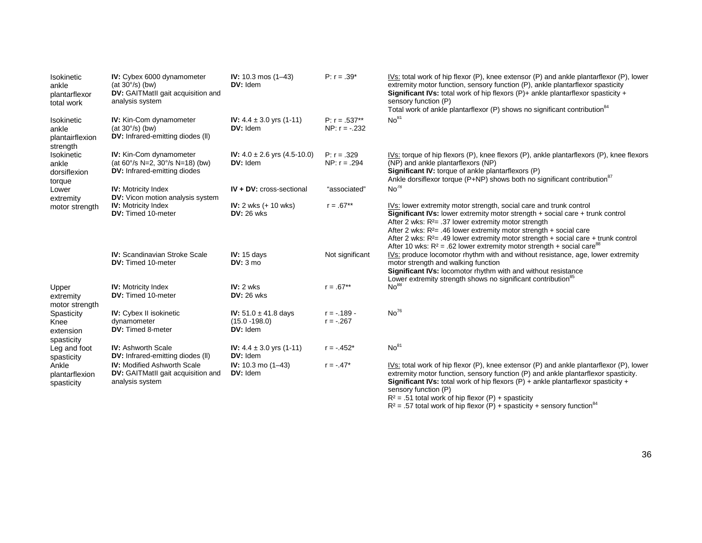| Isokinetic<br>ankle<br>plantarflexor<br>total work | <b>IV:</b> Cybex 6000 dynamometer<br>(at $30^{\circ}/s$ ) (bw)<br><b>DV:</b> GAITMatII gait acquisition and<br>analysis system | <b>IV:</b> 10.3 mos $(1-43)$<br>DV: Idem                 | $P: r = .39^*$                    | IVs: total work of hip flexor (P), knee extensor (P) and ankle plantarflexor (P), lower<br>extremity motor function, sensory function (P), ankle plantarflexor spasticity<br><b>Significant IVs:</b> total work of hip flexors $(P)$ + ankle plantarflexor spasticity +<br>sensory function (P)<br>Total work of ankle plantarflexor (P) shows no significant contribution <sup>84</sup>                                                                               |
|----------------------------------------------------|--------------------------------------------------------------------------------------------------------------------------------|----------------------------------------------------------|-----------------------------------|------------------------------------------------------------------------------------------------------------------------------------------------------------------------------------------------------------------------------------------------------------------------------------------------------------------------------------------------------------------------------------------------------------------------------------------------------------------------|
| Isokinetic<br>ankle<br>plantairflexion<br>strength | <b>IV:</b> Kin-Com dynamometer<br>(at $30^{\circ}/s$ ) (bw)<br>DV: Infrared-emitting diodes (II)                               | <b>IV:</b> $4.4 \pm 3.0$ yrs $(1-11)$<br>DV: Idem        | $P: r = .537**$<br>NP: $r = -232$ | No <sup>81</sup>                                                                                                                                                                                                                                                                                                                                                                                                                                                       |
| Isokinetic<br>ankle<br>dorsiflexion<br>torque      | <b>IV:</b> Kin-Com dynamometer<br>(at 60°/s N=2, 30°/s N=18) (bw)<br><b>DV:</b> Infrared-emitting diodes                       | IV: $4.0 \pm 2.6$ yrs $(4.5 - 10.0)$<br>DV: Idem         | $P: r = .329$<br>NP: $r = .294$   | IVs: torque of hip flexors $(P)$ , knee flexors $(P)$ , ankle plantarflexors $(P)$ , knee flexors<br>(NP) and ankle plantarflexors (NP)<br>Significant IV: torque of ankle plantarflexors (P)<br>Ankle dorsiflexor torque (P+NP) shows both no significant contribution <sup>87</sup>                                                                                                                                                                                  |
| Lower<br>extremity                                 | <b>IV:</b> Motricity Index<br><b>DV:</b> Vicon motion analysis system                                                          | IV + DV: cross-sectional                                 | "associated"                      | No <sup>78</sup>                                                                                                                                                                                                                                                                                                                                                                                                                                                       |
| motor strength                                     | <b>IV:</b> Motricity Index<br><b>DV:</b> Timed 10-meter                                                                        | <b>IV:</b> 2 wks $(+ 10$ wks)<br>$DV: 26$ wks            | $r = .67**$                       | IVs: lower extremity motor strength, social care and trunk control<br>Significant IVs: lower extremity motor strength + social care + trunk control<br>After 2 wks: $R2= .37$ lower extremity motor strength<br>After 2 wks: $R^2$ = .46 lower extremity motor strength + social care<br>After 2 wks: $R^2$ = .49 lower extremity motor strength + social care + trunk control<br>After 10 wks: $R^2$ = .62 lower extremity motor strength + social care <sup>88</sup> |
|                                                    | <b>IV:</b> Scandinavian Stroke Scale<br><b>DV:</b> Timed 10-meter                                                              | IV: 15 days<br>$DV:3$ mo                                 | Not significant                   | IVs: produce locomotor rhythm with and without resistance, age, lower extremity<br>motor strength and walking function<br>Significant IVs: locomotor rhythm with and without resistance<br>Lower extremity strength shows no significant contribution <sup>85</sup>                                                                                                                                                                                                    |
| Upper<br>extremity<br>motor strength               | <b>IV:</b> Motricity Index<br><b>DV:</b> Timed 10-meter                                                                        | IV: 2 wks<br>$DV: 26$ wks                                | $r = .67**$                       | No <sup>88</sup>                                                                                                                                                                                                                                                                                                                                                                                                                                                       |
| Spasticity<br>Knee<br>extension<br>spasticity      | <b>IV:</b> Cybex II isokinetic<br>dynamometer<br><b>DV:</b> Timed 8-meter                                                      | IV: $51.0 \pm 41.8$ days<br>$(15.0 - 198.0)$<br>DV: Idem | $r = -.189 -$<br>$r = -.267$      | No <sup>76</sup>                                                                                                                                                                                                                                                                                                                                                                                                                                                       |
| Leg and foot<br>spasticity                         | <b>IV:</b> Ashworth Scale<br><b>DV:</b> Infrared-emitting diodes (II)                                                          | IV: $4.4 \pm 3.0$ yrs $(1-11)$<br>DV: Idem               | $r = -.452*$                      | No <sup>81</sup>                                                                                                                                                                                                                                                                                                                                                                                                                                                       |
| Ankle<br>plantarflexion<br>spasticity              | <b>IV:</b> Modified Ashworth Scale<br><b>DV:</b> GAITMatII gait acquisition and<br>analysis system                             | IV: $10.3 \text{ mo } (1-43)$<br>DV: Idem                | $r = -.47*$                       | IVs: total work of hip flexor (P), knee extensor (P) and ankle plantarflexor (P), lower<br>extremity motor function, sensory function (P) and ankle plantarflexor spasticity.<br><b>Significant IVs:</b> total work of hip flexors $(P)$ + ankle plantarflexor spasticity +<br>sensory function (P)<br>$D2 = E1$ total work of bin flower $(D)$ is apportiated.                                                                                                        |

 $R^2 = .51$  total work of hip flexor (P) + spasticity<br> $R^2 = .57$  total work of hip flexor (P) + spasticity + sensory function<sup>84</sup>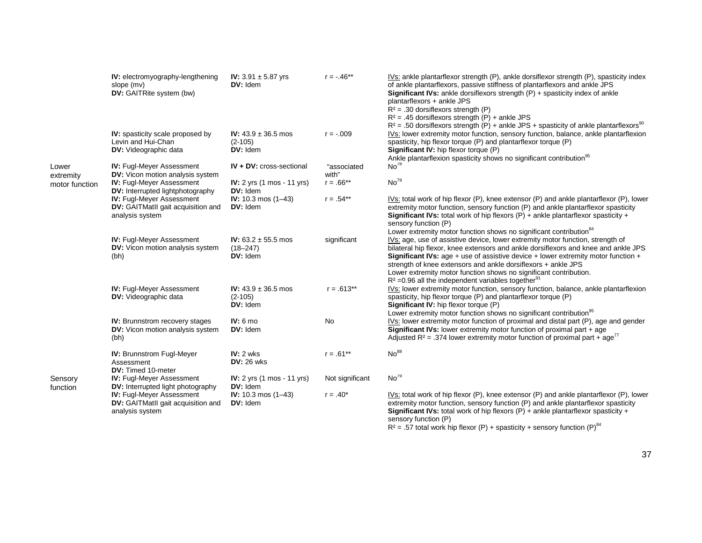|                     | IV: electromyography-lengthening<br>slope (mv)<br><b>DV:</b> GAITRite system (bw)             | <b>IV:</b> 3.91 $\pm$ 5.87 yrs<br>$DV:$ Idem            | $r = -.46**$         | IVs: ankle plantarflexor strength (P), ankle dorsiflexor strength (P), spasticity index<br>of ankle plantarflexors, passive stiffness of plantarflexors and ankle JPS<br><b>Significant IVs:</b> ankle dorsiflexors strength $(P)$ + spasticity index of ankle<br>plantarflexors + ankle JPS<br>$R^2$ = .30 dorsiflexors strength (P)<br>$R^2$ = .45 dorsifiexors strength (P) + ankle JPS<br>$R^2$ = .50 dorsiflexors strength (P) + ankle JPS + spasticity of ankle plantarflexors <sup>90</sup> |
|---------------------|-----------------------------------------------------------------------------------------------|---------------------------------------------------------|----------------------|----------------------------------------------------------------------------------------------------------------------------------------------------------------------------------------------------------------------------------------------------------------------------------------------------------------------------------------------------------------------------------------------------------------------------------------------------------------------------------------------------|
|                     | <b>IV:</b> spasticity scale proposed by<br>Levin and Hui-Chan<br><b>DV:</b> Videographic data | IV: $43.9 \pm 36.5$ mos<br>$(2-105)$<br>DV: Idem        | $r = -009$           | IVs: lower extremity motor function, sensory function, balance, ankle plantarflexion<br>spasticity, hip flexor torque (P) and plantarflexor torque (P)<br>Significant IV: hip flexor torque (P)<br>Ankle plantarflexion spasticity shows no significant contribution <sup>95</sup>                                                                                                                                                                                                                 |
| Lower<br>extremity  | <b>IV: Fugl-Meyer Assessment</b><br><b>DV:</b> Vicon motion analysis system                   | IV + DV: cross-sectional                                | "associated<br>with" | No <sup>78</sup>                                                                                                                                                                                                                                                                                                                                                                                                                                                                                   |
| motor function      | <b>IV: Fugl-Meyer Assessment</b><br><b>DV:</b> Interrupted lightphotography                   | <b>IV:</b> $2 \text{ yrs}$ (1 mos - 11 yrs)<br>DV: Idem | $r = .66**$          | No <sup>79</sup>                                                                                                                                                                                                                                                                                                                                                                                                                                                                                   |
|                     | <b>IV: Fugl-Meyer Assessment</b><br>DV: GAITMatII gait acquisition and<br>analysis system     | IV: $10.3 \text{ mos } (1-43)$<br>$DV:$ Idem            | $r = .54***$         | IVs: total work of hip flexor (P), knee extensor (P) and ankle plantarflexor (P), lower<br>extremity motor function, sensory function (P) and ankle plantarflexor spasticity<br><b>Significant IVs:</b> total work of hip flexors $(P)$ + ankle plantarflexor spasticity +<br>sensory function (P)<br>Lower extremity motor function shows no significant contribution <sup>84</sup>                                                                                                               |
|                     | <b>IV: Fugl-Meyer Assessment</b><br>DV: Vicon motion analysis system<br>(bh)                  | IV: $63.2 \pm 55.5$ mos<br>$(18 - 247)$<br>DV: Idem     | significant          | IVs: age, use of assistive device, lower extremity motor function, strength of<br>bilateral hip flexor, knee extensors and ankle dorsiflexors and knee and ankle JPS<br><b>Significant IVs:</b> age + use of assistive device + lower extremity motor function +<br>strength of knee extensors and ankle dorsiflexors + ankle JPS<br>Lower extremity motor function shows no significant contribution.<br>$R^2$ =0.96 all the independent variables together <sup>91</sup>                         |
|                     | <b>IV: Fugl-Meyer Assessment</b><br><b>DV:</b> Videographic data                              | IV: $43.9 \pm 36.5$ mos<br>$(2-105)$<br>DV: Idem        | $r = .613**$         | IVs: lower extremity motor function, sensory function, balance, ankle plantarflexion<br>spasticity, hip flexor torque (P) and plantarflexor torque (P)<br>Significant IV: hip flexor torque (P)<br>Lower extremity motor function shows no significant contribution <sup>95</sup>                                                                                                                                                                                                                  |
|                     | <b>IV:</b> Brunnstrom recovery stages<br><b>DV:</b> Vicon motion analysis system<br>(bh)      | IV: 6 mo<br>DV: Idem                                    | <b>No</b>            | IVs: lower extremity motor function of proximal and distal part (P), age and gender<br>Significant IVs: lower extremity motor function of proximal part + age<br>Adjusted $R^2$ = .374 lower extremity motor function of proximal part + age <sup>77</sup>                                                                                                                                                                                                                                         |
|                     | <b>IV: Brunnstrom Fugl-Meyer</b><br>Assessment<br>DV: Timed 10-meter                          | $IV: 2$ wks<br>$DV: 26$ wks                             | $r = .61***$         | No <sup>88</sup>                                                                                                                                                                                                                                                                                                                                                                                                                                                                                   |
| Sensory<br>function | <b>IV: Fugl-Meyer Assessment</b><br><b>DV:</b> Interrupted light photography                  | <b>IV:</b> $2 \text{ yrs}$ (1 mos - 11 yrs)<br>DV: Idem | Not significant      | No <sup>79</sup>                                                                                                                                                                                                                                                                                                                                                                                                                                                                                   |
|                     | <b>IV: Fugl-Meyer Assessment</b><br>DV: GAITMatII gait acquisition and<br>analysis system     | IV: $10.3 \text{ mos } (1-43)$<br>DV: Idem              | $r = .40*$           | IVs: total work of hip flexor (P), knee extensor (P) and ankle plantarflexor (P), lower<br>extremity motor function, sensory function (P) and ankle plantarflexor spasticity<br><b>Significant IVs:</b> total work of hip flexors $(P)$ + ankle plantar flexor spasticity +<br>cancony function (P)                                                                                                                                                                                                |

sensory function (P)<br>R<sup>2</sup> = .57 total work hip flexor (P) + spasticity + sensory function (P)<sup>84</sup>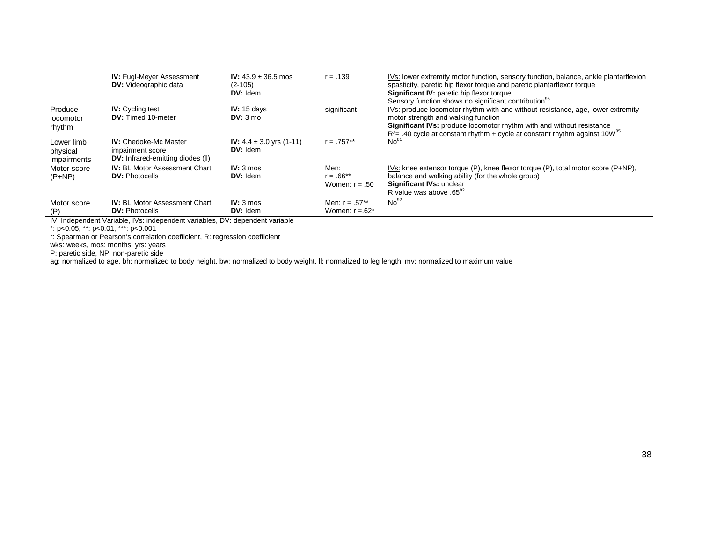|                                       | <b>IV:</b> Fugl-Meyer Assessment<br><b>DV:</b> Videographic data                             | <b>IV:</b> $43.9 \pm 36.5$ mos<br>$(2 - 105)$<br>$DV:$ Idem | $r = .139$                                        | IVs: lower extremity motor function, sensory function, balance, ankle plantarflexion<br>spasticity, paretic hip flexor torque and paretic plantarflexor torque<br><b>Significant IV: paretic hip flexor torque</b><br>Sensory function shows no significant contribution <sup>95</sup>            |
|---------------------------------------|----------------------------------------------------------------------------------------------|-------------------------------------------------------------|---------------------------------------------------|---------------------------------------------------------------------------------------------------------------------------------------------------------------------------------------------------------------------------------------------------------------------------------------------------|
| Produce<br>locomotor<br>rhythm        | <b>IV:</b> Cycling test<br><b>DV:</b> Timed 10-meter                                         | IV: $15$ days<br>DV: 3 mo                                   | significant                                       | IVs: produce locomotor rhythm with and without resistance, age, lower extremity<br>motor strength and walking function<br><b>Significant IVs:</b> produce locomotor rhythm with and without resistance<br>$R2=$ .40 cycle at constant rhythm + cycle at constant rhythm against 10W <sup>85</sup> |
| Lower limb<br>physical<br>impairments | <b>IV:</b> Chedoke-Mc Master<br>impairment score<br><b>DV:</b> Infrared-emitting diodes (II) | <b>IV:</b> 4.4 $\pm$ 3.0 yrs (1-11)<br>$DV:$ Idem           | $r = .757**$                                      | No <sup>81</sup>                                                                                                                                                                                                                                                                                  |
| Motor score<br>$(P+NP)$               | <b>IV:</b> BL Motor Assessment Chart<br><b>DV: Photocells</b>                                | $IV: 3 \text{ mos}$<br>DV: Idem                             | Men:<br>r = .66**<br>Women: $r = .50$             | IVs: knee extensor torque $(P)$ , knee flexor torque $(P)$ , total motor score $(P+NP)$ ,<br>balance and walking ability (for the whole group)<br>Significant IVs: unclear<br>R value was above .65 <sup>92</sup>                                                                                 |
| Motor score<br>(P)                    | <b>IV:</b> BL Motor Assessment Chart<br><b>DV: Photocells</b>                                | $IV: 3 \text{ mos}$<br>DV: Idem                             | Men: $r = .57**$<br>Women: $r = .62$ <sup>*</sup> | No <sup>92</sup>                                                                                                                                                                                                                                                                                  |

IV: Independent Variable, IVs: independent variables, DV: dependent variable

\*: p<0.05, \*\*: p<0.01, \*\*\*: p<0.001

r: Spearman or Pearson's correlation coefficient, R: regression coefficient

wks: weeks, mos: months, yrs: years

P: paretic side, NP: non-paretic side

ag: normalized to age, bh: normalized to body height, bw: normalized to body weight, ll: normalized to leg length, mv: normalized to maximum value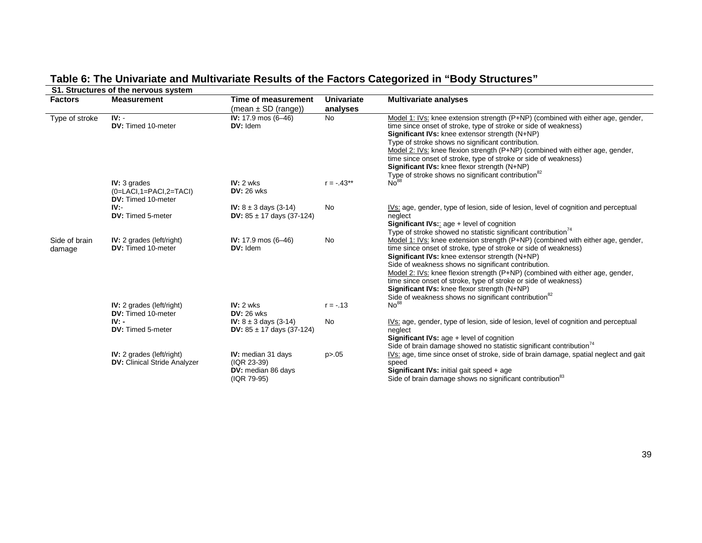# **Table 6: The Univariate and Multivariate Results of the Factors Categorized in "Body Structures"**

| <b>Factors</b>          | <b>Measurement</b>                                                        | Time of measurement<br>$(mean \pm SD (range))$                           | <b>Univariate</b><br>analyses | <b>Multivariate analyses</b>                                                                                                                                                                                                                                                                                                                                                                                                                                                                                                        |
|-------------------------|---------------------------------------------------------------------------|--------------------------------------------------------------------------|-------------------------------|-------------------------------------------------------------------------------------------------------------------------------------------------------------------------------------------------------------------------------------------------------------------------------------------------------------------------------------------------------------------------------------------------------------------------------------------------------------------------------------------------------------------------------------|
| Type of stroke          | IV:<br>DV: Timed 10-meter                                                 | IV: $17.9 \text{ mos } (6 - 46)$<br>$DV:$ Idem                           | <b>No</b>                     | Model 1: IVs: knee extension strength (P+NP) (combined with either age, gender,<br>time since onset of stroke, type of stroke or side of weakness)<br>Significant IVs: knee extensor strength (N+NP)<br>Type of stroke shows no significant contribution.<br>Model 2: IVs: knee flexion strength (P+NP) (combined with either age, gender,<br>time since onset of stroke, type of stroke or side of weakness)<br>Significant IVs: knee flexor strength (N+NP)<br>Type of stroke shows no significant contribution <sup>82</sup>     |
|                         | $IV: 3$ grades<br>$(0=LACI, 1=PACI, 2=TACI)$<br><b>DV:</b> Timed 10-meter | $IV: 2$ wks<br><b>DV: 26 wks</b>                                         | $r = -.43**$                  | No <sup>88</sup>                                                                                                                                                                                                                                                                                                                                                                                                                                                                                                                    |
|                         | $IV -$<br><b>DV:</b> Timed 5-meter                                        | IV: $8 \pm 3$ days (3-14)<br><b>DV:</b> $85 \pm 17$ days (37-124)        | No                            | IVs: age, gender, type of lesion, side of lesion, level of cognition and perceptual<br>neglect<br><b>Significant IVs::</b> age $+$ level of cognition<br>Type of stroke showed no statistic significant contribution <sup>14</sup>                                                                                                                                                                                                                                                                                                  |
| Side of brain<br>damage | <b>IV:</b> 2 grades ( $left/right$ )<br><b>DV:</b> Timed 10-meter         | IV: $17.9 \text{ mos } (6 - 46)$<br>$DV:$ Idem                           | No                            | Model 1: IVs: knee extension strength (P+NP) (combined with either age, gender,<br>time since onset of stroke, type of stroke or side of weakness)<br>Significant IVs: knee extensor strength (N+NP)<br>Side of weakness shows no significant contribution.<br>Model 2: IVs: knee flexion strength (P+NP) (combined with either age, gender,<br>time since onset of stroke, type of stroke or side of weakness)<br>Significant IVs: knee flexor strength (N+NP)<br>Side of weakness shows no significant contribution <sup>82</sup> |
|                         | <b>IV:</b> 2 grades (left/right)<br><b>DV:</b> Timed 10-meter             | $IV: 2$ wks<br>$DV: 26$ wks                                              | $r = -.13$                    | No <sup>88</sup>                                                                                                                                                                                                                                                                                                                                                                                                                                                                                                                    |
|                         | $IV -$<br><b>DV:</b> Timed 5-meter                                        | <b>IV:</b> $8 \pm 3$ days (3-14)<br><b>DV:</b> $85 \pm 17$ days (37-124) | <b>No</b>                     | IVs: age, gender, type of lesion, side of lesion, level of cognition and perceptual<br>neglect<br>Significant IVs: age + level of cognition<br>Side of brain damage showed no statistic significant contribution <sup>74</sup>                                                                                                                                                                                                                                                                                                      |
|                         | <b>IV:</b> 2 grades (left/right)<br><b>DV:</b> Clinical Stride Analyzer   | IV: median 31 days<br>(IQR 23-39)<br>DV: median 86 days<br>(IQR 79-95)   | p > 0.05                      | IVs: age, time since onset of stroke, side of brain damage, spatial neglect and gait<br>speed<br>Significant IVs: initial gait speed + age<br>Side of brain damage shows no significant contribution <sup>83</sup>                                                                                                                                                                                                                                                                                                                  |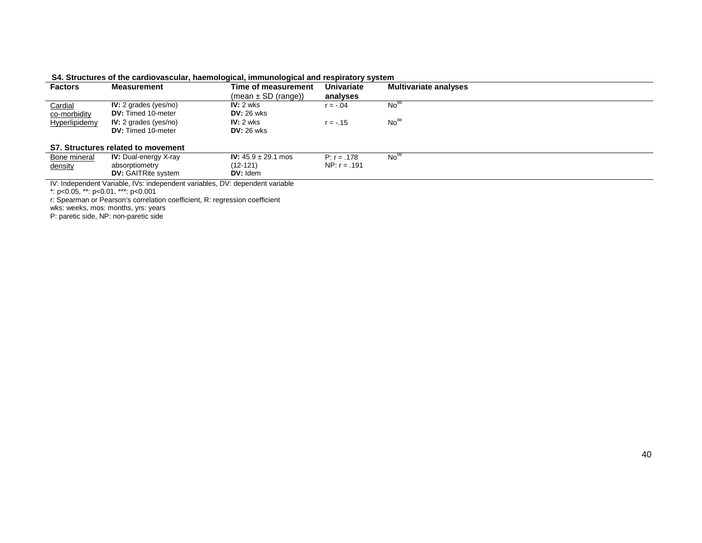| Factors        | <b>Measurement</b>                 | Time of measurement            | <b>Univariate</b> | <b>Multivariate analyses</b> |  |
|----------------|------------------------------------|--------------------------------|-------------------|------------------------------|--|
|                |                                    | $(mean \pm SD (range))$        | analyses          |                              |  |
| <b>Cardial</b> | IV: 2 grades ( $yes/no)$ )         | $IV: 2$ wks                    | r = -.04          | No <sup>88</sup>             |  |
| co-morbidity   | <b>DV:</b> Timed 10-meter          | $DV: 26$ wks                   |                   |                              |  |
| Hyperlipidemy  | IV: 2 grades ( $yes/no)$ )         | $IV: 2$ wks                    | r = -.15          | No <sup>88</sup>             |  |
|                | <b>DV:</b> Timed 10-meter          | $DV: 26$ wks                   |                   |                              |  |
|                | S7. Structures related to movement |                                |                   |                              |  |
| Bone mineral   | <b>IV:</b> Dual-energy X-ray       | <b>IV:</b> $45.9 \pm 29.1$ mos | $P: r = .178$     | No <sup>96</sup>             |  |
|                |                                    |                                |                   |                              |  |

NP: r = .191

#### **S4. Structures of the cardiovascular, haemological, immunological and respiratory system**

(12-121) **DV:** Idem

IV: Independent Variable, IVs: independent variables, DV: dependent variable

\*: p<0.05, \*\*: p<0.01, \*\*\*: p<0.001

<u>density</u>

r: Spearman or Pearson's correlation coefficient, R: regression coefficient

wks: weeks, mos: months, yrs: years

absorptiometry **DV:** GAITRite system

P: paretic side, NP: non-paretic side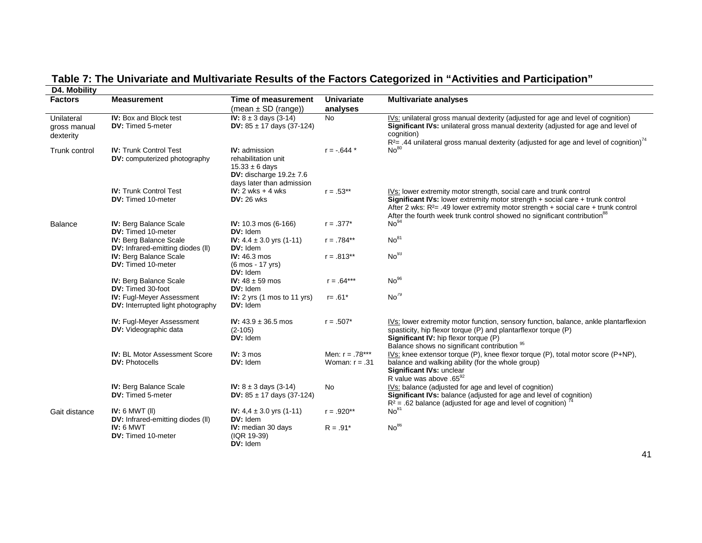| D4. Mobility                            |                                                                              |                                                                                                                                |                                       |                                                                                                                                                                                                                                                                                                                                      |
|-----------------------------------------|------------------------------------------------------------------------------|--------------------------------------------------------------------------------------------------------------------------------|---------------------------------------|--------------------------------------------------------------------------------------------------------------------------------------------------------------------------------------------------------------------------------------------------------------------------------------------------------------------------------------|
| <b>Factors</b>                          | <b>Measurement</b>                                                           | Time of measurement                                                                                                            | <b>Univariate</b>                     | <b>Multivariate analyses</b>                                                                                                                                                                                                                                                                                                         |
|                                         |                                                                              | $(mean \pm SD (range))$                                                                                                        | analyses                              |                                                                                                                                                                                                                                                                                                                                      |
| Unilateral<br>gross manual<br>dexterity | <b>IV:</b> Box and Block test<br><b>DV:</b> Timed 5-meter                    | <b>IV:</b> $8 \pm 3$ days (3-14)<br>DV: $85 \pm 17$ days (37-124)                                                              | <b>No</b>                             | IVs: unilateral gross manual dexterity (adjusted for age and level of cognition)<br>Significant IVs: unilateral gross manual dexterity (adjusted for age and level of<br>cognition)<br>$R^2$ = .44 unilateral gross manual dexterity (adjusted for age and level of cognition) <sup>74</sup>                                         |
| Trunk control                           | <b>IV: Trunk Control Test</b><br><b>DV:</b> computerized photography         | <b>IV:</b> admission<br>rehabilitation unit<br>$15.33 \pm 6$ days<br>DV: discharge $19.2 \pm 7.6$<br>days later than admission | $r = -.644*$                          | No <sup>80</sup>                                                                                                                                                                                                                                                                                                                     |
|                                         | <b>IV: Trunk Control Test</b><br>DV: Timed 10-meter                          | IV: $2$ wks $+$ 4 wks<br><b>DV: 26 wks</b>                                                                                     | $r = .53**$                           | IVs: lower extremity motor strength, social care and trunk control<br>Significant IVs: lower extremity motor strength + social care + trunk control<br>After 2 wks: $R^2$ = .49 lower extremity motor strength + social care + trunk control<br>After the fourth week trunk control showed no significant contribution <sup>88</sup> |
| <b>Balance</b>                          | <b>IV: Berg Balance Scale</b><br>DV: Timed 10-meter                          | IV: 10.3 mos (6-166)<br>DV: Idem                                                                                               | $r = .377*$                           | No <sup>94</sup>                                                                                                                                                                                                                                                                                                                     |
|                                         | <b>IV: Berg Balance Scale</b><br><b>DV:</b> Infrared-emitting diodes (II)    | IV: $4.4 \pm 3.0$ yrs (1-11)<br>DV: Idem                                                                                       | $r = .784**$                          | No <sup>81</sup>                                                                                                                                                                                                                                                                                                                     |
|                                         | IV: Berg Balance Scale<br>DV: Timed 10-meter                                 | <b>IV: 46.3 mos</b><br>(6 mos - 17 yrs)<br>DV: Idem                                                                            | $r = .813**$                          | No <sup>93</sup>                                                                                                                                                                                                                                                                                                                     |
|                                         | <b>IV: Berg Balance Scale</b><br><b>DV:</b> Timed 30-foot                    | IV: $48 \pm 59$ mos<br>$DV:$ Idem                                                                                              | $r = .64***$                          | No <sup>96</sup>                                                                                                                                                                                                                                                                                                                     |
|                                         | <b>IV: Fugl-Meyer Assessment</b><br><b>DV:</b> Interrupted light photography | IV: 2 yrs (1 mos to 11 yrs)<br>DV: Idem                                                                                        | $r = .61*$                            | No <sup>79</sup>                                                                                                                                                                                                                                                                                                                     |
|                                         | <b>IV: Fugl-Meyer Assessment</b><br><b>DV:</b> Videographic data             | IV: $43.9 \pm 36.5$ mos<br>$(2 - 105)$<br>DV: Idem                                                                             | $r = .507*$                           | IVs: lower extremity motor function, sensory function, balance, ankle plantarflexion<br>spasticity, hip flexor torque (P) and plantarflexor torque (P)<br>Significant IV: hip flexor torque (P)<br>Balance shows no significant contribution 95                                                                                      |
|                                         | <b>IV: BL Motor Assessment Score</b><br><b>DV: Photocells</b>                | $IV: 3 m$ os<br>DV: Idem                                                                                                       | Men: $r = .78***$<br>Woman: $r = .31$ | $IVs$ : knee extensor torque (P), knee flexor torque (P), total motor score (P+NP),<br>balance and walking ability (for the whole group)<br>Significant IVs: unclear<br>R value was above .65 <sup>92</sup>                                                                                                                          |
|                                         | <b>IV: Berg Balance Scale</b><br><b>DV:</b> Timed 5-meter                    | <b>IV:</b> $8 \pm 3$ days (3-14)<br><b>DV:</b> $85 \pm 17$ days (37-124)                                                       | <b>No</b>                             | IVs: balance (adjusted for age and level of cognition)<br>Significant IVs: balance (adjusted for age and level of cognition)<br>$R^2$ = .62 balance (adjusted for age and level of cognition) <sup>74</sup>                                                                                                                          |
| Gait distance                           | IV: $6$ MWT (II)<br><b>DV:</b> Infrared-emitting diodes (II)                 | IV: $4.4 \pm 3.0$ yrs (1-11)<br>DV: Idem                                                                                       | $r = .920**$                          | No <sup>81</sup>                                                                                                                                                                                                                                                                                                                     |
|                                         | IV: 6 MWT<br>DV: Timed 10-meter                                              | IV: median 30 days<br>(IQR 19-39)<br>DV: Idem                                                                                  | $R = .91*$                            | No <sup>86</sup>                                                                                                                                                                                                                                                                                                                     |

# **Table 7: The Univariate and Multivariate Results of the Factors Categorized in "Activities and Participation"**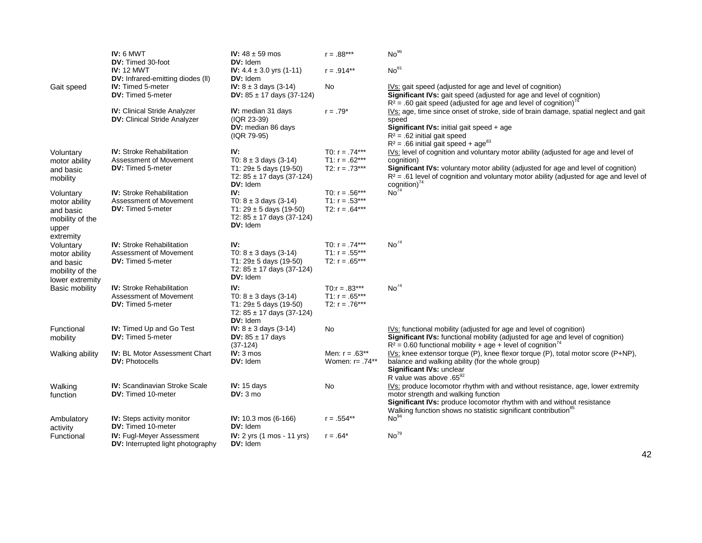|                                                                     | IV: 6 MWT<br><b>DV:</b> Timed 30-foot                                      | IV: $48 \pm 59$ mos<br>DV: Idem                                                                       | $r = .88***$                           | No <sup>96</sup>                                                                                                                                                                                                                                                              |
|---------------------------------------------------------------------|----------------------------------------------------------------------------|-------------------------------------------------------------------------------------------------------|----------------------------------------|-------------------------------------------------------------------------------------------------------------------------------------------------------------------------------------------------------------------------------------------------------------------------------|
|                                                                     | <b>IV: 12 MWT</b><br><b>DV:</b> Infrared-emitting diodes (II)              | IV: $4.4 \pm 3.0$ yrs (1-11)<br>DV: Idem                                                              | $r = .914**$                           | No <sup>81</sup>                                                                                                                                                                                                                                                              |
| Gait speed                                                          | <b>IV:</b> Timed 5-meter<br><b>DV:</b> Timed 5-meter                       | <b>IV:</b> $8 \pm 3$ days (3-14)<br>DV: $85 \pm 17$ days (37-124)                                     | No                                     | IVs: gait speed (adjusted for age and level of cognition)<br>Significant IVs: gait speed (adjusted for age and level of cognition)<br>$R^2$ = .60 gait speed (adjusted for age and level of cognition) <sup>"</sup>                                                           |
|                                                                     | <b>IV:</b> Clinical Stride Analyzer<br><b>DV: Clinical Stride Analyzer</b> | IV: median 31 days<br>(IQR 23-39)<br>DV: median 86 days<br>(IQR 79-95)                                | $r = .79*$                             | IVs: age, time since onset of stroke, side of brain damage, spatial neglect and gait<br>speed<br>Significant IVs: initial gait speed + age<br>$R^2$ = .62 initial gait speed<br>$R^2$ = .66 initial gait speed + age <sup>83</sup>                                            |
| Voluntary                                                           | <b>IV:</b> Stroke Rehabilitation                                           | IV:                                                                                                   | T0: $r = .74***$                       | IVs: level of cognition and voluntary motor ability (adjusted for age and level of                                                                                                                                                                                            |
| motor ability<br>and basic<br>mobility                              | Assessment of Movement<br>DV: Timed 5-meter                                | T0: $8 \pm 3$ days (3-14)<br>T1: $29 \pm 5$ days (19-50)<br>T2: $85 \pm 17$ days (37-124)<br>DV: Idem | T1: $r = .62***$<br>T2: $r = .73***$   | cognition)<br>Significant IVs: voluntary motor ability (adjusted for age and level of cognition)<br>$R^2$ = .61 level of cognition and voluntary motor ability (adjusted for age and level of<br>cognition) <sup>74</sup>                                                     |
| Voluntary                                                           | <b>IV:</b> Stroke Rehabilitation                                           | IV:                                                                                                   | T0: $r = .56***$                       | No <sup>74</sup>                                                                                                                                                                                                                                                              |
| motor ability<br>and basic<br>mobility of the<br>upper<br>extremity | Assessment of Movement<br><b>DV:</b> Timed 5-meter                         | T0: $8 \pm 3$ days (3-14)<br>T1: $29 \pm 5$ days (19-50)<br>T2: $85 \pm 17$ days (37-124)<br>DV: Idem | T1: $r = .53***$<br>T2: $r = .64***$   |                                                                                                                                                                                                                                                                               |
| Voluntary                                                           | <b>IV:</b> Stroke Rehabilitation                                           | IV:                                                                                                   | T0: $r = .74***$                       | No <sup>74</sup>                                                                                                                                                                                                                                                              |
| motor ability<br>and basic<br>mobility of the<br>lower extremity    | Assessment of Movement<br><b>DV:</b> Timed 5-meter                         | T0: $8 \pm 3$ days (3-14)<br>T1: $29 \pm 5$ days (19-50)<br>T2: $85 \pm 17$ days (37-124)<br>DV: Idem | T1: $r = .55***$<br>T2: $r = .65***$   |                                                                                                                                                                                                                                                                               |
| Basic mobility                                                      | <b>IV:</b> Stroke Rehabilitation                                           | IV:                                                                                                   | $TO: r = .83***$                       | No <sup>74</sup>                                                                                                                                                                                                                                                              |
|                                                                     | Assessment of Movement<br><b>DV:</b> Timed 5-meter                         | T0: $8 \pm 3$ days (3-14)<br>T1: $29 \pm 5$ days (19-50)<br>T2: $85 \pm 17$ days (37-124)<br>DV: Idem | T1: $r = .65***$<br>T2: $r = .76***$   |                                                                                                                                                                                                                                                                               |
| Functional<br>mobility                                              | IV: Timed Up and Go Test<br><b>DV:</b> Timed 5-meter                       | <b>IV:</b> $8 \pm 3$ days (3-14)<br>DV: $85 \pm 17$ days<br>$(37-124)$                                | No                                     | IVs: functional mobility (adjusted for age and level of cognition)<br>Significant IVs: functional mobility (adjusted for age and level of cognition)<br>$R^2$ = 0.60 functional mobility + age + level of cognition <sup>74</sup>                                             |
| Walking ability                                                     | <b>IV: BL Motor Assessment Chart</b><br><b>DV: Photocells</b>              | $IV: 3 m$ os<br>DV: Idem                                                                              | Men: $r = .63**$<br>Women: $r = .74**$ | IVs: knee extensor torque (P), knee flexor torque (P), total motor score (P+NP),<br>balance and walking ability (for the whole group)<br>Significant IVs: unclear<br>R value was above .65 <sup>92</sup>                                                                      |
| Walking<br>function                                                 | <b>IV:</b> Scandinavian Stroke Scale<br><b>DV:</b> Timed 10-meter          | IV: 15 days<br>DV: 3 mo                                                                               | No.                                    | IVs: produce locomotor rhythm with and without resistance, age, lower extremity<br>motor strength and walking function<br>Significant IVs: produce locomotor rhythm with and without resistance<br>Walking function shows no statistic significant contribution <sup>85</sup> |
| Ambulatory<br>activity                                              | <b>IV:</b> Steps activity monitor<br><b>DV:</b> Timed 10-meter             | <b>IV:</b> 10.3 mos $(6-166)$<br>DV: Idem                                                             | $r = .554**$                           | No <sup>94</sup>                                                                                                                                                                                                                                                              |
| Functional                                                          | <b>IV: Fugl-Meyer Assessment</b><br>DV: Interrupted light photography      | <b>IV:</b> $2 \text{ yrs}$ (1 mos - 11 yrs)<br>DV: Idem                                               | $r = .64*$                             | No <sup>79</sup>                                                                                                                                                                                                                                                              |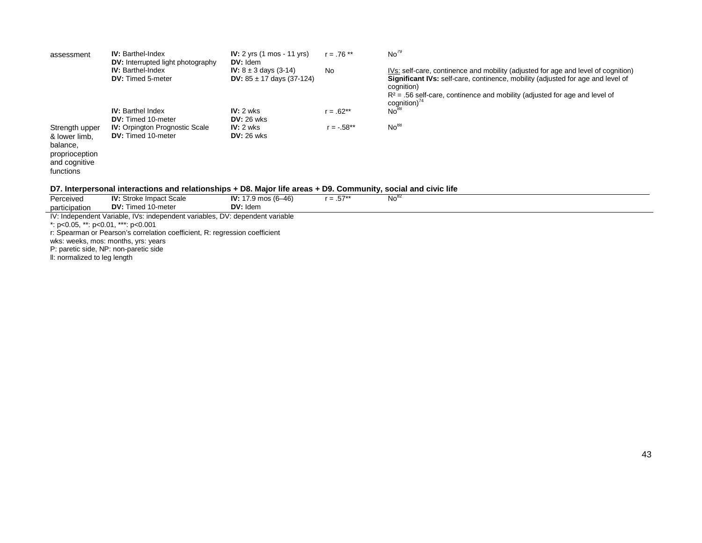| assessment                                                                                  | <b>IV:</b> Barthel-Index<br><b>DV:</b> Interrupted light photography | IV: $2$ yrs $(1 \text{ mos} - 11 \text{ yrs})$<br>$DV:$ Idem             | $r = .76$ ** | No <sup>79</sup>                                                                                                                                                                                                                                                                                |
|---------------------------------------------------------------------------------------------|----------------------------------------------------------------------|--------------------------------------------------------------------------|--------------|-------------------------------------------------------------------------------------------------------------------------------------------------------------------------------------------------------------------------------------------------------------------------------------------------|
|                                                                                             | <b>IV:</b> Barthel-Index<br><b>DV:</b> Timed 5-meter                 | <b>IV:</b> $8 \pm 3$ days (3-14)<br><b>DV:</b> $85 \pm 17$ days (37-124) | No.          | IVs: self-care, continence and mobility (adjusted for age and level of cognition)<br><b>Significant IVs:</b> self-care, continence, mobility (adjusted for age and level of<br>cognition)<br>$R^2$ = .56 self-care, continence and mobility (adjusted for age and level of<br>$c$ ognition) $4$ |
|                                                                                             | <b>IV:</b> Barthel Index<br><b>DV:</b> Timed 10-meter                | IV: 2 wks<br>$DV: 26$ wks                                                | $r = .62**$  | No <sup>88</sup>                                                                                                                                                                                                                                                                                |
| Strength upper<br>& lower limb.<br>balance,<br>proprioception<br>and cognitive<br>functions | <b>IV:</b> Orpington Prognostic Scale<br><b>DV:</b> Timed 10-meter   | $IV: 2$ wks<br>$DV: 26$ wks                                              | $r = -.58**$ | No <sup>88</sup>                                                                                                                                                                                                                                                                                |

#### **D7. Interpersonal interactions and relationships + D8. Major life areas + D9. Community, social and civic life**

| Perceived                                                                    | <b>IV:</b> Stroke Impact Scale | <b>IV:</b> 17.9 mos (6–46) | $r = .57**$ | $No^{\circ}$ |  |
|------------------------------------------------------------------------------|--------------------------------|----------------------------|-------------|--------------|--|
| participation                                                                | <b>DV:</b> Timed 10-meter      | $DV:$ Idem                 |             |              |  |
| IV: Independent Variable, IVs: independent variables, DV: dependent variable |                                |                            |             |              |  |
| *: p<0.05, **: p<0.01, ***: p<0.001                                          |                                |                            |             |              |  |
| r: Spearman or Pearson's correlation coefficient, R: regression coefficient  |                                |                            |             |              |  |

wks: weeks, mos: months, yrs: years

P: paretic side, NP: non-paretic side

ll: normalized to leg length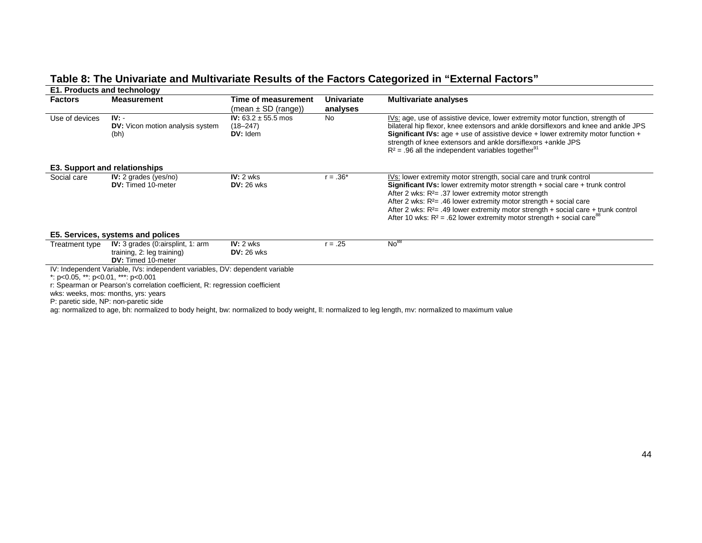# **Table 8: The Univariate and Multivariate Results of the Factors Categorized in "External Factors"**

|                                             | <b>E1. Products and technology</b>                                                           |                                                     |            |                                                                                                                                                                                                                                                                                                                                                                                                                                                                        |  |  |  |
|---------------------------------------------|----------------------------------------------------------------------------------------------|-----------------------------------------------------|------------|------------------------------------------------------------------------------------------------------------------------------------------------------------------------------------------------------------------------------------------------------------------------------------------------------------------------------------------------------------------------------------------------------------------------------------------------------------------------|--|--|--|
| <b>Factors</b>                              | <b>Measurement</b>                                                                           | Time of measurement                                 | Univariate | <b>Multivariate analyses</b>                                                                                                                                                                                                                                                                                                                                                                                                                                           |  |  |  |
|                                             |                                                                                              | $(mean \pm SD (range))$                             | analyses   |                                                                                                                                                                                                                                                                                                                                                                                                                                                                        |  |  |  |
| Use of devices                              | $IV: -$<br><b>DV:</b> Vicon motion analysis system<br>(bh)                                   | IV: $63.2 \pm 55.5$ mos<br>$(18 - 247)$<br>DV: Idem | <b>No</b>  | IVs: age, use of assistive device, lower extremity motor function, strength of<br>bilateral hip flexor, knee extensors and ankle dorsiflexors and knee and ankle JPS<br><b>Significant IVs:</b> age + use of assistive device + lower extremity motor function +<br>strength of knee extensors and ankle dorsiflexors +ankle JPS<br>$R^2$ = .96 all the independent variables together <sup>91</sup>                                                                   |  |  |  |
|                                             | E3. Support and relationships                                                                |                                                     |            |                                                                                                                                                                                                                                                                                                                                                                                                                                                                        |  |  |  |
| Social care                                 | IV: 2 grades ( $yes/no)$ )<br><b>DV:</b> Timed 10-meter                                      | $IV: 2$ wks<br>$DV: 26$ wks                         | $r = .36*$ | IVs: lower extremity motor strength, social care and trunk control<br>Significant IVs: lower extremity motor strength + social care + trunk control<br>After 2 wks: $R2= .37$ lower extremity motor strength<br>After 2 wks: $R^2$ = .46 lower extremity motor strength + social care<br>After 2 wks: $R^2$ = .49 lower extremity motor strength + social care + trunk control<br>After 10 wks: $R^2$ = .62 lower extremity motor strength + social care <sup>88</sup> |  |  |  |
|                                             | E5. Services, systems and polices                                                            |                                                     |            |                                                                                                                                                                                                                                                                                                                                                                                                                                                                        |  |  |  |
| Treatment type                              | IV: 3 grades (0:airsplint, 1: arm<br>training, 2: leg training)<br><b>DV:</b> Timed 10-meter | $IV: 2$ wks<br>$DV: 26$ wks                         | $r = .25$  | No <sup>88</sup>                                                                                                                                                                                                                                                                                                                                                                                                                                                       |  |  |  |
|                                             | IV: Independent Variable, IVs: independent variables, DV: dependent variable                 |                                                     |            |                                                                                                                                                                                                                                                                                                                                                                                                                                                                        |  |  |  |
| *: $p<0.05$ , **: $p<0.01$ , ***: $p<0.001$ |                                                                                              |                                                     |            |                                                                                                                                                                                                                                                                                                                                                                                                                                                                        |  |  |  |
|                                             | r: Spearman or Pearson's correlation coefficient, R: regression coefficient                  |                                                     |            |                                                                                                                                                                                                                                                                                                                                                                                                                                                                        |  |  |  |
|                                             | wks: weeks, mos: months, yrs: years                                                          |                                                     |            |                                                                                                                                                                                                                                                                                                                                                                                                                                                                        |  |  |  |
|                                             | P: paretic side, NP: non-paretic side                                                        |                                                     |            |                                                                                                                                                                                                                                                                                                                                                                                                                                                                        |  |  |  |

ag: normalized to age, bh: normalized to body height, bw: normalized to body weight, ll: normalized to leg length, mv: normalized to maximum value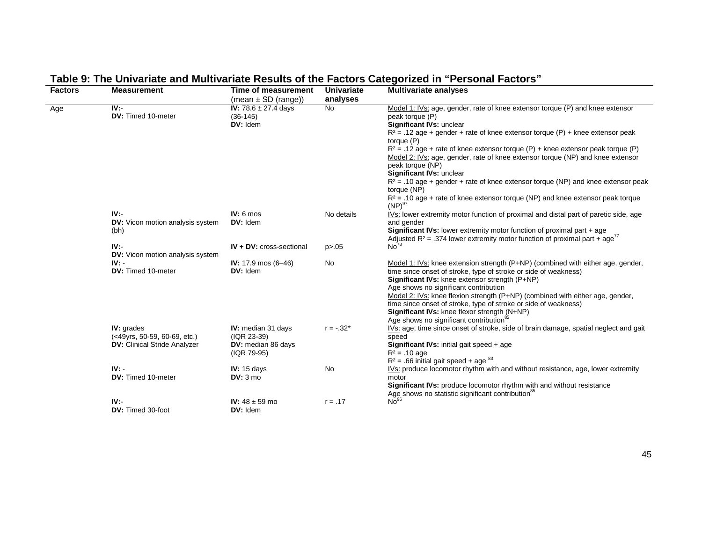| <b>Factors</b> | <b>Measurement</b>                                | Time of measurement                                | <b>Univariate</b> | <b>Multivariate analyses</b>                                                                                                                                                                                                                  |
|----------------|---------------------------------------------------|----------------------------------------------------|-------------------|-----------------------------------------------------------------------------------------------------------------------------------------------------------------------------------------------------------------------------------------------|
|                |                                                   | (mean $\pm$ SD (range))                            | analyses          |                                                                                                                                                                                                                                               |
| Age            | $\overline{IV}$ .<br>DV: Timed 10-meter           | IV: $78.6 \pm 27.4$ days<br>$(36-145)$<br>DV: Idem | <b>No</b>         | Model 1: IVs: age, gender, rate of knee extensor torque (P) and knee extensor<br>peak torque (P)<br>Significant IVs: unclear                                                                                                                  |
|                |                                                   |                                                    |                   | $R^2$ = .12 age + gender + rate of knee extensor torque (P) + knee extensor peak<br>torque (P)<br>$R^2$ = .12 age + rate of knee extensor torque (P) + knee extensor peak torque (P)                                                          |
|                |                                                   |                                                    |                   | Model 2: IVs: age, gender, rate of knee extensor torque (NP) and knee extensor<br>peak torque (NP)<br>Significant IVs: unclear                                                                                                                |
|                |                                                   |                                                    |                   | $R^2$ = .10 age + gender + rate of knee extensor torque (NP) and knee extensor peak<br>torque (NP)                                                                                                                                            |
|                |                                                   |                                                    |                   | $R^2$ = .10 age + rate of knee extensor torque (NP) and knee extensor peak torque<br>$(NP)^{97}$                                                                                                                                              |
|                | IV.<br><b>DV:</b> Vicon motion analysis system    | $IV: 6 \text{ mos}$<br>DV: Idem                    | No details        | IVs: lower extremity motor function of proximal and distal part of paretic side, age<br>and gender                                                                                                                                            |
|                | (bh)<br>IV:                                       | <b>IV + DV: cross-sectional</b>                    |                   | Significant IVs: lower extremity motor function of proximal part + age<br>Adjusted R <sup>2</sup> = .374 lower extremity motor function of proximal part + age <sup>77</sup><br>No <sup>78</sup>                                              |
|                | <b>DV:</b> Vicon motion analysis system           |                                                    | p > 0.05          |                                                                                                                                                                                                                                               |
|                | $IV: -$<br>DV: Timed 10-meter                     | IV: $17.9 \text{ mos } (6 - 46)$<br>DV: Idem       | <b>No</b>         | Model 1: IVs: knee extension strength (P+NP) (combined with either age, gender,<br>time since onset of stroke, type of stroke or side of weakness)<br>Significant IVs: knee extensor strength (P+NP)<br>Age shows no significant contribution |
|                |                                                   |                                                    |                   | Model 2: IVs: knee flexion strength (P+NP) (combined with either age, gender,<br>time since onset of stroke, type of stroke or side of weakness)<br>Significant IVs: knee flexor strength (N+NP)                                              |
|                | <b>IV:</b> grades<br>(<49yrs, 50-59, 60-69, etc.) | <b>IV:</b> median 31 days<br>(IQR 23-39)           | $r = -.32*$       | Age shows no significant contribution <sup>82</sup><br>IVs: age, time since onset of stroke, side of brain damage, spatial neglect and gait<br>speed                                                                                          |
|                | <b>DV: Clinical Stride Analyzer</b>               | DV: median 86 days<br>(IQR 79-95)                  |                   | Significant IVs: initial gait speed + age<br>$R^2$ = .10 age<br>$R^2$ = .66 initial gait speed + age $^{83}$                                                                                                                                  |
|                | $IV: -$                                           | IV: $15$ days                                      | <b>No</b>         | IVs: produce locomotor rhythm with and without resistance, age, lower extremity                                                                                                                                                               |
|                | <b>DV:</b> Timed 10-meter                         | DV: 3 mo                                           |                   | motor<br>Significant IVs: produce locomotor rhythm with and without resistance<br>Age shows no statistic significant contribution <sup>85</sup>                                                                                               |
|                | IV:<br>DV: Timed 30-foot                          | <b>IV:</b> $48 \pm 59$ mo<br>DV: Idem              | $r = .17$         | No <sup>96</sup>                                                                                                                                                                                                                              |

# **Table 9: The Univariate and Multivariate Results of the Factors Categorized in "Personal Factors"**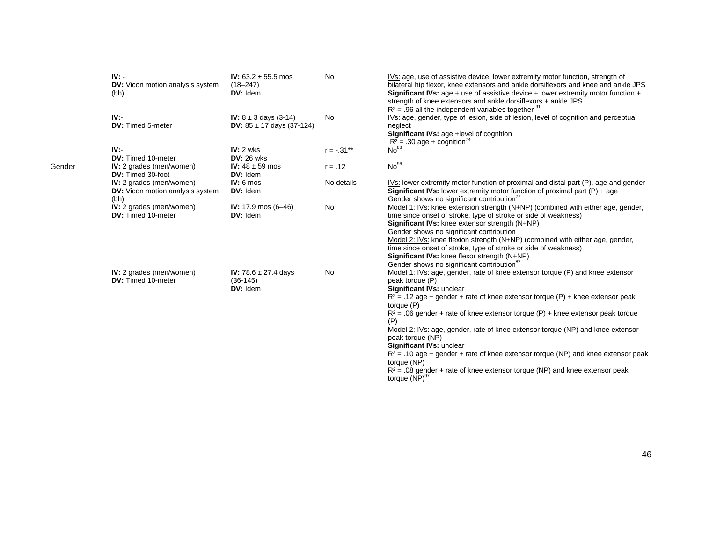| $IV: -$<br><b>DV:</b> Vicon motion analysis system<br>(bh)                  | IV: $63.2 \pm 55.5$ mos<br>$(18 - 247)$<br>DV: Idem               | <b>No</b>    | IVs: age, use of assistive device, lower extremity motor function, strength of<br>bilateral hip flexor, knee extensors and ankle dorsiflexors and knee and ankle JPS<br><b>Significant IVs:</b> age + use of assistive device + lower extremity motor function +<br>strength of knee extensors and ankle dorsiflexors + ankle JPS<br>$R^2$ = .96 all the independent variables together $\frac{91}{2}$                                                                                                         |
|-----------------------------------------------------------------------------|-------------------------------------------------------------------|--------------|----------------------------------------------------------------------------------------------------------------------------------------------------------------------------------------------------------------------------------------------------------------------------------------------------------------------------------------------------------------------------------------------------------------------------------------------------------------------------------------------------------------|
| IV:<br>DV: Timed 5-meter                                                    | <b>IV:</b> $8 \pm 3$ days (3-14)<br>DV: $85 \pm 17$ days (37-124) | <b>No</b>    | IVs: age, gender, type of lesion, side of lesion, level of cognition and perceptual<br>neglect<br>Significant IVs: age +level of cognition<br>$R^2$ = .30 age + cognition <sup>74</sup>                                                                                                                                                                                                                                                                                                                        |
| IV:<br>DV: Timed 10-meter                                                   | $IV: 2$ wks<br><b>DV: 26 wks</b>                                  | $r = -.31**$ | No <sup>88</sup>                                                                                                                                                                                                                                                                                                                                                                                                                                                                                               |
| <b>IV:</b> 2 grades (men/women)<br>DV: Timed 30-foot                        | IV: $48 \pm 59$ mos<br>DV: Idem                                   | $r = .12$    | No <sup>96</sup>                                                                                                                                                                                                                                                                                                                                                                                                                                                                                               |
| IV: 2 grades (men/women)<br><b>DV:</b> Vicon motion analysis system<br>(bh) | $IV: 6 \text{ mos}$<br>DV: Idem                                   | No details   | IVs: lower extremity motor function of proximal and distal part (P), age and gender<br><b>Significant IVs:</b> lower extremity motor function of proximal part $(P)$ + age<br>Gender shows no significant contribution <sup>77</sup>                                                                                                                                                                                                                                                                           |
| IV: 2 grades (men/women)<br>DV: Timed 10-meter                              | IV: $17.9 \text{ mos } (6 - 46)$<br>DV: Idem                      | No           | Model 1: IVs: knee extension strength (N+NP) (combined with either age, gender,<br>time since onset of stroke, type of stroke or side of weakness)<br>Significant IVs: knee extensor strength (N+NP)<br>Gender shows no significant contribution<br>Model 2: IVs: knee flexion strength (N+NP) (combined with either age, gender,<br>time since onset of stroke, type of stroke or side of weakness)<br>Significant IVs: knee flexor strength (N+NP)<br>Gender shows no significant contribution <sup>82</sup> |
| IV: 2 grades (men/women)<br>DV: Timed 10-meter                              | <b>IV:</b> 78.6 $\pm$ 27.4 days<br>$(36-145)$<br>DV: Idem         | <b>No</b>    | Model 1: IVs: age, gender, rate of knee extensor torque (P) and knee extensor<br>peak torque (P)<br>Significant IVs: unclear<br>$R^2$ = .12 age + gender + rate of knee extensor torque (P) + knee extensor peak<br>torque (P)<br>$R^2$ = .06 gender + rate of knee extensor torque (P) + knee extensor peak torque                                                                                                                                                                                            |
|                                                                             |                                                                   |              | (P)<br>Model 2: IVs: age, gender, rate of knee extensor torque (NP) and knee extensor<br>peak torque (NP)<br>Significant IVs: unclear<br>$R^2$ = .10 age + gender + rate of knee extensor torque (NP) and knee extensor peak<br>torque (NP)<br>$R^2$ = .08 gender + rate of knee extensor torque (NP) and knee extensor peak<br>torque (NP) <sup>97</sup>                                                                                                                                                      |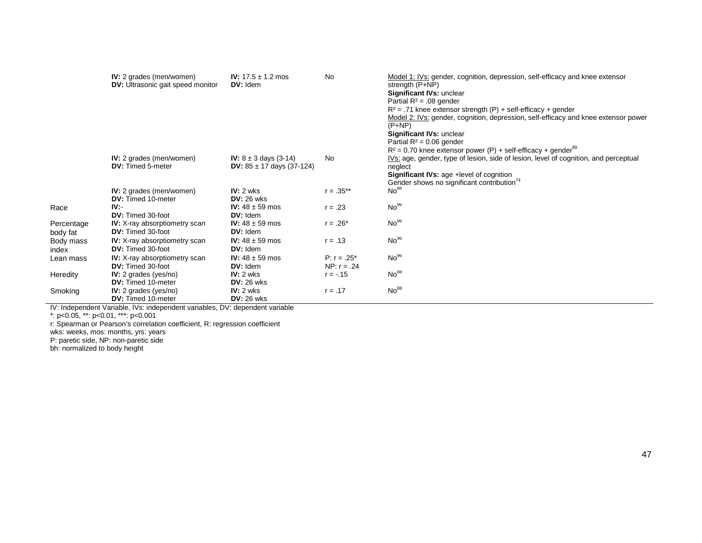|                        | <b>IV:</b> 2 grades (men/women)<br><b>DV:</b> Ultrasonic gait speed monitor | <b>IV:</b> $17.5 \pm 1.2$ mos<br>DV: Idem                                | <b>No</b>                       | Model 1: IVs: gender, cognition, depression, self-efficacy and knee extensor<br>strength $(P+NP)$<br>Significant IVs: unclear<br>Partial $R^2$ = .08 gender<br>$R^2$ = .71 knee extensor strength (P) + self-efficacy + gender<br>Model 2: IVs: gender, cognition, depression, self-efficacy and knee extensor power<br>$(P+NP)$<br>Significant IVs: unclear<br>Partial $R^2 = 0.06$ gender<br>$R^2$ = 0.70 knee extensor power (P) + self-efficacy + gender <sup>89</sup> |
|------------------------|-----------------------------------------------------------------------------|--------------------------------------------------------------------------|---------------------------------|----------------------------------------------------------------------------------------------------------------------------------------------------------------------------------------------------------------------------------------------------------------------------------------------------------------------------------------------------------------------------------------------------------------------------------------------------------------------------|
|                        | IV: 2 grades (men/women)<br><b>DV:</b> Timed 5-meter                        | <b>IV:</b> $8 \pm 3$ days (3-14)<br><b>DV:</b> $85 \pm 17$ days (37-124) | No                              | IVs: age, gender, type of lesion, side of lesion, level of cognition, and perceptual<br>neglect<br>Significant IVs: age +level of cognition<br>Gender shows no significant contribution <sup>74</sup>                                                                                                                                                                                                                                                                      |
|                        | <b>IV:</b> 2 grades (men/women)<br><b>DV:</b> Timed 10-meter                | $IV: 2$ wks<br>$DV: 26$ wks                                              | $r = .35***$                    | No <sup>88</sup>                                                                                                                                                                                                                                                                                                                                                                                                                                                           |
| Race                   | IV.<br>DV: Timed 30-foot                                                    | <b>IV:</b> $48 \pm 59$ mos<br>DV: Idem                                   | $r = .23$                       | No <sup>96</sup>                                                                                                                                                                                                                                                                                                                                                                                                                                                           |
| Percentage<br>body fat | <b>IV:</b> X-ray absorptiometry scan<br><b>DV:</b> Timed 30-foot            | <b>IV:</b> $48 \pm 59$ mos<br>$DV:$ Idem                                 | $r = .26*$                      | No <sup>96</sup>                                                                                                                                                                                                                                                                                                                                                                                                                                                           |
| Body mass<br>index     | <b>IV:</b> X-ray absorptiometry scan<br><b>DV:</b> Timed 30-foot            | <b>IV:</b> $48 \pm 59$ mos<br>DV: Idem                                   | $r = .13$                       | No <sup>96</sup>                                                                                                                                                                                                                                                                                                                                                                                                                                                           |
| Lean mass              | <b>IV:</b> X-ray absorptiometry scan<br><b>DV:</b> Timed 30-foot            | <b>IV:</b> $48 \pm 59$ mos<br>DV: Idem                                   | $P: r = .25^*$<br>NP: $r = .24$ | No <sup>96</sup>                                                                                                                                                                                                                                                                                                                                                                                                                                                           |
| Heredity               | IV: 2 grades ( $yes/no)$ )<br><b>DV:</b> Timed 10-meter                     | $IV: 2$ wks<br>$DV:26$ wks                                               | $r = -.15$                      | No <sup>88</sup>                                                                                                                                                                                                                                                                                                                                                                                                                                                           |
| Smoking                | IV: 2 grades (yes/no)<br><b>DV:</b> Timed 10-meter                          | $IV: 2$ wks<br>$DV:26$ wks                                               | $r = .17$                       | No <sup>88</sup>                                                                                                                                                                                                                                                                                                                                                                                                                                                           |

IV: Independent Variable, IVs: independent variables, DV: dependent variable

\*: p<0.05, \*\*: p<0.01, \*\*\*: p<0.001

r: Spearman or Pearson's correlation coefficient, R: regression coefficient

wks: weeks, mos: months, yrs: years

P: paretic side, NP: non-paretic side

bh: normalized to body height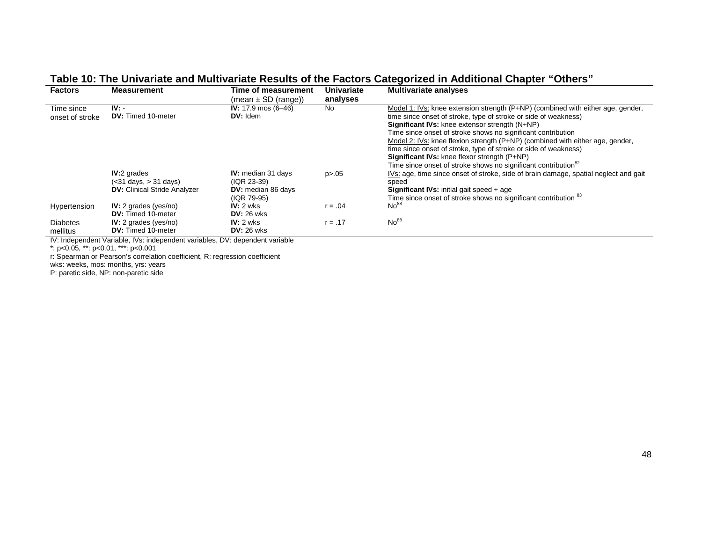| <b>Factors</b>                | <b>Measurement</b>                                                                       | Time of measurement                                                                  | Univariate | <b>Multivariate analyses</b>                                                                                                                                                                                                                                                                                                                                                                                                                                                                                                                           |  |  |  |  |
|-------------------------------|------------------------------------------------------------------------------------------|--------------------------------------------------------------------------------------|------------|--------------------------------------------------------------------------------------------------------------------------------------------------------------------------------------------------------------------------------------------------------------------------------------------------------------------------------------------------------------------------------------------------------------------------------------------------------------------------------------------------------------------------------------------------------|--|--|--|--|
|                               |                                                                                          | $(mean \pm SD (range))$                                                              | analyses   |                                                                                                                                                                                                                                                                                                                                                                                                                                                                                                                                                        |  |  |  |  |
| Time since<br>onset of stroke | $IV: -$<br><b>DV:</b> Timed 10-meter                                                     | IV: $17.9 \text{ mos } (6 - 46)$<br>$DV:$ Idem                                       | <b>No</b>  | Model 1: IVs: knee extension strength (P+NP) (combined with either age, gender,<br>time since onset of stroke, type of stroke or side of weakness)<br>Significant IVs: knee extensor strength (N+NP)<br>Time since onset of stroke shows no significant contribution<br>Model 2: IVs: knee flexion strength (P+NP) (combined with either age, gender,<br>time since onset of stroke, type of stroke or side of weakness)<br>Significant IVs: knee flexor strength (P+NP)<br>Time since onset of stroke shows no significant contribution <sup>82</sup> |  |  |  |  |
|                               | <b>IV:2</b> grades<br>$(31 \text{ days}, > 31 \text{ days})DV: Clinical Stride Analyzer$ | <b>IV:</b> median 31 days<br>(IQR 23-39)<br><b>DV:</b> median 86 days<br>(IQR 79-95) | p > 0.05   | IVs: age, time since onset of stroke, side of brain damage, spatial neglect and gait<br>speed<br><b>Significant IVs:</b> initial gait speed + age<br>Time since onset of stroke shows no significant contribution <sup>83</sup>                                                                                                                                                                                                                                                                                                                        |  |  |  |  |
| Hypertension                  | $IV: 2$ grades (yes/no)<br><b>DV:</b> Timed 10-meter                                     | $IV: 2$ wks<br>$DV: 26$ wks                                                          | $r = .04$  | No <sup>88</sup>                                                                                                                                                                                                                                                                                                                                                                                                                                                                                                                                       |  |  |  |  |
| <b>Diabetes</b><br>mellitus   | $IV: 2$ grades (yes/no)<br><b>DV:</b> Timed 10-meter                                     | $IV: 2$ wks<br>$DV: 26$ wks                                                          | $r = .17$  | No <sup>88</sup>                                                                                                                                                                                                                                                                                                                                                                                                                                                                                                                                       |  |  |  |  |

#### **Table 10: The Univariate and Multivariate Results of the Factors Categorized in Additional Chapter "Others"**

IV: Independent Variable, IVs: independent variables, DV: dependent variable

\*: p<0.05, \*\*: p<0.01, \*\*\*: p<0.001

r: Spearman or Pearson's correlation coefficient, R: regression coefficient

wks: weeks, mos: months, yrs: years

P: paretic side, NP: non-paretic side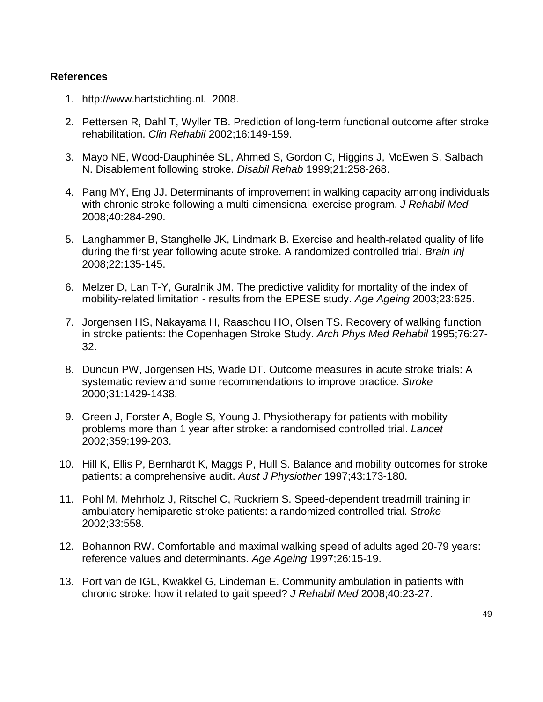#### **References**

- 1. [http://www.hartstichting.nl.](http://www.hartstichting.nl/) 2008.
- 2. Pettersen R, Dahl T, Wyller TB. Prediction of long-term functional outcome after stroke rehabilitation. *Clin Rehabil* 2002;16:149-159.
- 3. Mayo NE, Wood-Dauphinée SL, Ahmed S, Gordon C, Higgins J, McEwen S, Salbach N. Disablement following stroke. *Disabil Rehab* 1999;21:258-268.
- 4. Pang MY, Eng JJ. Determinants of improvement in walking capacity among individuals with chronic stroke following a multi-dimensional exercise program. *J Rehabil Med* 2008;40:284-290.
- 5. Langhammer B, Stanghelle JK, Lindmark B. Exercise and health-related quality of life during the first year following acute stroke. A randomized controlled trial. *Brain Inj* 2008;22:135-145.
- 6. Melzer D, Lan T-Y, Guralnik JM. The predictive validity for mortality of the index of mobility-related limitation - results from the EPESE study. *Age Ageing* 2003;23:625.
- 7. Jorgensen HS, Nakayama H, Raaschou HO, Olsen TS. Recovery of walking function in stroke patients: the Copenhagen Stroke Study. *Arch Phys Med Rehabil* 1995;76:27- 32.
- 8. Duncun PW, Jorgensen HS, Wade DT. Outcome measures in acute stroke trials: A systematic review and some recommendations to improve practice. *Stroke* 2000;31:1429-1438.
- 9. Green J, Forster A, Bogle S, Young J. Physiotherapy for patients with mobility problems more than 1 year after stroke: a randomised controlled trial. *Lancet* 2002;359:199-203.
- 10. Hill K, Ellis P, Bernhardt K, Maggs P, Hull S. Balance and mobility outcomes for stroke patients: a comprehensive audit. *Aust J Physiother* 1997;43:173-180.
- 11. Pohl M, Mehrholz J, Ritschel C, Ruckriem S. Speed-dependent treadmill training in ambulatory hemiparetic stroke patients: a randomized controlled trial. *Stroke* 2002;33:558.
- 12. Bohannon RW. Comfortable and maximal walking speed of adults aged 20-79 years: reference values and determinants. *Age Ageing* 1997;26:15-19.
- 13. Port van de IGL, Kwakkel G, Lindeman E. Community ambulation in patients with chronic stroke: how it related to gait speed? *J Rehabil Med* 2008;40:23-27.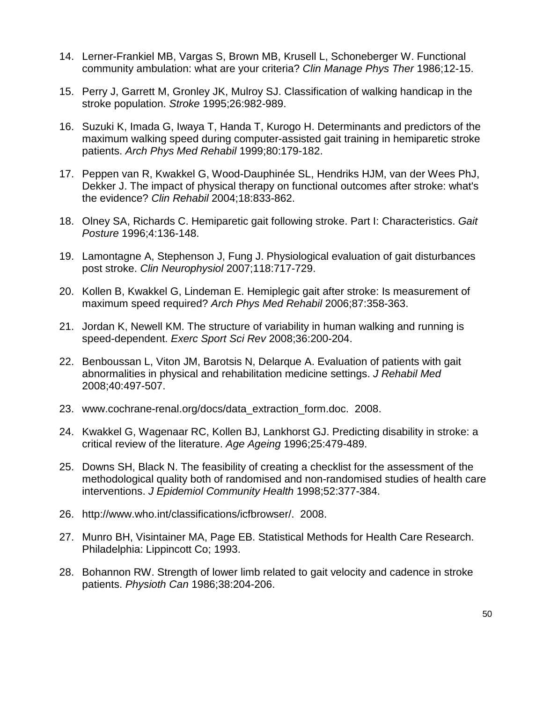- 14. Lerner-Frankiel MB, Vargas S, Brown MB, Krusell L, Schoneberger W. Functional community ambulation: what are your criteria? *Clin Manage Phys Ther* 1986;12-15.
- 15. Perry J, Garrett M, Gronley JK, Mulroy SJ. Classification of walking handicap in the stroke population. *Stroke* 1995;26:982-989.
- 16. Suzuki K, Imada G, Iwaya T, Handa T, Kurogo H. Determinants and predictors of the maximum walking speed during computer-assisted gait training in hemiparetic stroke patients. *Arch Phys Med Rehabil* 1999;80:179-182.
- 17. Peppen van R, Kwakkel G, Wood-Dauphinée SL, Hendriks HJM, van der Wees PhJ, Dekker J. The impact of physical therapy on functional outcomes after stroke: what's the evidence? *Clin Rehabil* 2004;18:833-862.
- 18. Olney SA, Richards C. Hemiparetic gait following stroke. Part I: Characteristics. *Gait Posture* 1996;4:136-148.
- 19. Lamontagne A, Stephenson J, Fung J. Physiological evaluation of gait disturbances post stroke. *Clin Neurophysiol* 2007;118:717-729.
- 20. Kollen B, Kwakkel G, Lindeman E. Hemiplegic gait after stroke: Is measurement of maximum speed required? *Arch Phys Med Rehabil* 2006;87:358-363.
- 21. Jordan K, Newell KM. The structure of variability in human walking and running is speed-dependent. *Exerc Sport Sci Rev* 2008;36:200-204.
- 22. Benboussan L, Viton JM, Barotsis N, Delarque A. Evaluation of patients with gait abnormalities in physical and rehabilitation medicine settings. *J Rehabil Med* 2008;40:497-507.
- 23. [www.cochrane-renal.org/docs/data\\_extraction\\_form.doc.](http://www.cochrane-renal.org/docs/data_extraction_form.doc) 2008.
- 24. Kwakkel G, Wagenaar RC, Kollen BJ, Lankhorst GJ. Predicting disability in stroke: a critical review of the literature. *Age Ageing* 1996;25:479-489.
- 25. Downs SH, Black N. The feasibility of creating a checklist for the assessment of the methodological quality both of randomised and non-randomised studies of health care interventions. *J Epidemiol Community Health* 1998;52:377-384.
- 26. [http://www.who.int/classifications/icfbrowser/.](http://www.who.int/classifications/icfbrowser/) 2008.
- 27. Munro BH, Visintainer MA, Page EB. Statistical Methods for Health Care Research. Philadelphia: Lippincott Co; 1993.
- 28. Bohannon RW. Strength of lower limb related to gait velocity and cadence in stroke patients. *Physioth Can* 1986;38:204-206.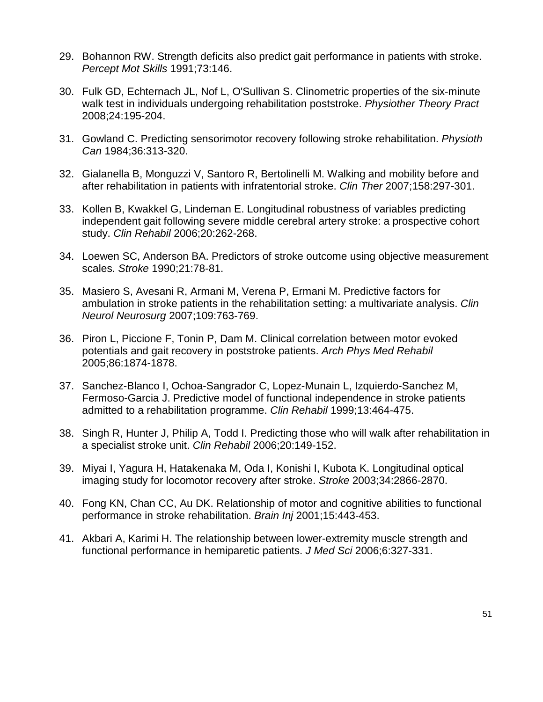- 29. Bohannon RW. Strength deficits also predict gait performance in patients with stroke. *Percept Mot Skills* 1991;73:146.
- 30. Fulk GD, Echternach JL, Nof L, O'Sullivan S. Clinometric properties of the six-minute walk test in individuals undergoing rehabilitation poststroke. *Physiother Theory Pract* 2008;24:195-204.
- 31. Gowland C. Predicting sensorimotor recovery following stroke rehabilitation. *Physioth Can* 1984;36:313-320.
- 32. Gialanella B, Monguzzi V, Santoro R, Bertolinelli M. Walking and mobility before and after rehabilitation in patients with infratentorial stroke. *Clin Ther* 2007;158:297-301.
- 33. Kollen B, Kwakkel G, Lindeman E. Longitudinal robustness of variables predicting independent gait following severe middle cerebral artery stroke: a prospective cohort study. *Clin Rehabil* 2006;20:262-268.
- 34. Loewen SC, Anderson BA. Predictors of stroke outcome using objective measurement scales. *Stroke* 1990;21:78-81.
- 35. Masiero S, Avesani R, Armani M, Verena P, Ermani M. Predictive factors for ambulation in stroke patients in the rehabilitation setting: a multivariate analysis. *Clin Neurol Neurosurg* 2007;109:763-769.
- 36. Piron L, Piccione F, Tonin P, Dam M. Clinical correlation between motor evoked potentials and gait recovery in poststroke patients. *Arch Phys Med Rehabil* 2005;86:1874-1878.
- 37. Sanchez-Blanco I, Ochoa-Sangrador C, Lopez-Munain L, Izquierdo-Sanchez M, Fermoso-Garcia J. Predictive model of functional independence in stroke patients admitted to a rehabilitation programme. *Clin Rehabil* 1999;13:464-475.
- 38. Singh R, Hunter J, Philip A, Todd I. Predicting those who will walk after rehabilitation in a specialist stroke unit. *Clin Rehabil* 2006;20:149-152.
- 39. Miyai I, Yagura H, Hatakenaka M, Oda I, Konishi I, Kubota K. Longitudinal optical imaging study for locomotor recovery after stroke. *Stroke* 2003;34:2866-2870.
- 40. Fong KN, Chan CC, Au DK. Relationship of motor and cognitive abilities to functional performance in stroke rehabilitation. *Brain Inj* 2001;15:443-453.
- 41. Akbari A, Karimi H. The relationship between lower-extremity muscle strength and functional performance in hemiparetic patients. *J Med Sci* 2006;6:327-331.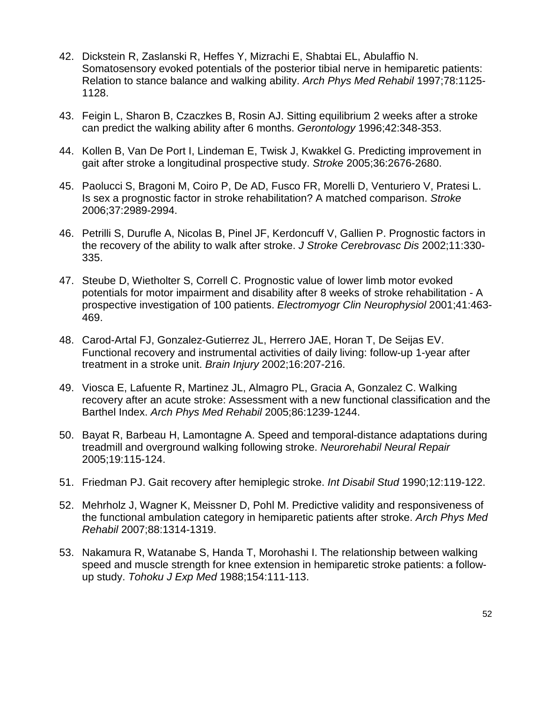- 42. Dickstein R, Zaslanski R, Heffes Y, Mizrachi E, Shabtai EL, Abulaffio N. Somatosensory evoked potentials of the posterior tibial nerve in hemiparetic patients: Relation to stance balance and walking ability. *Arch Phys Med Rehabil* 1997;78:1125- 1128.
- 43. Feigin L, Sharon B, Czaczkes B, Rosin AJ. Sitting equilibrium 2 weeks after a stroke can predict the walking ability after 6 months. *Gerontology* 1996;42:348-353.
- 44. Kollen B, Van De Port I, Lindeman E, Twisk J, Kwakkel G. Predicting improvement in gait after stroke a longitudinal prospective study. *Stroke* 2005;36:2676-2680.
- 45. Paolucci S, Bragoni M, Coiro P, De AD, Fusco FR, Morelli D, Venturiero V, Pratesi L. Is sex a prognostic factor in stroke rehabilitation? A matched comparison. *Stroke* 2006;37:2989-2994.
- 46. Petrilli S, Durufle A, Nicolas B, Pinel JF, Kerdoncuff V, Gallien P. Prognostic factors in the recovery of the ability to walk after stroke. *J Stroke Cerebrovasc Dis* 2002;11:330- 335.
- 47. Steube D, Wietholter S, Correll C. Prognostic value of lower limb motor evoked potentials for motor impairment and disability after 8 weeks of stroke rehabilitation - A prospective investigation of 100 patients. *Electromyogr Clin Neurophysiol* 2001;41:463- 469.
- 48. Carod-Artal FJ, Gonzalez-Gutierrez JL, Herrero JAE, Horan T, De Seijas EV. Functional recovery and instrumental activities of daily living: follow-up 1-year after treatment in a stroke unit. *Brain Injury* 2002;16:207-216.
- 49. Viosca E, Lafuente R, Martinez JL, Almagro PL, Gracia A, Gonzalez C. Walking recovery after an acute stroke: Assessment with a new functional classification and the Barthel Index. *Arch Phys Med Rehabil* 2005;86:1239-1244.
- 50. Bayat R, Barbeau H, Lamontagne A. Speed and temporal-distance adaptations during treadmill and overground walking following stroke. *Neurorehabil Neural Repair* 2005;19:115-124.
- 51. Friedman PJ. Gait recovery after hemiplegic stroke. *Int Disabil Stud* 1990;12:119-122.
- 52. Mehrholz J, Wagner K, Meissner D, Pohl M. Predictive validity and responsiveness of the functional ambulation category in hemiparetic patients after stroke. *Arch Phys Med Rehabil* 2007;88:1314-1319.
- 53. Nakamura R, Watanabe S, Handa T, Morohashi I. The relationship between walking speed and muscle strength for knee extension in hemiparetic stroke patients: a followup study. *Tohoku J Exp Med* 1988;154:111-113.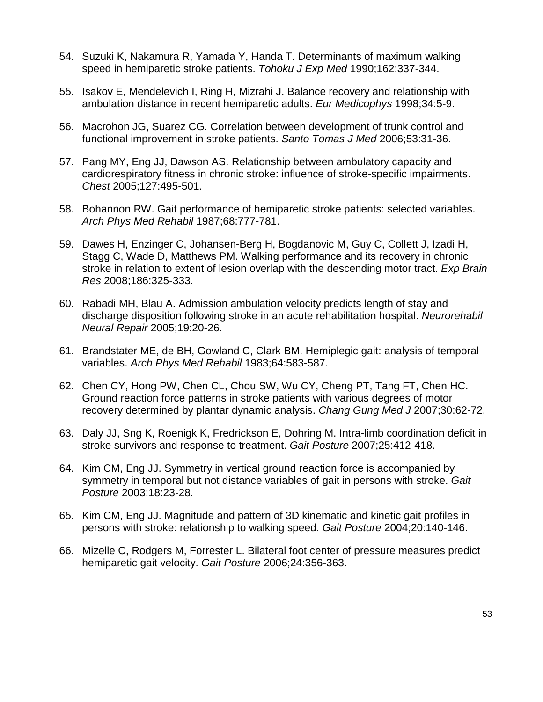- 54. Suzuki K, Nakamura R, Yamada Y, Handa T. Determinants of maximum walking speed in hemiparetic stroke patients. *Tohoku J Exp Med* 1990;162:337-344.
- 55. Isakov E, Mendelevich I, Ring H, Mizrahi J. Balance recovery and relationship with ambulation distance in recent hemiparetic adults. *Eur Medicophys* 1998;34:5-9.
- 56. Macrohon JG, Suarez CG. Correlation between development of trunk control and functional improvement in stroke patients. *Santo Tomas J Med* 2006;53:31-36.
- 57. Pang MY, Eng JJ, Dawson AS. Relationship between ambulatory capacity and cardiorespiratory fitness in chronic stroke: influence of stroke-specific impairments. *Chest* 2005;127:495-501.
- 58. Bohannon RW. Gait performance of hemiparetic stroke patients: selected variables. *Arch Phys Med Rehabil* 1987;68:777-781.
- 59. Dawes H, Enzinger C, Johansen-Berg H, Bogdanovic M, Guy C, Collett J, Izadi H, Stagg C, Wade D, Matthews PM. Walking performance and its recovery in chronic stroke in relation to extent of lesion overlap with the descending motor tract. *Exp Brain Res* 2008;186:325-333.
- 60. Rabadi MH, Blau A. Admission ambulation velocity predicts length of stay and discharge disposition following stroke in an acute rehabilitation hospital. *Neurorehabil Neural Repair* 2005;19:20-26.
- 61. Brandstater ME, de BH, Gowland C, Clark BM. Hemiplegic gait: analysis of temporal variables. *Arch Phys Med Rehabil* 1983;64:583-587.
- 62. Chen CY, Hong PW, Chen CL, Chou SW, Wu CY, Cheng PT, Tang FT, Chen HC. Ground reaction force patterns in stroke patients with various degrees of motor recovery determined by plantar dynamic analysis. *Chang Gung Med J* 2007;30:62-72.
- 63. Daly JJ, Sng K, Roenigk K, Fredrickson E, Dohring M. Intra-limb coordination deficit in stroke survivors and response to treatment. *Gait Posture* 2007;25:412-418.
- 64. Kim CM, Eng JJ. Symmetry in vertical ground reaction force is accompanied by symmetry in temporal but not distance variables of gait in persons with stroke. *Gait Posture* 2003;18:23-28.
- 65. Kim CM, Eng JJ. Magnitude and pattern of 3D kinematic and kinetic gait profiles in persons with stroke: relationship to walking speed. *Gait Posture* 2004;20:140-146.
- 66. Mizelle C, Rodgers M, Forrester L. Bilateral foot center of pressure measures predict hemiparetic gait velocity. *Gait Posture* 2006;24:356-363.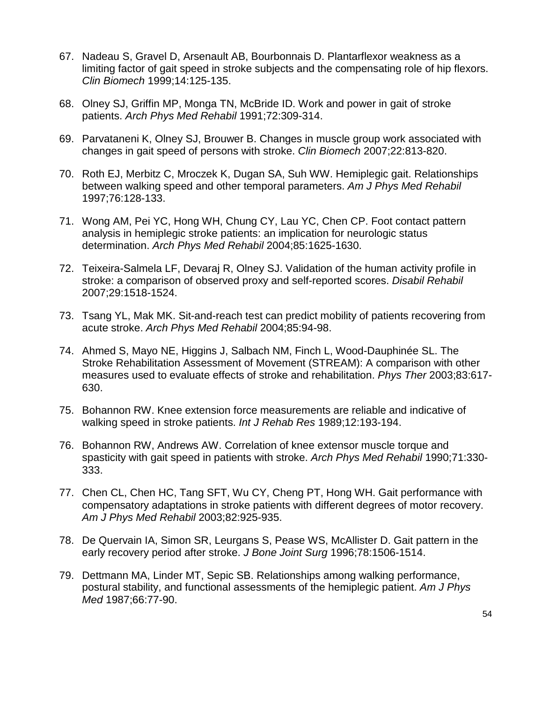- 67. Nadeau S, Gravel D, Arsenault AB, Bourbonnais D. Plantarflexor weakness as a limiting factor of gait speed in stroke subjects and the compensating role of hip flexors. *Clin Biomech* 1999;14:125-135.
- 68. Olney SJ, Griffin MP, Monga TN, McBride ID. Work and power in gait of stroke patients. *Arch Phys Med Rehabil* 1991;72:309-314.
- 69. Parvataneni K, Olney SJ, Brouwer B. Changes in muscle group work associated with changes in gait speed of persons with stroke. *Clin Biomech* 2007;22:813-820.
- 70. Roth EJ, Merbitz C, Mroczek K, Dugan SA, Suh WW. Hemiplegic gait. Relationships between walking speed and other temporal parameters. *Am J Phys Med Rehabil* 1997;76:128-133.
- 71. Wong AM, Pei YC, Hong WH, Chung CY, Lau YC, Chen CP. Foot contact pattern analysis in hemiplegic stroke patients: an implication for neurologic status determination. *Arch Phys Med Rehabil* 2004;85:1625-1630.
- 72. Teixeira-Salmela LF, Devaraj R, Olney SJ. Validation of the human activity profile in stroke: a comparison of observed proxy and self-reported scores. *Disabil Rehabil* 2007;29:1518-1524.
- 73. Tsang YL, Mak MK. Sit-and-reach test can predict mobility of patients recovering from acute stroke. *Arch Phys Med Rehabil* 2004;85:94-98.
- 74. Ahmed S, Mayo NE, Higgins J, Salbach NM, Finch L, Wood-Dauphinée SL. The Stroke Rehabilitation Assessment of Movement (STREAM): A comparison with other measures used to evaluate effects of stroke and rehabilitation. *Phys Ther* 2003;83:617- 630.
- 75. Bohannon RW. Knee extension force measurements are reliable and indicative of walking speed in stroke patients. *Int J Rehab Res* 1989;12:193-194.
- 76. Bohannon RW, Andrews AW. Correlation of knee extensor muscle torque and spasticity with gait speed in patients with stroke. *Arch Phys Med Rehabil* 1990;71:330- 333.
- 77. Chen CL, Chen HC, Tang SFT, Wu CY, Cheng PT, Hong WH. Gait performance with compensatory adaptations in stroke patients with different degrees of motor recovery. *Am J Phys Med Rehabil* 2003;82:925-935.
- 78. De Quervain IA, Simon SR, Leurgans S, Pease WS, McAllister D. Gait pattern in the early recovery period after stroke. *J Bone Joint Surg* 1996;78:1506-1514.
- 79. Dettmann MA, Linder MT, Sepic SB. Relationships among walking performance, postural stability, and functional assessments of the hemiplegic patient. *Am J Phys Med* 1987;66:77-90.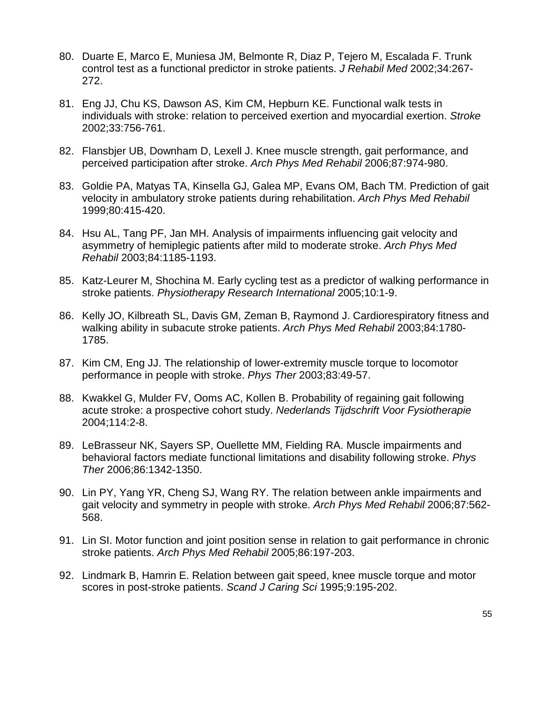- 80. Duarte E, Marco E, Muniesa JM, Belmonte R, Diaz P, Tejero M, Escalada F. Trunk control test as a functional predictor in stroke patients. *J Rehabil Med* 2002;34:267- 272.
- 81. Eng JJ, Chu KS, Dawson AS, Kim CM, Hepburn KE. Functional walk tests in individuals with stroke: relation to perceived exertion and myocardial exertion. *Stroke* 2002;33:756-761.
- 82. Flansbjer UB, Downham D, Lexell J. Knee muscle strength, gait performance, and perceived participation after stroke. *Arch Phys Med Rehabil* 2006;87:974-980.
- 83. Goldie PA, Matyas TA, Kinsella GJ, Galea MP, Evans OM, Bach TM. Prediction of gait velocity in ambulatory stroke patients during rehabilitation. *Arch Phys Med Rehabil* 1999;80:415-420.
- 84. Hsu AL, Tang PF, Jan MH. Analysis of impairments influencing gait velocity and asymmetry of hemiplegic patients after mild to moderate stroke. *Arch Phys Med Rehabil* 2003;84:1185-1193.
- 85. Katz-Leurer M, Shochina M. Early cycling test as a predictor of walking performance in stroke patients. *Physiotherapy Research International* 2005;10:1-9.
- 86. Kelly JO, Kilbreath SL, Davis GM, Zeman B, Raymond J. Cardiorespiratory fitness and walking ability in subacute stroke patients. *Arch Phys Med Rehabil* 2003;84:1780- 1785.
- 87. Kim CM, Eng JJ. The relationship of lower-extremity muscle torque to locomotor performance in people with stroke. *Phys Ther* 2003;83:49-57.
- 88. Kwakkel G, Mulder FV, Ooms AC, Kollen B. Probability of regaining gait following acute stroke: a prospective cohort study. *Nederlands Tijdschrift Voor Fysiotherapie* 2004;114:2-8.
- 89. LeBrasseur NK, Sayers SP, Ouellette MM, Fielding RA. Muscle impairments and behavioral factors mediate functional limitations and disability following stroke. *Phys Ther* 2006;86:1342-1350.
- 90. Lin PY, Yang YR, Cheng SJ, Wang RY. The relation between ankle impairments and gait velocity and symmetry in people with stroke. *Arch Phys Med Rehabil* 2006;87:562- 568.
- 91. Lin SI. Motor function and joint position sense in relation to gait performance in chronic stroke patients. *Arch Phys Med Rehabil* 2005;86:197-203.
- 92. Lindmark B, Hamrin E. Relation between gait speed, knee muscle torque and motor scores in post-stroke patients. *Scand J Caring Sci* 1995;9:195-202.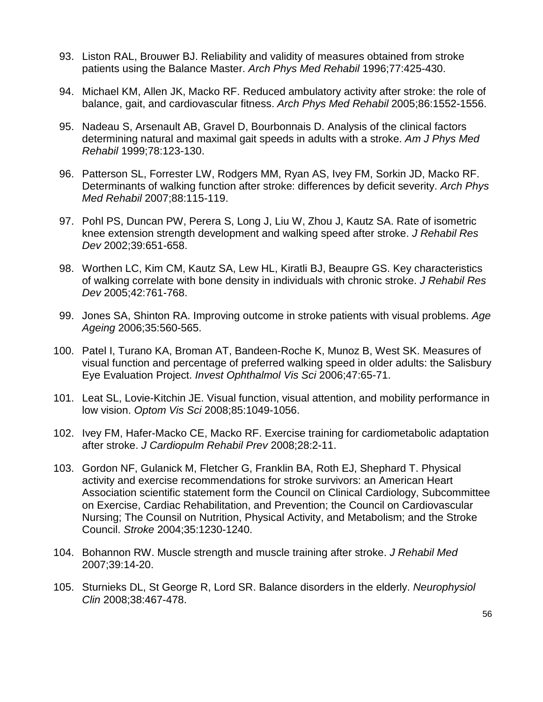- 93. Liston RAL, Brouwer BJ. Reliability and validity of measures obtained from stroke patients using the Balance Master. *Arch Phys Med Rehabil* 1996;77:425-430.
- 94. Michael KM, Allen JK, Macko RF. Reduced ambulatory activity after stroke: the role of balance, gait, and cardiovascular fitness. *Arch Phys Med Rehabil* 2005;86:1552-1556.
- 95. Nadeau S, Arsenault AB, Gravel D, Bourbonnais D. Analysis of the clinical factors determining natural and maximal gait speeds in adults with a stroke. *Am J Phys Med Rehabil* 1999;78:123-130.
- 96. Patterson SL, Forrester LW, Rodgers MM, Ryan AS, Ivey FM, Sorkin JD, Macko RF. Determinants of walking function after stroke: differences by deficit severity. *Arch Phys Med Rehabil* 2007;88:115-119.
- 97. Pohl PS, Duncan PW, Perera S, Long J, Liu W, Zhou J, Kautz SA. Rate of isometric knee extension strength development and walking speed after stroke. *J Rehabil Res Dev* 2002;39:651-658.
- 98. Worthen LC, Kim CM, Kautz SA, Lew HL, Kiratli BJ, Beaupre GS. Key characteristics of walking correlate with bone density in individuals with chronic stroke. *J Rehabil Res Dev* 2005;42:761-768.
- 99. Jones SA, Shinton RA. Improving outcome in stroke patients with visual problems. *Age Ageing* 2006;35:560-565.
- 100. Patel I, Turano KA, Broman AT, Bandeen-Roche K, Munoz B, West SK. Measures of visual function and percentage of preferred walking speed in older adults: the Salisbury Eye Evaluation Project. *Invest Ophthalmol Vis Sci* 2006;47:65-71.
- 101. Leat SL, Lovie-Kitchin JE. Visual function, visual attention, and mobility performance in low vision. *Optom Vis Sci* 2008;85:1049-1056.
- 102. Ivey FM, Hafer-Macko CE, Macko RF. Exercise training for cardiometabolic adaptation after stroke. *J Cardiopulm Rehabil Prev* 2008;28:2-11.
- 103. Gordon NF, Gulanick M, Fletcher G, Franklin BA, Roth EJ, Shephard T. Physical activity and exercise recommendations for stroke survivors: an American Heart Association scientific statement form the Council on Clinical Cardiology, Subcommittee on Exercise, Cardiac Rehabilitation, and Prevention; the Council on Cardiovascular Nursing; The Counsil on Nutrition, Physical Activity, and Metabolism; and the Stroke Council. *Stroke* 2004;35:1230-1240.
- 104. Bohannon RW. Muscle strength and muscle training after stroke. *J Rehabil Med* 2007;39:14-20.
- 105. Sturnieks DL, St George R, Lord SR. Balance disorders in the elderly. *Neurophysiol Clin* 2008;38:467-478.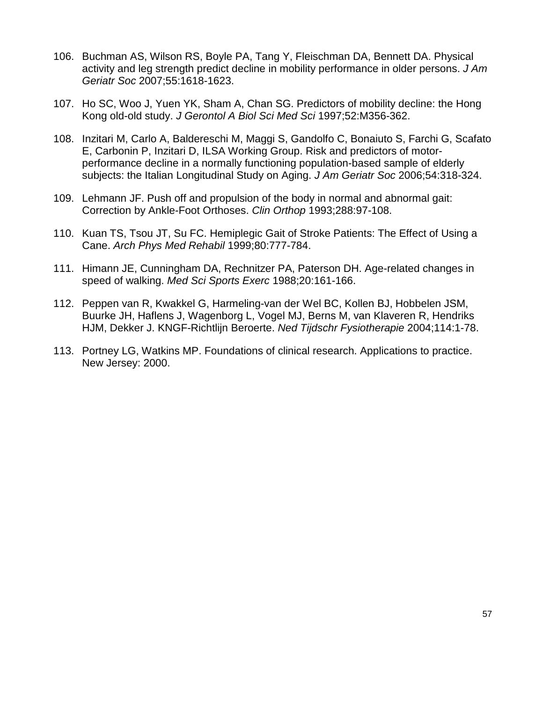- 106. Buchman AS, Wilson RS, Boyle PA, Tang Y, Fleischman DA, Bennett DA. Physical activity and leg strength predict decline in mobility performance in older persons. *J Am Geriatr Soc* 2007;55:1618-1623.
- 107. Ho SC, Woo J, Yuen YK, Sham A, Chan SG. Predictors of mobility decline: the Hong Kong old-old study. *J Gerontol A Biol Sci Med Sci* 1997;52:M356-362.
- 108. Inzitari M, Carlo A, Baldereschi M, Maggi S, Gandolfo C, Bonaiuto S, Farchi G, Scafato E, Carbonin P, Inzitari D, ILSA Working Group. Risk and predictors of motorperformance decline in a normally functioning population-based sample of elderly subjects: the Italian Longitudinal Study on Aging. *J Am Geriatr Soc* 2006;54:318-324.
- 109. Lehmann JF. Push off and propulsion of the body in normal and abnormal gait: Correction by Ankle-Foot Orthoses. *Clin Orthop* 1993;288:97-108.
- 110. Kuan TS, Tsou JT, Su FC. Hemiplegic Gait of Stroke Patients: The Effect of Using a Cane. *Arch Phys Med Rehabil* 1999;80:777-784.
- 111. Himann JE, Cunningham DA, Rechnitzer PA, Paterson DH. Age-related changes in speed of walking. *Med Sci Sports Exerc* 1988;20:161-166.
- 112. Peppen van R, Kwakkel G, Harmeling-van der Wel BC, Kollen BJ, Hobbelen JSM, Buurke JH, Haflens J, Wagenborg L, Vogel MJ, Berns M, van Klaveren R, Hendriks HJM, Dekker J. KNGF-Richtlijn Beroerte. *Ned Tijdschr Fysiotherapie* 2004;114:1-78.
- 113. Portney LG, Watkins MP. Foundations of clinical research. Applications to practice. New Jersey: 2000.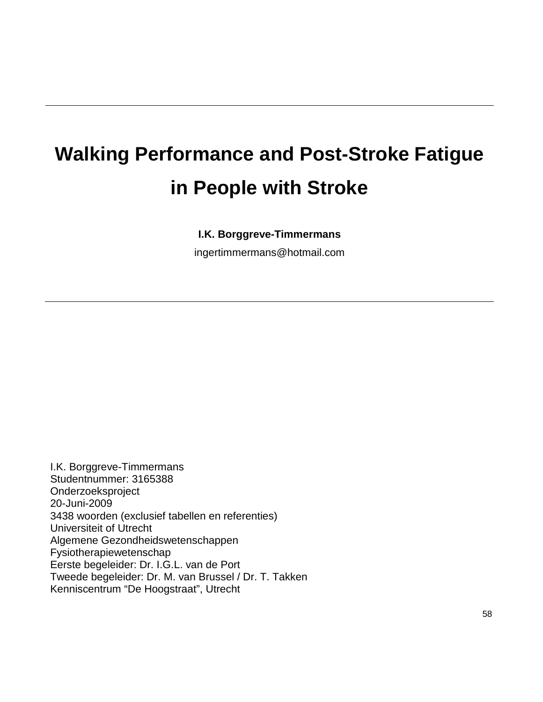# **Walking Performance and Post-Stroke Fatigue in People with Stroke**

# **I.K. Borggreve-Timmermans**

[ingertimmermans@hotmail.com](mailto:ingertimmermans@hotmail.com)

I.K. Borggreve-Timmermans Studentnummer: 3165388 Onderzoeksproject 20-Juni-2009 3438 woorden (exclusief tabellen en referenties) Universiteit of Utrecht Algemene Gezondheidswetenschappen Fysiotherapiewetenschap Eerste begeleider: Dr. I.G.L. van de Port Tweede begeleider: Dr. M. van Brussel / Dr. T. Takken Kenniscentrum "De Hoogstraat", Utrecht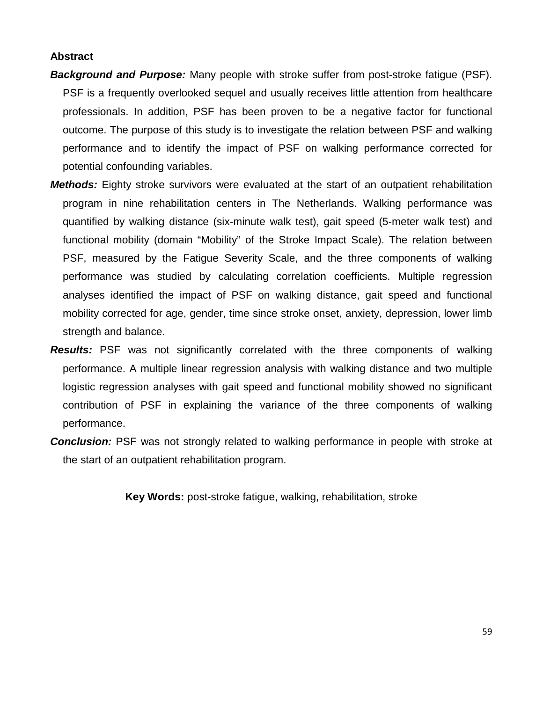#### **Abstract**

- *Background and Purpose:* Many people with stroke suffer from post-stroke fatigue (PSF). PSF is a frequently overlooked sequel and usually receives little attention from healthcare professionals. In addition, PSF has been proven to be a negative factor for functional outcome. The purpose of this study is to investigate the relation between PSF and walking performance and to identify the impact of PSF on walking performance corrected for potential confounding variables.
- *Methods:* Eighty stroke survivors were evaluated at the start of an outpatient rehabilitation program in nine rehabilitation centers in The Netherlands. Walking performance was quantified by walking distance (six-minute walk test), gait speed (5-meter walk test) and functional mobility (domain "Mobility" of the Stroke Impact Scale). The relation between PSF, measured by the Fatigue Severity Scale, and the three components of walking performance was studied by calculating correlation coefficients. Multiple regression analyses identified the impact of PSF on walking distance, gait speed and functional mobility corrected for age, gender, time since stroke onset, anxiety, depression, lower limb strength and balance.
- **Results:** PSF was not significantly correlated with the three components of walking performance. A multiple linear regression analysis with walking distance and two multiple logistic regression analyses with gait speed and functional mobility showed no significant contribution of PSF in explaining the variance of the three components of walking performance.
- **Conclusion:** PSF was not strongly related to walking performance in people with stroke at the start of an outpatient rehabilitation program.

**Key Words:** post-stroke fatigue, walking, rehabilitation, stroke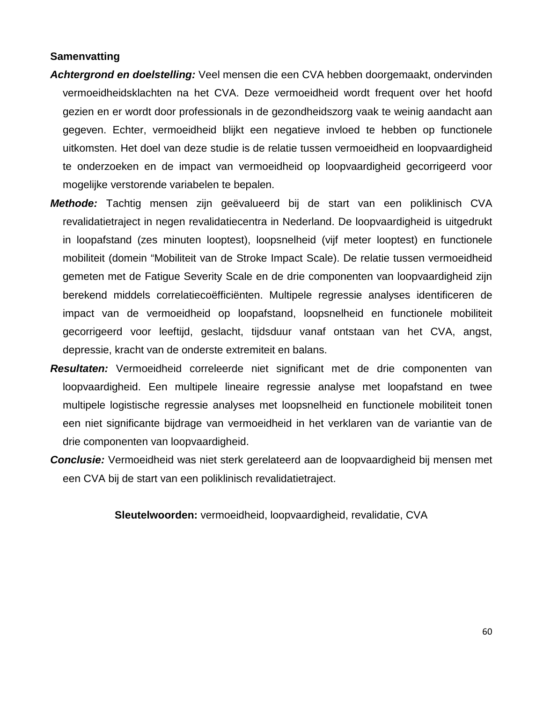#### **Samenvatting**

- *Achtergrond en doelstelling:* Veel mensen die een CVA hebben doorgemaakt, ondervinden vermoeidheidsklachten na het CVA. Deze vermoeidheid wordt frequent over het hoofd gezien en er wordt door professionals in de gezondheidszorg vaak te weinig aandacht aan gegeven. Echter, vermoeidheid blijkt een negatieve invloed te hebben op functionele uitkomsten. Het doel van deze studie is de relatie tussen vermoeidheid en loopvaardigheid te onderzoeken en de impact van vermoeidheid op loopvaardigheid gecorrigeerd voor mogelijke verstorende variabelen te bepalen.
- *Methode:* Tachtig mensen zijn geëvalueerd bij de start van een poliklinisch CVA revalidatietraject in negen revalidatiecentra in Nederland. De loopvaardigheid is uitgedrukt in loopafstand (zes minuten looptest), loopsnelheid (vijf meter looptest) en functionele mobiliteit (domein "Mobiliteit van de Stroke Impact Scale). De relatie tussen vermoeidheid gemeten met de Fatigue Severity Scale en de drie componenten van loopvaardigheid zijn berekend middels correlatiecoëfficiënten. Multipele regressie analyses identificeren de impact van de vermoeidheid op loopafstand, loopsnelheid en functionele mobiliteit gecorrigeerd voor leeftijd, geslacht, tijdsduur vanaf ontstaan van het CVA, angst, depressie, kracht van de onderste extremiteit en balans.
- *Resultaten:* Vermoeidheid correleerde niet significant met de drie componenten van loopvaardigheid. Een multipele lineaire regressie analyse met loopafstand en twee multipele logistische regressie analyses met loopsnelheid en functionele mobiliteit tonen een niet significante bijdrage van vermoeidheid in het verklaren van de variantie van de drie componenten van loopvaardigheid.
- *Conclusie:* Vermoeidheid was niet sterk gerelateerd aan de loopvaardigheid bij mensen met een CVA bij de start van een poliklinisch revalidatietraject.

**Sleutelwoorden:** vermoeidheid, loopvaardigheid, revalidatie, CVA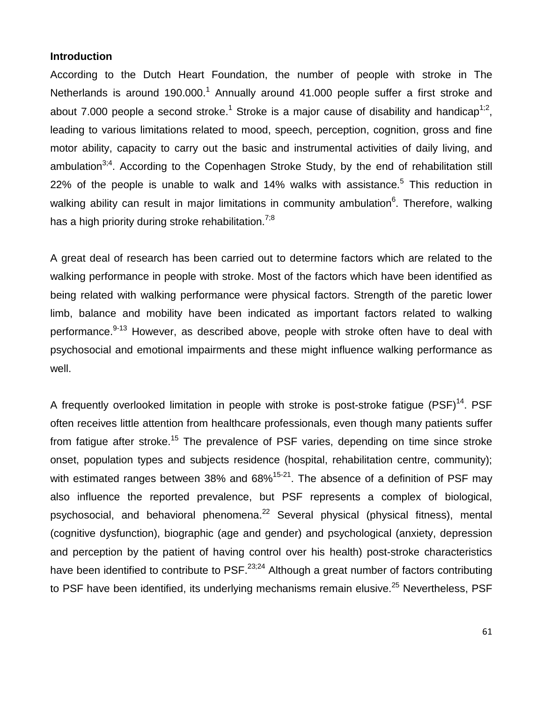#### **Introduction**

According to the Dutch Heart Foundation, the number of people with stroke in The Netherlands is around 190.000.<sup>1</sup> Annually around 41.000 people suffer a first stroke and about 7.000 people a second stroke.<sup>1</sup> Stroke is a major cause of disability and handicap<sup>1;2</sup>, leading to various limitations related to mood, speech, perception, cognition, gross and fine motor ability, capacity to carry out the basic and instrumental activities of daily living, and ambulation<sup>3;4</sup>. According to the Copenhagen Stroke Study, by the end of rehabilitation still 22% of the people is unable to walk and 14% walks with assistance.<sup>5</sup> This reduction in walking ability can result in major limitations in community ambulation<sup>6</sup>. Therefore, walking has a high priority during stroke rehabilitation.<sup>7;8</sup>

A great deal of research has been carried out to determine factors which are related to the walking performance in people with stroke. Most of the factors which have been identified as being related with walking performance were physical factors. Strength of the paretic lower limb, balance and mobility have been indicated as important factors related to walking performance.<sup>9-13</sup> However, as described above, people with stroke often have to deal with psychosocial and emotional impairments and these might influence walking performance as well.

A frequently overlooked limitation in people with stroke is post-stroke fatique (PSF)<sup>14</sup>. PSF often receives little attention from healthcare professionals, even though many patients suffer from fatigue after stroke.<sup>15</sup> The prevalence of PSF varies, depending on time since stroke onset, population types and subjects residence (hospital, rehabilitation centre, community); with estimated ranges between 38% and  $68\%$ <sup>15-21</sup>. The absence of a definition of PSF may also influence the reported prevalence, but PSF represents a complex of biological, psychosocial, and behavioral phenomena.<sup>22</sup> Several physical (physical fitness), mental (cognitive dysfunction), biographic (age and gender) and psychological (anxiety, depression and perception by the patient of having control over his health) post-stroke characteristics have been identified to contribute to PSF. $^{23,24}$  Although a great number of factors contributing to PSF have been identified, its underlying mechanisms remain elusive.<sup>25</sup> Nevertheless, PSF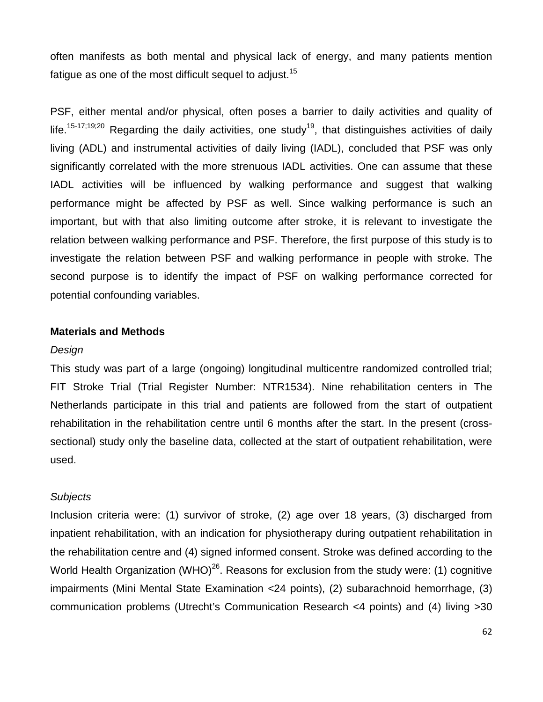often manifests as both mental and physical lack of energy, and many patients mention fatigue as one of the most difficult sequel to adjust.<sup>15</sup>

PSF, either mental and/or physical, often poses a barrier to daily activities and quality of life.<sup>15-17;19;20</sup> Regarding the daily activities, one study<sup>19</sup>, that distinguishes activities of daily living (ADL) and instrumental activities of daily living (IADL), concluded that PSF was only significantly correlated with the more strenuous IADL activities. One can assume that these IADL activities will be influenced by walking performance and suggest that walking performance might be affected by PSF as well. Since walking performance is such an important, but with that also limiting outcome after stroke, it is relevant to investigate the relation between walking performance and PSF. Therefore, the first purpose of this study is to investigate the relation between PSF and walking performance in people with stroke. The second purpose is to identify the impact of PSF on walking performance corrected for potential confounding variables.

#### **Materials and Methods**

#### *Design*

This study was part of a large (ongoing) longitudinal multicentre randomized controlled trial; FIT Stroke Trial (Trial Register Number: NTR1534). Nine rehabilitation centers in The Netherlands participate in this trial and patients are followed from the start of outpatient rehabilitation in the rehabilitation centre until 6 months after the start. In the present (crosssectional) study only the baseline data, collected at the start of outpatient rehabilitation, were used.

#### *Subjects*

Inclusion criteria were: (1) survivor of stroke, (2) age over 18 years, (3) discharged from inpatient rehabilitation, with an indication for physiotherapy during outpatient rehabilitation in the rehabilitation centre and (4) signed informed consent. Stroke was defined according to the World Health Organization (WHO)<sup>26</sup>. Reasons for exclusion from the study were: (1) cognitive impairments (Mini Mental State Examination <24 points), (2) subarachnoid hemorrhage, (3) communication problems (Utrecht's Communication Research <4 points) and (4) living >30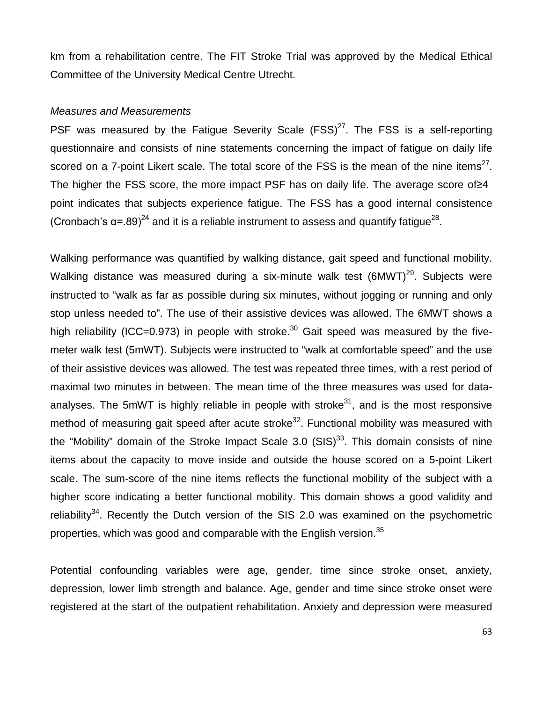km from a rehabilitation centre. The FIT Stroke Trial was approved by the Medical Ethical Committee of the University Medical Centre Utrecht.

#### *Measures and Measurements*

PSF was measured by the Fatigue Severity Scale  $(FSS)^{27}$ . The FSS is a self-reporting questionnaire and consists of nine statements concerning the impact of fatigue on daily life scored on a 7-point Likert scale. The total score of the FSS is the mean of the nine items<sup>27</sup>. The higher the FSS score, the more impact PSF has on daily life. The average score of  $\geq 4$ point indicates that subjects experience fatigue. The FSS has a good internal consistence (Cronbach's  $\alpha$ =.89)<sup>24</sup> and it is a reliable instrument to assess and quantify fatique<sup>28</sup>.

Walking performance was quantified by walking distance, gait speed and functional mobility. Walking distance was measured during a six-minute walk test (6MWT)<sup>29</sup>. Subjects were instructed to "walk as far as possible during six minutes, without jogging or running and only stop unless needed to". The use of their assistive devices was allowed. The 6MWT shows a high reliability (ICC=0.973) in people with stroke.<sup>30</sup> Gait speed was measured by the fivemeter walk test (5mWT). Subjects were instructed to "walk at comfortable speed" and the use of their assistive devices was allowed. The test was repeated three times, with a rest period of maximal two minutes in between. The mean time of the three measures was used for dataanalyses. The 5mWT is highly reliable in people with stroke<sup>31</sup>, and is the most responsive method of measuring gait speed after acute stroke<sup>32</sup>. Functional mobility was measured with the "Mobility" domain of the Stroke Impact Scale 3.0  $(SIS)^{33}$ . This domain consists of nine items about the capacity to move inside and outside the house scored on a 5-point Likert scale. The sum-score of the nine items reflects the functional mobility of the subject with a higher score indicating a better functional mobility. This domain shows a good validity and reliability<sup>34</sup>. Recently the Dutch version of the SIS 2.0 was examined on the psychometric properties, which was good and comparable with the English version.<sup>35</sup>

Potential confounding variables were age, gender, time since stroke onset, anxiety, depression, lower limb strength and balance. Age, gender and time since stroke onset were registered at the start of the outpatient rehabilitation. Anxiety and depression were measured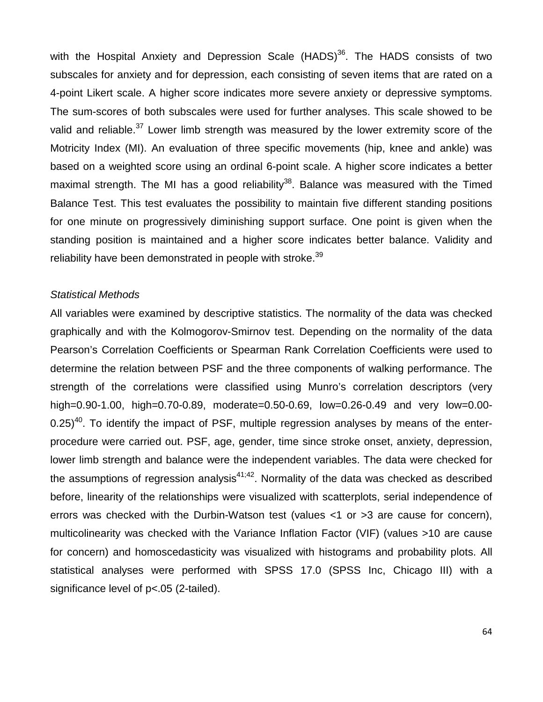with the Hospital Anxiety and Depression Scale  $(HADS)$ <sup>36</sup>. The HADS consists of two subscales for anxiety and for depression, each consisting of seven items that are rated on a 4-point Likert scale. A higher score indicates more severe anxiety or depressive symptoms. The sum-scores of both subscales were used for further analyses. This scale showed to be valid and reliable.<sup>37</sup> Lower limb strength was measured by the lower extremity score of the Motricity Index (MI). An evaluation of three specific movements (hip, knee and ankle) was based on a weighted score using an ordinal 6-point scale. A higher score indicates a better maximal strength. The MI has a good reliability<sup>38</sup>. Balance was measured with the Timed Balance Test. This test evaluates the possibility to maintain five different standing positions for one minute on progressively diminishing support surface. One point is given when the standing position is maintained and a higher score indicates better balance. Validity and reliability have been demonstrated in people with stroke.<sup>39</sup>

#### *Statistical Methods*

All variables were examined by descriptive statistics. The normality of the data was checked graphically and with the Kolmogorov-Smirnov test. Depending on the normality of the data Pearson's Correlation Coefficients or Spearman Rank Correlation Coefficients were used to determine the relation between PSF and the three components of walking performance. The strength of the correlations were classified using Munro's correlation descriptors (very high=0.90-1.00, high=0.70-0.89, moderate=0.50-0.69, low=0.26-0.49 and very low=0.00-  $0.25$ <sup>40</sup>. To identify the impact of PSF, multiple regression analyses by means of the enterprocedure were carried out. PSF, age, gender, time since stroke onset, anxiety, depression, lower limb strength and balance were the independent variables. The data were checked for the assumptions of regression analysis $41,42$ . Normality of the data was checked as described before, linearity of the relationships were visualized with scatterplots, serial independence of errors was checked with the Durbin-Watson test (values <1 or >3 are cause for concern), multicolinearity was checked with the Variance Inflation Factor (VIF) (values >10 are cause for concern) and homoscedasticity was visualized with histograms and probability plots. All statistical analyses were performed with SPSS 17.0 (SPSS Inc, Chicago III) with a significance level of  $p$ <.05 (2-tailed).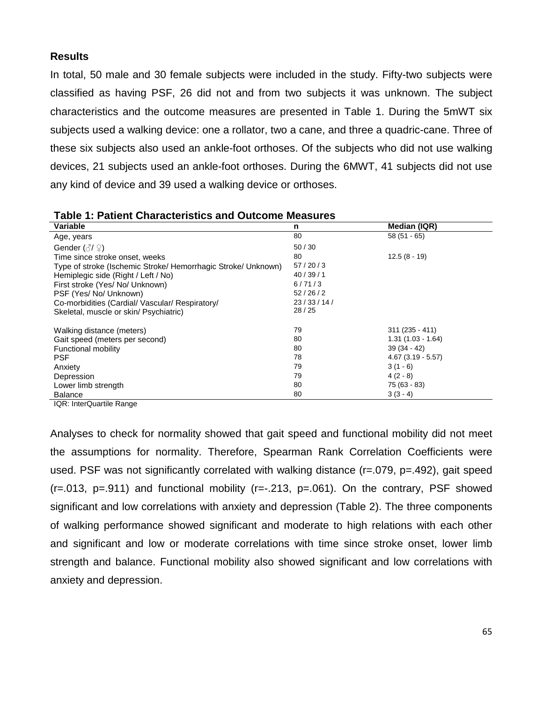#### **Results**

In total, 50 male and 30 female subjects were included in the study. Fifty-two subjects were classified as having PSF, 26 did not and from two subjects it was unknown. The subject characteristics and the outcome measures are presented in Table 1. During the 5mWT six subjects used a walking device: one a rollator, two a cane, and three a quadric-cane. Three of these six subjects also used an ankle-foot orthoses. Of the subjects who did not use walking devices, 21 subjects used an ankle-foot orthoses. During the 6MWT, 41 subjects did not use any kind of device and 39 used a walking device or orthoses.

| Variable                                                      | n         | Median (IQR)        |
|---------------------------------------------------------------|-----------|---------------------|
| Age, years                                                    | 80        | $58(51 - 65)$       |
| Gender $(\text{N}\, \mathbb{Q})$                              | 50/30     |                     |
| Time since stroke onset, weeks                                | 80        | $12.5(8 - 19)$      |
| Type of stroke (Ischemic Stroke/ Hemorrhagic Stroke/ Unknown) | 57/20/3   |                     |
| Hemiplegic side (Right / Left / No)                           | 40/39/1   |                     |
| First stroke (Yes/No/Unknown)                                 | 6/71/3    |                     |
| PSF (Yes/ No/ Unknown)                                        | 52/26/2   |                     |
| Co-morbidities (Cardial/ Vascular/ Respiratory/               | 23/33/14/ |                     |
| Skeletal, muscle or skin/ Psychiatric)                        | 28/25     |                     |
| Walking distance (meters)                                     | 79        | $311(235 - 411)$    |
| Gait speed (meters per second)                                | 80        | $1.31(1.03 - 1.64)$ |
| Functional mobility                                           | 80        | $39(34 - 42)$       |
| <b>PSF</b>                                                    | 78        | $4.67(3.19 - 5.57)$ |
| Anxiety                                                       | 79        | $3(1 - 6)$          |
| Depression                                                    | 79        | $4(2-8)$            |
| Lower limb strength                                           | 80        | 75 (63 - 83)        |
| <b>Balance</b><br>$\cdots$                                    | 80        | $3(3-4)$            |

| <b>Table 1: Patient Characteristics and Outcome Measures</b> |  |
|--------------------------------------------------------------|--|
|--------------------------------------------------------------|--|

IQR: InterQuartile Range

Analyses to check for normality showed that gait speed and functional mobility did not meet the assumptions for normality. Therefore, Spearman Rank Correlation Coefficients were used. PSF was not significantly correlated with walking distance (r=.079, p=.492), gait speed  $(r=.013, p=.911)$  and functional mobility  $(r=.213, p=.061)$ . On the contrary, PSF showed significant and low correlations with anxiety and depression (Table 2). The three components of walking performance showed significant and moderate to high relations with each other and significant and low or moderate correlations with time since stroke onset, lower limb strength and balance. Functional mobility also showed significant and low correlations with anxiety and depression.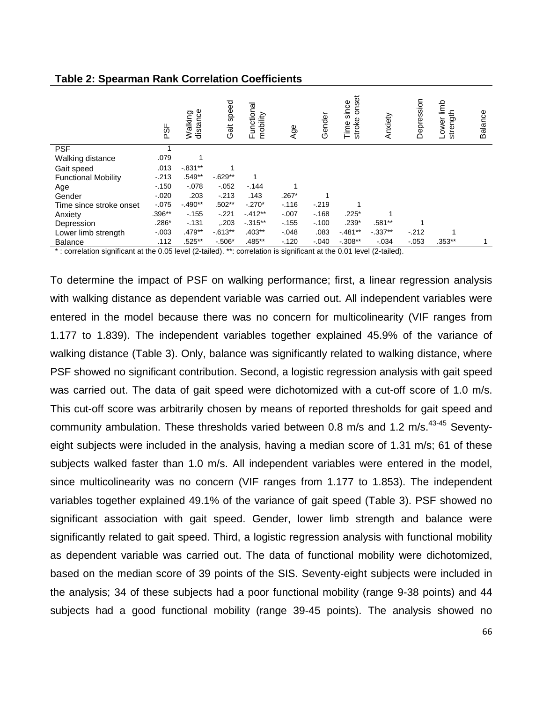|                                        | 9SF      | distance<br>Walking | Gait speed | Functional<br>mobility | Age     | Gender  | nset<br>since<br>ō<br>stroke<br>Time | mxiety<br>∢ | Depression | 같<br>strength<br>≔<br>Lower | Balance |
|----------------------------------------|----------|---------------------|------------|------------------------|---------|---------|--------------------------------------|-------------|------------|-----------------------------|---------|
| <b>PSF</b>                             |          |                     |            |                        |         |         |                                      |             |            |                             |         |
| Walking distance                       | .079     |                     |            |                        |         |         |                                      |             |            |                             |         |
| Gait speed                             | .013     | $-.831**$           |            |                        |         |         |                                      |             |            |                             |         |
| <b>Functional Mobility</b>             | $-213$   | .549**              | $-0.629**$ | 1                      |         |         |                                      |             |            |                             |         |
| Age                                    | $-0.150$ | $-.078$             | $-0.052$   | $-144$                 |         |         |                                      |             |            |                             |         |
| Gender                                 | $-.020$  | .203                | $-213$     | .143                   | $.267*$ |         |                                      |             |            |                             |         |
| Time since stroke onset                | $-.075$  | $-490**$            | $.502**$   | $-.270*$               | $-.116$ | $-.219$ |                                      |             |            |                             |         |
| Anxiety                                | .396**   | $-155$              | $-.221$    | $-412**$               | $-.007$ | $-168$  | $.225*$                              |             |            |                             |         |
| Depression                             | $.286*$  | $-131$              | .203       | $-0.315**$             | $-155$  | $-.100$ | $.239*$                              | $.581***$   |            |                             |         |
| Lower limb strength                    | $-.003$  | .479**              | $-0.613**$ | $.403**$               | $-.048$ | .083    | $-481**$                             | $-0.337**$  | $-212$     |                             |         |
| <b>Balance</b><br>$\sim$ $\sim$ $\sim$ | .112     | $.525***$           | $-.506*$   | .485**                 | $-120$  | $-.040$ | $-0.308**$                           | $-0.034$    | $-.053$    | $.353***$                   |         |

#### **Table 2: Spearman Rank Correlation Coefficients**

\* : correlation significant at the 0.05 level (2-tailed). \*\*: correlation is significant at the 0.01 level (2-tailed).

To determine the impact of PSF on walking performance; first, a linear regression analysis with walking distance as dependent variable was carried out. All independent variables were entered in the model because there was no concern for multicolinearity (VIF ranges from 1.177 to 1.839). The independent variables together explained 45.9% of the variance of walking distance (Table 3). Only, balance was significantly related to walking distance, where PSF showed no significant contribution. Second, a logistic regression analysis with gait speed was carried out. The data of gait speed were dichotomized with a cut-off score of 1.0 m/s. This cut-off score was arbitrarily chosen by means of reported thresholds for gait speed and community ambulation. These thresholds varied between 0.8 m/s and 1.2 m/s.<sup>43-45</sup> Seventyeight subjects were included in the analysis, having a median score of 1.31 m/s; 61 of these subjects walked faster than 1.0 m/s. All independent variables were entered in the model, since multicolinearity was no concern (VIF ranges from 1.177 to 1.853). The independent variables together explained 49.1% of the variance of gait speed (Table 3). PSF showed no significant association with gait speed. Gender, lower limb strength and balance were significantly related to gait speed. Third, a logistic regression analysis with functional mobility as dependent variable was carried out. The data of functional mobility were dichotomized, based on the median score of 39 points of the SIS. Seventy-eight subjects were included in the analysis; 34 of these subjects had a poor functional mobility (range 9-38 points) and 44 subjects had a good functional mobility (range 39-45 points). The analysis showed no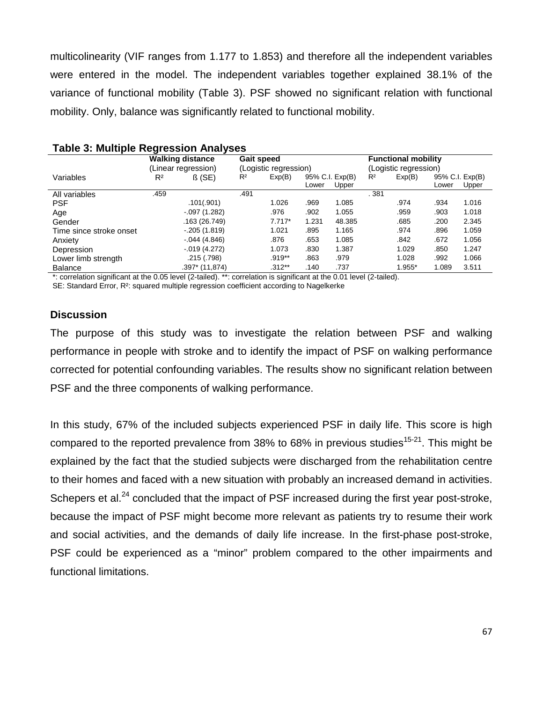multicolinearity (VIF ranges from 1.177 to 1.853) and therefore all the independent variables were entered in the model. The independent variables together explained 38.1% of the variance of functional mobility (Table 3). PSF showed no significant relation with functional mobility. Only, balance was significantly related to functional mobility.

|                         |                     | <b>Walking distance</b> | <b>Gait speed</b>     |          |                 |        | <b>Functional mobility</b> |        |                 |       |
|-------------------------|---------------------|-------------------------|-----------------------|----------|-----------------|--------|----------------------------|--------|-----------------|-------|
|                         | (Linear regression) |                         | (Logistic regression) |          |                 |        | (Logistic regression)      |        |                 |       |
| Variables               | $R^2$               | $\beta$ (SE)            | $R^2$                 | Exp(B)   | 95% C.I. Exp(B) |        | R <sup>2</sup>             | Exp(B) | 95% C.I. Exp(B) |       |
|                         |                     |                         |                       |          | Lower           | Upper  |                            |        | Lower           | Upper |
| All variables           | .459                |                         | .491                  |          |                 |        | . 381                      |        |                 |       |
| <b>PSF</b>              |                     | .101(.901)              |                       | 1.026    | .969            | 1.085  |                            | .974   | .934            | 1.016 |
| Age                     |                     | $-.097(1.282)$          |                       | .976     | .902            | 1.055  |                            | .959   | .903            | 1.018 |
| Gender                  |                     | .163 (26.749)           |                       | $7.717*$ | 1.231           | 48.385 |                            | .685   | .200            | 2.345 |
| Time since stroke onset |                     | $-.205(1.819)$          |                       | 1.021    | .895            | 1.165  |                            | .974   | .896            | 1.059 |
| Anxiety                 |                     | $-0.044(4.846)$         |                       | .876     | .653            | 1.085  |                            | .842   | .672            | 1.056 |
| Depression              |                     | $-.019(4.272)$          |                       | 1.073    | .830            | 1.387  |                            | 1.029  | .850            | 1.247 |
| Lower limb strength     |                     | .215 (.798)             |                       | $.919**$ | .863            | .979   |                            | 1.028  | .992            | 1.066 |
| <b>Balance</b>          |                     | .397* (11,874)          |                       | $.312**$ | .140            | .737   |                            | 1.955* | 1.089           | 3.511 |

#### **Table 3: Multiple Regression Analyses**

\*: correlation significant at the 0.05 level (2-tailed). \*\*: correlation is significant at the 0.01 level (2-tailed).

SE: Standard Error, R²: squared multiple regression coefficient according to Nagelkerke

#### **Discussion**

The purpose of this study was to investigate the relation between PSF and walking performance in people with stroke and to identify the impact of PSF on walking performance corrected for potential confounding variables. The results show no significant relation between PSF and the three components of walking performance.

In this study, 67% of the included subjects experienced PSF in daily life. This score is high compared to the reported prevalence from 38% to 68% in previous studies<sup>15-21</sup>. This might be explained by the fact that the studied subjects were discharged from the rehabilitation centre to their homes and faced with a new situation with probably an increased demand in activities. Schepers et al.<sup>24</sup> concluded that the impact of PSF increased during the first year post-stroke, because the impact of PSF might become more relevant as patients try to resume their work and social activities, and the demands of daily life increase. In the first-phase post-stroke, PSF could be experienced as a "minor" problem compared to the other impairments and functional limitations.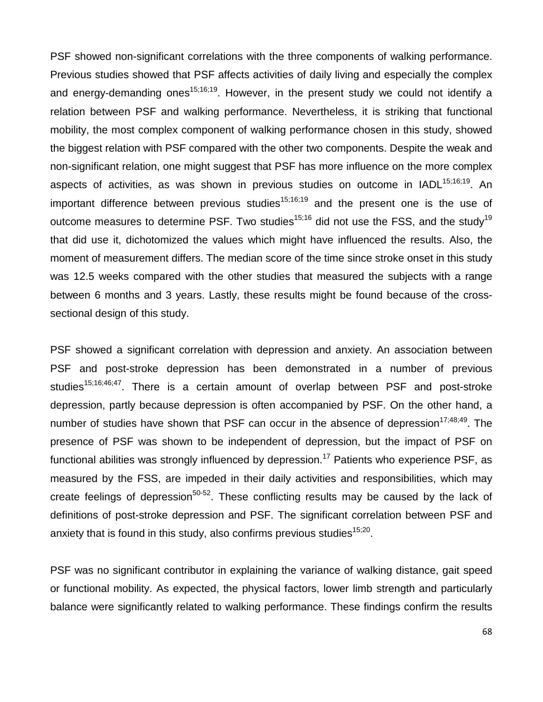PSF showed non-significant correlations with the three components of walking performance. Previous studies showed that PSF affects activities of daily living and especially the complex and energy-demanding ones<sup>15;16;19</sup>. However, in the present study we could not identify a relation between PSF and walking performance. Nevertheless, it is striking that functional mobility, the most complex component of walking performance chosen in this study, showed the biggest relation with PSF compared with the other two components. Despite the weak and non-significant relation, one might suggest that PSF has more influence on the more complex aspects of activities, as was shown in previous studies on outcome in IADL<sup>15;16;19</sup>. An important difference between previous studies<sup>15;16;19</sup> and the present one is the use of outcome measures to determine PSF. Two studies<sup>15;16</sup> did not use the FSS, and the study<sup>19</sup> that did use it, dichotomized the values which might have influenced the results. Also, the moment of measurement differs. The median score of the time since stroke onset in this study was 12.5 weeks compared with the other studies that measured the subjects with a range between 6 months and 3 years. Lastly, these results might be found because of the crosssectional design of this study.

PSF showed a significant correlation with depression and anxiety. An association between PSF and post-stroke depression has been demonstrated in a number of previous studies<sup>15;16;46;47</sup>. There is a certain amount of overlap between PSF and post-stroke depression, partly because depression is often accompanied by PSF. On the other hand, a number of studies have shown that PSF can occur in the absence of depression<sup>17;48;49</sup>. The presence of PSF was shown to be independent of depression, but the impact of PSF on functional abilities was strongly influenced by depression.<sup>17</sup> Patients who experience PSF, as measured by the FSS, are impeded in their daily activities and responsibilities, which may create feelings of depression<sup>50-52</sup>. These conflicting results may be caused by the lack of definitions of post-stroke depression and PSF. The significant correlation between PSF and anxiety that is found in this study, also confirms previous studies $15,20$ .

PSF was no significant contributor in explaining the variance of walking distance, gait speed or functional mobility. As expected, the physical factors, lower limb strength and particularly balance were significantly related to walking performance. These findings confirm the results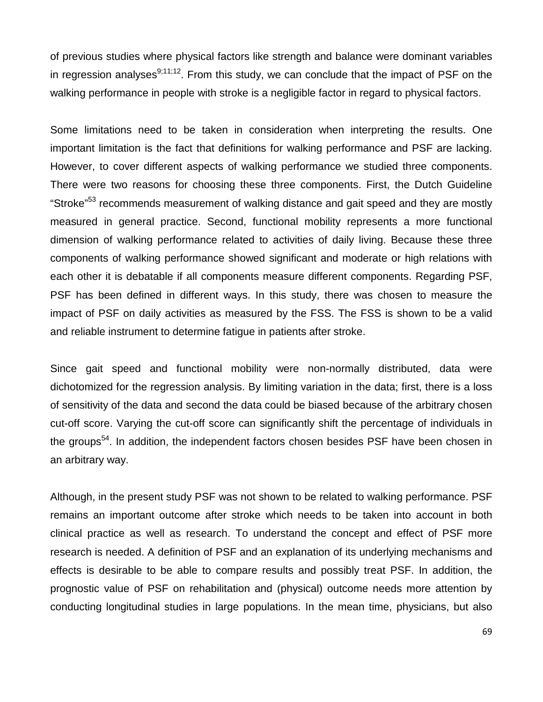of previous studies where physical factors like strength and balance were dominant variables in regression analyses $9,11,12$ . From this study, we can conclude that the impact of PSF on the walking performance in people with stroke is a negligible factor in regard to physical factors.

Some limitations need to be taken in consideration when interpreting the results. One important limitation is the fact that definitions for walking performance and PSF are lacking. However, to cover different aspects of walking performance we studied three components. There were two reasons for choosing these three components. First, the Dutch Guideline "Stroke"<sup>53</sup> recommends measurement of walking distance and gait speed and they are mostly measured in general practice. Second, functional mobility represents a more functional dimension of walking performance related to activities of daily living. Because these three components of walking performance showed significant and moderate or high relations with each other it is debatable if all components measure different components. Regarding PSF, PSF has been defined in different ways. In this study, there was chosen to measure the impact of PSF on daily activities as measured by the FSS. The FSS is shown to be a valid and reliable instrument to determine fatigue in patients after stroke.

Since gait speed and functional mobility were non-normally distributed, data were dichotomized for the regression analysis. By limiting variation in the data; first, there is a loss of sensitivity of the data and second the data could be biased because of the arbitrary chosen cut-off score. Varying the cut-off score can significantly shift the percentage of individuals in the groups<sup>54</sup>. In addition, the independent factors chosen besides PSF have been chosen in an arbitrary way.

Although, in the present study PSF was not shown to be related to walking performance. PSF remains an important outcome after stroke which needs to be taken into account in both clinical practice as well as research. To understand the concept and effect of PSF more research is needed. A definition of PSF and an explanation of its underlying mechanisms and effects is desirable to be able to compare results and possibly treat PSF. In addition, the prognostic value of PSF on rehabilitation and (physical) outcome needs more attention by conducting longitudinal studies in large populations. In the mean time, physicians, but also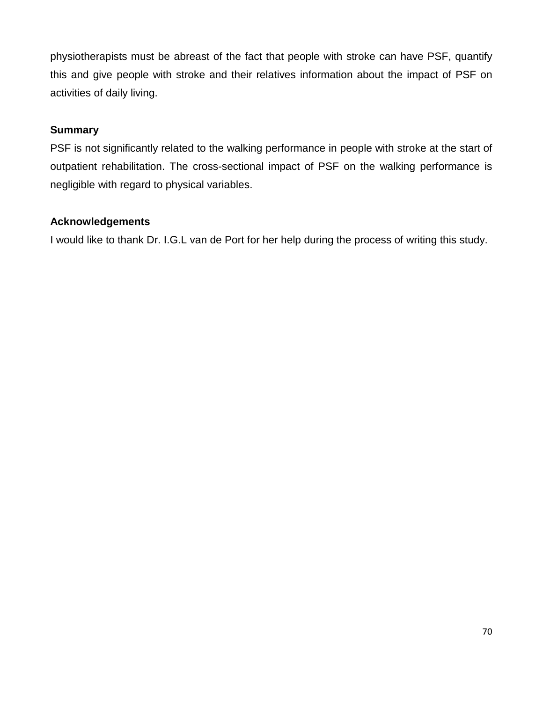physiotherapists must be abreast of the fact that people with stroke can have PSF, quantify this and give people with stroke and their relatives information about the impact of PSF on activities of daily living.

### **Summary**

PSF is not significantly related to the walking performance in people with stroke at the start of outpatient rehabilitation. The cross-sectional impact of PSF on the walking performance is negligible with regard to physical variables.

# **Acknowledgements**

I would like to thank Dr. I.G.L van de Port for her help during the process of writing this study.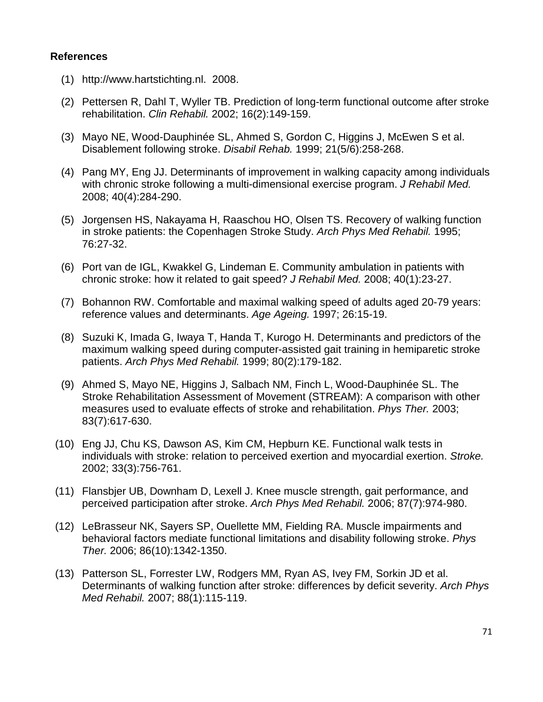#### **References**

- (1) [http://www.hartstichting.nl.](http://www.hartstichting.nl/) 2008.
- (2) Pettersen R, Dahl T, Wyller TB. Prediction of long-term functional outcome after stroke rehabilitation. *Clin Rehabil.* 2002; 16(2):149-159.
- (3) Mayo NE, Wood-Dauphinée SL, Ahmed S, Gordon C, Higgins J, McEwen S et al. Disablement following stroke. *Disabil Rehab.* 1999; 21(5/6):258-268.
- (4) Pang MY, Eng JJ. Determinants of improvement in walking capacity among individuals with chronic stroke following a multi-dimensional exercise program. *J Rehabil Med.* 2008; 40(4):284-290.
- (5) Jorgensen HS, Nakayama H, Raaschou HO, Olsen TS. Recovery of walking function in stroke patients: the Copenhagen Stroke Study. *Arch Phys Med Rehabil.* 1995; 76:27-32.
- (6) Port van de IGL, Kwakkel G, Lindeman E. Community ambulation in patients with chronic stroke: how it related to gait speed? *J Rehabil Med.* 2008; 40(1):23-27.
- (7) Bohannon RW. Comfortable and maximal walking speed of adults aged 20-79 years: reference values and determinants. *Age Ageing.* 1997; 26:15-19.
- (8) Suzuki K, Imada G, Iwaya T, Handa T, Kurogo H. Determinants and predictors of the maximum walking speed during computer-assisted gait training in hemiparetic stroke patients. *Arch Phys Med Rehabil.* 1999; 80(2):179-182.
- (9) Ahmed S, Mayo NE, Higgins J, Salbach NM, Finch L, Wood-Dauphinée SL. The Stroke Rehabilitation Assessment of Movement (STREAM): A comparison with other measures used to evaluate effects of stroke and rehabilitation. *Phys Ther.* 2003; 83(7):617-630.
- (10) Eng JJ, Chu KS, Dawson AS, Kim CM, Hepburn KE. Functional walk tests in individuals with stroke: relation to perceived exertion and myocardial exertion. *Stroke.* 2002; 33(3):756-761.
- (11) Flansbjer UB, Downham D, Lexell J. Knee muscle strength, gait performance, and perceived participation after stroke. *Arch Phys Med Rehabil.* 2006; 87(7):974-980.
- (12) LeBrasseur NK, Sayers SP, Ouellette MM, Fielding RA. Muscle impairments and behavioral factors mediate functional limitations and disability following stroke. *Phys Ther.* 2006; 86(10):1342-1350.
- (13) Patterson SL, Forrester LW, Rodgers MM, Ryan AS, Ivey FM, Sorkin JD et al. Determinants of walking function after stroke: differences by deficit severity. *Arch Phys Med Rehabil.* 2007; 88(1):115-119.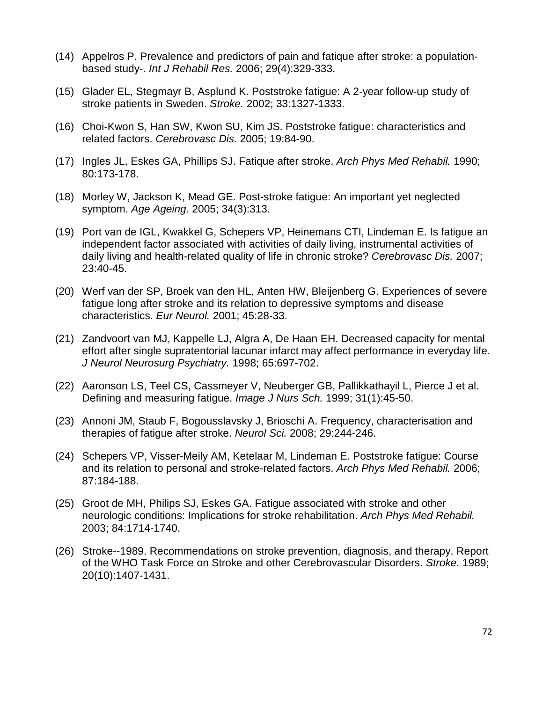- (14) Appelros P. Prevalence and predictors of pain and fatique after stroke: a populationbased study-. *Int J Rehabil Res.* 2006; 29(4):329-333.
- (15) Glader EL, Stegmayr B, Asplund K. Poststroke fatigue: A 2-year follow-up study of stroke patients in Sweden. *Stroke.* 2002; 33:1327-1333.
- (16) Choi-Kwon S, Han SW, Kwon SU, Kim JS. Poststroke fatigue: characteristics and related factors. *Cerebrovasc Dis.* 2005; 19:84-90.
- (17) Ingles JL, Eskes GA, Phillips SJ. Fatique after stroke. *Arch Phys Med Rehabil.* 1990; 80:173-178.
- (18) Morley W, Jackson K, Mead GE. Post-stroke fatigue: An important yet neglected symptom. *Age Ageing.* 2005; 34(3):313.
- (19) Port van de IGL, Kwakkel G, Schepers VP, Heinemans CTI, Lindeman E. Is fatigue an independent factor associated with activities of daily living, instrumental activities of daily living and health-related quality of life in chronic stroke? *Cerebrovasc Dis.* 2007; 23:40-45.
- (20) Werf van der SP, Broek van den HL, Anten HW, Bleijenberg G. Experiences of severe fatigue long after stroke and its relation to depressive symptoms and disease characteristics. *Eur Neurol.* 2001; 45:28-33.
- (21) Zandvoort van MJ, Kappelle LJ, Algra A, De Haan EH. Decreased capacity for mental effort after single supratentorial lacunar infarct may affect performance in everyday life. *J Neurol Neurosurg Psychiatry.* 1998; 65:697-702.
- (22) Aaronson LS, Teel CS, Cassmeyer V, Neuberger GB, Pallikkathayil L, Pierce J et al. Defining and measuring fatigue. *Image J Nurs Sch.* 1999; 31(1):45-50.
- (23) Annoni JM, Staub F, Bogousslavsky J, Brioschi A. Frequency, characterisation and therapies of fatigue after stroke. *Neurol Sci.* 2008; 29:244-246.
- (24) Schepers VP, Visser-Meily AM, Ketelaar M, Lindeman E. Poststroke fatigue: Course and its relation to personal and stroke-related factors. *Arch Phys Med Rehabil.* 2006; 87:184-188.
- (25) Groot de MH, Philips SJ, Eskes GA. Fatigue associated with stroke and other neurologic conditions: Implications for stroke rehabilitation. *Arch Phys Med Rehabil.* 2003; 84:1714-1740.
- (26) Stroke--1989. Recommendations on stroke prevention, diagnosis, and therapy. Report of the WHO Task Force on Stroke and other Cerebrovascular Disorders. *Stroke.* 1989; 20(10):1407-1431.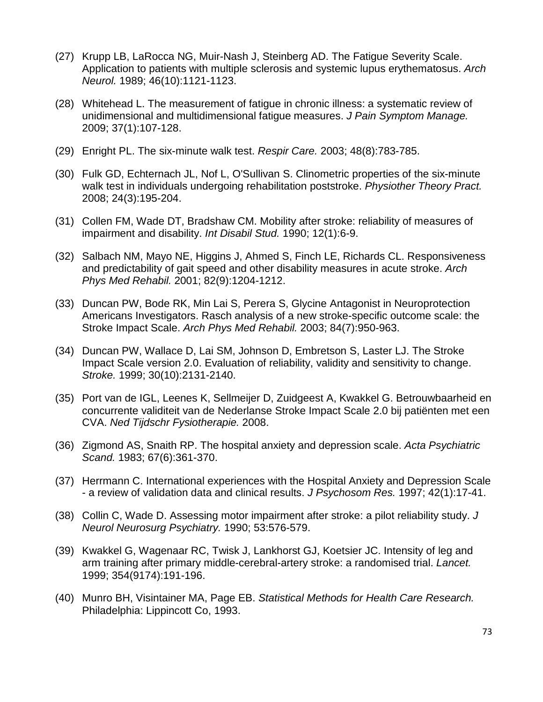- (27) Krupp LB, LaRocca NG, Muir-Nash J, Steinberg AD. The Fatigue Severity Scale. Application to patients with multiple sclerosis and systemic lupus erythematosus. *Arch Neurol.* 1989; 46(10):1121-1123.
- (28) Whitehead L. The measurement of fatigue in chronic illness: a systematic review of unidimensional and multidimensional fatigue measures. *J Pain Symptom Manage.* 2009; 37(1):107-128.
- (29) Enright PL. The six-minute walk test. *Respir Care.* 2003; 48(8):783-785.
- (30) Fulk GD, Echternach JL, Nof L, O'Sullivan S. Clinometric properties of the six-minute walk test in individuals undergoing rehabilitation poststroke. *Physiother Theory Pract.* 2008; 24(3):195-204.
- (31) Collen FM, Wade DT, Bradshaw CM. Mobility after stroke: reliability of measures of impairment and disability. *Int Disabil Stud.* 1990; 12(1):6-9.
- (32) Salbach NM, Mayo NE, Higgins J, Ahmed S, Finch LE, Richards CL. Responsiveness and predictability of gait speed and other disability measures in acute stroke. *Arch Phys Med Rehabil.* 2001; 82(9):1204-1212.
- (33) Duncan PW, Bode RK, Min Lai S, Perera S, Glycine Antagonist in Neuroprotection Americans Investigators. Rasch analysis of a new stroke-specific outcome scale: the Stroke Impact Scale. *Arch Phys Med Rehabil.* 2003; 84(7):950-963.
- (34) Duncan PW, Wallace D, Lai SM, Johnson D, Embretson S, Laster LJ. The Stroke Impact Scale version 2.0. Evaluation of reliability, validity and sensitivity to change. *Stroke.* 1999; 30(10):2131-2140.
- (35) Port van de IGL, Leenes K, Sellmeijer D, Zuidgeest A, Kwakkel G. Betrouwbaarheid en concurrente validiteit van de Nederlanse Stroke Impact Scale 2.0 bij patiënten met een CVA. *Ned Tijdschr Fysiotherapie.* 2008.
- (36) Zigmond AS, Snaith RP. The hospital anxiety and depression scale. *Acta Psychiatric Scand.* 1983; 67(6):361-370.
- (37) Herrmann C. International experiences with the Hospital Anxiety and Depression Scale - a review of validation data and clinical results. *J Psychosom Res.* 1997; 42(1):17-41.
- (38) Collin C, Wade D. Assessing motor impairment after stroke: a pilot reliability study. *J Neurol Neurosurg Psychiatry.* 1990; 53:576-579.
- (39) Kwakkel G, Wagenaar RC, Twisk J, Lankhorst GJ, Koetsier JC. Intensity of leg and arm training after primary middle-cerebral-artery stroke: a randomised trial. *Lancet.* 1999; 354(9174):191-196.
- (40) Munro BH, Visintainer MA, Page EB. *Statistical Methods for Health Care Research.* Philadelphia: Lippincott Co, 1993.